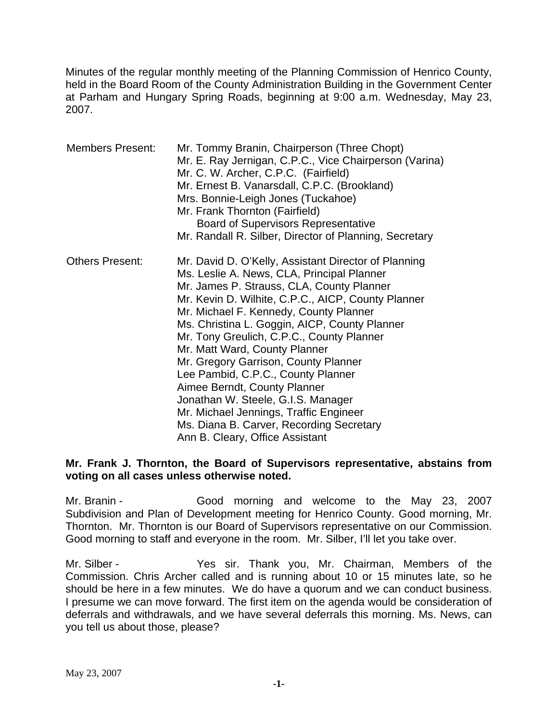Minutes of the regular monthly meeting of the Planning Commission of Henrico County, held in the Board Room of the County Administration Building in the Government Center at Parham and Hungary Spring Roads, beginning at 9:00 a.m. Wednesday, May 23, 2007.

| <b>Members Present:</b> | Mr. Tommy Branin, Chairperson (Three Chopt)<br>Mr. E. Ray Jernigan, C.P.C., Vice Chairperson (Varina)<br>Mr. C. W. Archer, C.P.C. (Fairfield)<br>Mr. Ernest B. Vanarsdall, C.P.C. (Brookland)<br>Mrs. Bonnie-Leigh Jones (Tuckahoe)<br>Mr. Frank Thornton (Fairfield)<br><b>Board of Supervisors Representative</b><br>Mr. Randall R. Silber, Director of Planning, Secretary                                                                                                                                                                                                                                                                               |
|-------------------------|-------------------------------------------------------------------------------------------------------------------------------------------------------------------------------------------------------------------------------------------------------------------------------------------------------------------------------------------------------------------------------------------------------------------------------------------------------------------------------------------------------------------------------------------------------------------------------------------------------------------------------------------------------------|
| <b>Others Present:</b>  | Mr. David D. O'Kelly, Assistant Director of Planning<br>Ms. Leslie A. News, CLA, Principal Planner<br>Mr. James P. Strauss, CLA, County Planner<br>Mr. Kevin D. Wilhite, C.P.C., AICP, County Planner<br>Mr. Michael F. Kennedy, County Planner<br>Ms. Christina L. Goggin, AICP, County Planner<br>Mr. Tony Greulich, C.P.C., County Planner<br>Mr. Matt Ward, County Planner<br>Mr. Gregory Garrison, County Planner<br>Lee Pambid, C.P.C., County Planner<br>Aimee Berndt, County Planner<br>Jonathan W. Steele, G.I.S. Manager<br>Mr. Michael Jennings, Traffic Engineer<br>Ms. Diana B. Carver, Recording Secretary<br>Ann B. Cleary, Office Assistant |

#### **Mr. Frank J. Thornton, the Board of Supervisors representative, abstains from voting on all cases unless otherwise noted.**

Mr. Branin - Good morning and welcome to the May 23, 2007 Subdivision and Plan of Development meeting for Henrico County. Good morning, Mr. Thornton. Mr. Thornton is our Board of Supervisors representative on our Commission. Good morning to staff and everyone in the room. Mr. Silber, I'll let you take over.

Mr. Silber - Yes sir. Thank you, Mr. Chairman, Members of the Commission. Chris Archer called and is running about 10 or 15 minutes late, so he should be here in a few minutes. We do have a quorum and we can conduct business. I presume we can move forward. The first item on the agenda would be consideration of deferrals and withdrawals, and we have several deferrals this morning. Ms. News, can you tell us about those, please?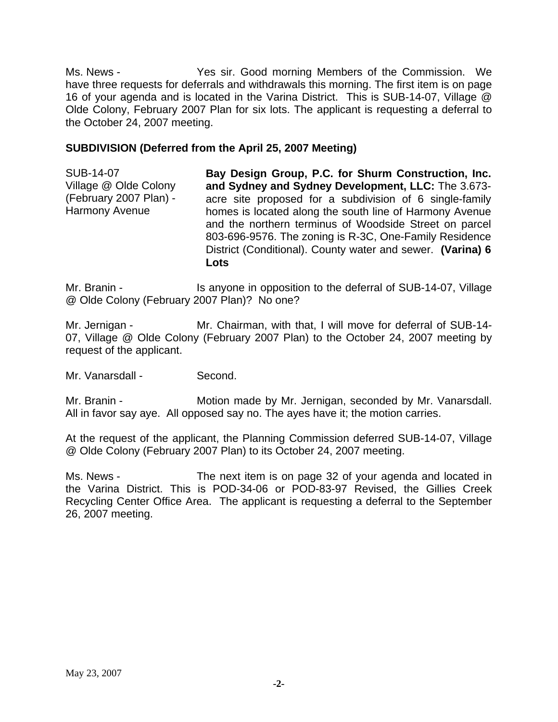Ms. News - Yes sir. Good morning Members of the Commission. We have three requests for deferrals and withdrawals this morning. The first item is on page 16 of your agenda and is located in the Varina District. This is SUB-14-07, Village @ Olde Colony, February 2007 Plan for six lots. The applicant is requesting a deferral to the October 24, 2007 meeting.

#### **SUBDIVISION (Deferred from the April 25, 2007 Meeting)**

SUB-14-07 Village @ Olde Colony (February 2007 Plan) - Harmony Avenue **Bay Design Group, P.C. for Shurm Construction, Inc. and Sydney and Sydney Development, LLC:** The 3.673 acre site proposed for a subdivision of 6 single-family homes is located along the south line of Harmony Avenue and the northern terminus of Woodside Street on parcel 803-696-9576. The zoning is R-3C, One-Family Residence District (Conditional). County water and sewer. **(Varina) 6 Lots** 

Mr. Branin - The Is anyone in opposition to the deferral of SUB-14-07, Village @ Olde Colony (February 2007 Plan)? No one?

Mr. Jernigan - Mr. Chairman, with that, I will move for deferral of SUB-14-07, Village @ Olde Colony (February 2007 Plan) to the October 24, 2007 meeting by request of the applicant.

Mr. Vanarsdall - Second.

Mr. Branin - **Motion made by Mr. Jernigan, seconded by Mr. Vanarsdall.** All in favor say aye. All opposed say no. The ayes have it; the motion carries.

At the request of the applicant, the Planning Commission deferred SUB-14-07, Village @ Olde Colony (February 2007 Plan) to its October 24, 2007 meeting.

Ms. News - The next item is on page 32 of your agenda and located in the Varina District. This is POD-34-06 or POD-83-97 Revised, the Gillies Creek Recycling Center Office Area. The applicant is requesting a deferral to the September 26, 2007 meeting.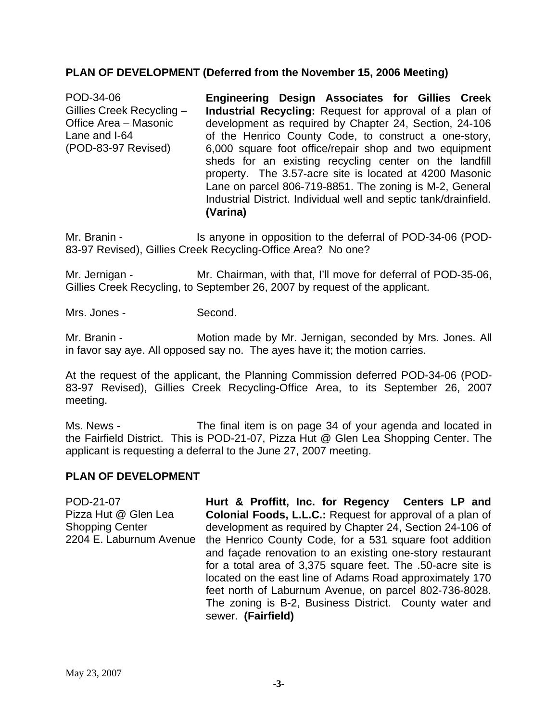#### **PLAN OF DEVELOPMENT (Deferred from the November 15, 2006 Meeting)**

POD-34-06 Gillies Creek Recycling – Office Area – Masonic Lane and I-64 (POD-83-97 Revised) **Engineering Design Associates for Gillies Creek Industrial Recycling:** Request for approval of a plan of development as required by Chapter 24, Section, 24-106 of the Henrico County Code, to construct a one-story, 6,000 square foot office/repair shop and two equipment sheds for an existing recycling center on the landfill property. The 3.57-acre site is located at 4200 Masonic Lane on parcel 806-719-8851. The zoning is M-2, General Industrial District. Individual well and septic tank/drainfield. **(Varina)** 

Mr. Branin - Is anyone in opposition to the deferral of POD-34-06 (POD-83-97 Revised), Gillies Creek Recycling-Office Area? No one?

Mr. Jernigan - Mr. Chairman, with that, I'll move for deferral of POD-35-06, Gillies Creek Recycling, to September 26, 2007 by request of the applicant.

Mrs. Jones - Second.

Mr. Branin - **Motion made by Mr. Jernigan, seconded by Mrs. Jones. All** in favor say aye. All opposed say no. The ayes have it; the motion carries.

At the request of the applicant, the Planning Commission deferred POD-34-06 (POD-83-97 Revised), Gillies Creek Recycling-Office Area, to its September 26, 2007 meeting.

Ms. News - The final item is on page 34 of your agenda and located in the Fairfield District. This is POD-21-07, Pizza Hut @ Glen Lea Shopping Center. The applicant is requesting a deferral to the June 27, 2007 meeting.

#### **PLAN OF DEVELOPMENT**

POD-21-07 Pizza Hut @ Glen Lea Shopping Center 2204 E. Laburnum Avenue the Henrico County Code, for a 531 square foot addition **Hurt & Proffitt, Inc. for Regency Centers LP and Colonial Foods, L.L.C.:** Request for approval of a plan of development as required by Chapter 24, Section 24-106 of and façade renovation to an existing one-story restaurant for a total area of 3,375 square feet. The .50-acre site is located on the east line of Adams Road approximately 170 feet north of Laburnum Avenue, on parcel 802-736-8028. The zoning is B-2, Business District. County water and sewer. **(Fairfield)**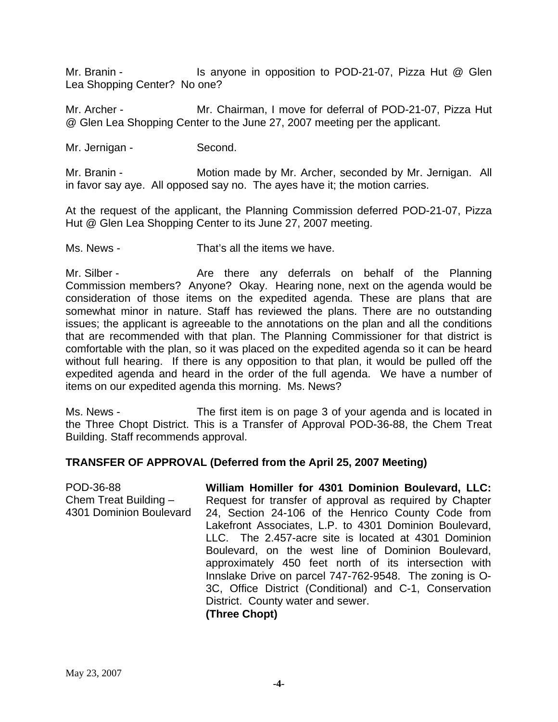Mr. Branin - Is anyone in opposition to POD-21-07, Pizza Hut @ Glen Lea Shopping Center? No one?

Mr. Archer - Mr. Chairman, I move for deferral of POD-21-07, Pizza Hut @ Glen Lea Shopping Center to the June 27, 2007 meeting per the applicant.

Mr. Jernigan - Second.

Mr. Branin - Motion made by Mr. Archer, seconded by Mr. Jernigan. All in favor say aye. All opposed say no. The ayes have it; the motion carries.

At the request of the applicant, the Planning Commission deferred POD-21-07, Pizza Hut @ Glen Lea Shopping Center to its June 27, 2007 meeting.

Ms. News - That's all the items we have.

Mr. Silber - The Are there any deferrals on behalf of the Planning Commission members? Anyone? Okay. Hearing none, next on the agenda would be consideration of those items on the expedited agenda. These are plans that are somewhat minor in nature. Staff has reviewed the plans. There are no outstanding issues; the applicant is agreeable to the annotations on the plan and all the conditions that are recommended with that plan. The Planning Commissioner for that district is comfortable with the plan, so it was placed on the expedited agenda so it can be heard without full hearing. If there is any opposition to that plan, it would be pulled off the expedited agenda and heard in the order of the full agenda. We have a number of items on our expedited agenda this morning. Ms. News?

Ms. News - The first item is on page 3 of your agenda and is located in the Three Chopt District. This is a Transfer of Approval POD-36-88, the Chem Treat Building. Staff recommends approval.

#### **TRANSFER OF APPROVAL (Deferred from the April 25, 2007 Meeting)**

POD-36-88 Chem Treat Building – 4301 Dominion Boulevard **William Homiller for 4301 Dominion Boulevard, LLC:**  Request for transfer of approval as required by Chapter 24, Section 24-106 of the Henrico County Code from Lakefront Associates, L.P. to 4301 Dominion Boulevard, LLC. The 2.457-acre site is located at 4301 Dominion Boulevard, on the west line of Dominion Boulevard, approximately 450 feet north of its intersection with Innslake Drive on parcel 747-762-9548. The zoning is O-3C, Office District (Conditional) and C-1, Conservation District. County water and sewer. **(Three Chopt)**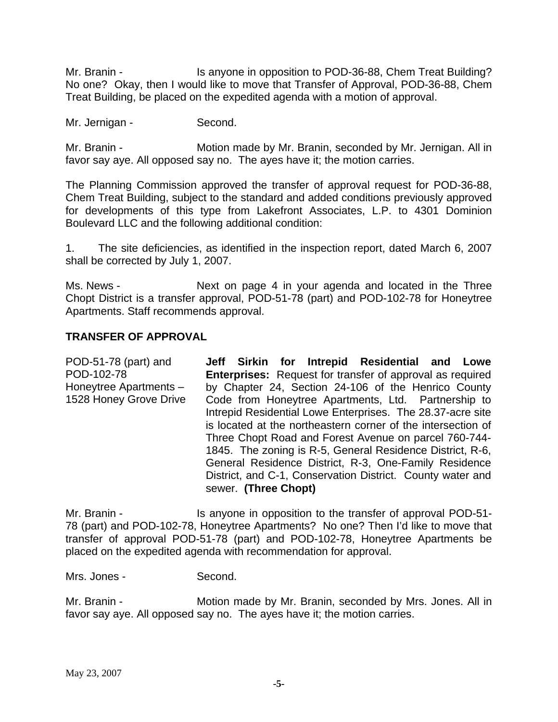Mr. Branin - Is anyone in opposition to POD-36-88, Chem Treat Building? No one? Okay, then I would like to move that Transfer of Approval, POD-36-88, Chem Treat Building, be placed on the expedited agenda with a motion of approval.

Mr. Jernigan - Second.

Mr. Branin - **Motion made by Mr. Branin, seconded by Mr. Jernigan. All in** favor say aye. All opposed say no. The ayes have it; the motion carries.

The Planning Commission approved the transfer of approval request for POD-36-88, Chem Treat Building, subject to the standard and added conditions previously approved for developments of this type from Lakefront Associates, L.P. to 4301 Dominion Boulevard LLC and the following additional condition:

1. The site deficiencies, as identified in the inspection report, dated March 6, 2007 shall be corrected by July 1, 2007.

Ms. News - Next on page 4 in your agenda and located in the Three Chopt District is a transfer approval, POD-51-78 (part) and POD-102-78 for Honeytree Apartments. Staff recommends approval.

#### **TRANSFER OF APPROVAL**

POD-51-78 (part) and POD-102-78 Honeytree Apartments – 1528 Honey Grove Drive **Jeff Sirkin for Intrepid Residential and Lowe Enterprises:** Request for transfer of approval as required by Chapter 24, Section 24-106 of the Henrico County Code from Honeytree Apartments, Ltd. Partnership to Intrepid Residential Lowe Enterprises. The 28.37-acre site is located at the northeastern corner of the intersection of Three Chopt Road and Forest Avenue on parcel 760-744- 1845. The zoning is R-5, General Residence District, R-6, General Residence District, R-3, One-Family Residence District, and C-1, Conservation District. County water and sewer. **(Three Chopt)**

Mr. Branin - The Is anyone in opposition to the transfer of approval POD-51-78 (part) and POD-102-78, Honeytree Apartments? No one? Then I'd like to move that transfer of approval POD-51-78 (part) and POD-102-78, Honeytree Apartments be placed on the expedited agenda with recommendation for approval.

Mrs. Jones - Second.

Mr. Branin - **Motion made by Mr. Branin, seconded by Mrs. Jones. All in** favor say aye. All opposed say no. The ayes have it; the motion carries.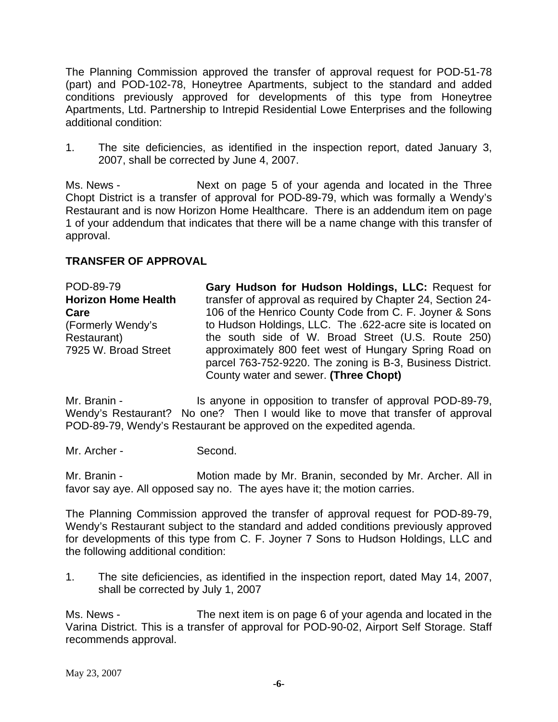The Planning Commission approved the transfer of approval request for POD-51-78 (part) and POD-102-78, Honeytree Apartments, subject to the standard and added conditions previously approved for developments of this type from Honeytree Apartments, Ltd. Partnership to Intrepid Residential Lowe Enterprises and the following additional condition:

1. The site deficiencies, as identified in the inspection report, dated January 3, 2007, shall be corrected by June 4, 2007.

Ms. News - Next on page 5 of your agenda and located in the Three Chopt District is a transfer of approval for POD-89-79, which was formally a Wendy's Restaurant and is now Horizon Home Healthcare. There is an addendum item on page 1 of your addendum that indicates that there will be a name change with this transfer of approval.

#### **TRANSFER OF APPROVAL**

POD-89-79 **Horizon Home Health Care**  (Formerly Wendy's Restaurant) 7925 W. Broad Street **Gary Hudson for Hudson Holdings, LLC:** Request for transfer of approval as required by Chapter 24, Section 24- 106 of the Henrico County Code from C. F. Joyner & Sons to Hudson Holdings, LLC. The .622-acre site is located on the south side of W. Broad Street (U.S. Route 250) approximately 800 feet west of Hungary Spring Road on parcel 763-752-9220. The zoning is B-3, Business District. County water and sewer. **(Three Chopt)**

Mr. Branin - Is anyone in opposition to transfer of approval POD-89-79, Wendy's Restaurant? No one? Then I would like to move that transfer of approval POD-89-79, Wendy's Restaurant be approved on the expedited agenda.

Mr. Archer - Second.

Mr. Branin - **Motion made by Mr. Branin, seconded by Mr. Archer. All in** favor say aye. All opposed say no. The ayes have it; the motion carries.

The Planning Commission approved the transfer of approval request for POD-89-79, Wendy's Restaurant subject to the standard and added conditions previously approved for developments of this type from C. F. Joyner 7 Sons to Hudson Holdings, LLC and the following additional condition:

1. The site deficiencies, as identified in the inspection report, dated May 14, 2007, shall be corrected by July 1, 2007

Ms. News - The next item is on page 6 of your agenda and located in the Varina District. This is a transfer of approval for POD-90-02, Airport Self Storage. Staff recommends approval.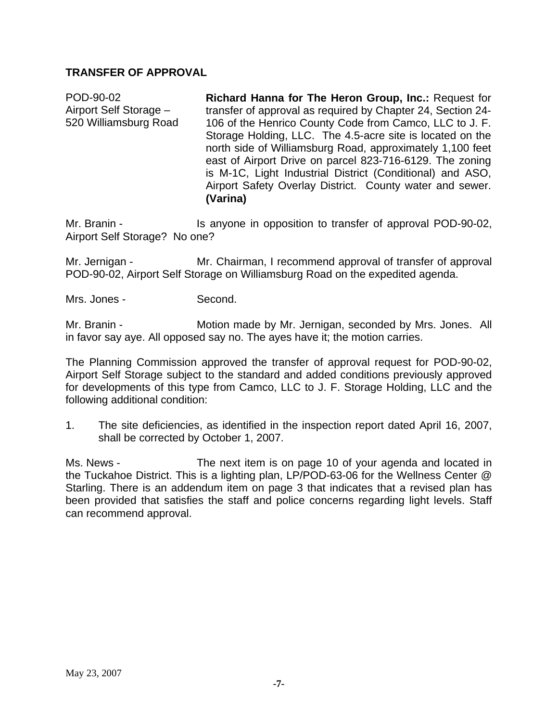### **TRANSFER OF APPROVAL**

POD-90-02 Airport Self Storage – 520 Williamsburg Road **Richard Hanna for The Heron Group, Inc.:** Request for transfer of approval as required by Chapter 24, Section 24- 106 of the Henrico County Code from Camco, LLC to J. F. Storage Holding, LLC. The 4.5-acre site is located on the north side of Williamsburg Road, approximately 1,100 feet east of Airport Drive on parcel 823-716-6129. The zoning is M-1C, Light Industrial District (Conditional) and ASO, Airport Safety Overlay District. County water and sewer. **(Varina)** 

Mr. Branin - The Is anyone in opposition to transfer of approval POD-90-02, Airport Self Storage? No one?

Mr. Jernigan - Mr. Chairman, I recommend approval of transfer of approval POD-90-02, Airport Self Storage on Williamsburg Road on the expedited agenda.

Mrs. Jones - Second.

Mr. Branin - **Motion made by Mr. Jernigan, seconded by Mrs. Jones.** All in favor say aye. All opposed say no. The ayes have it; the motion carries.

The Planning Commission approved the transfer of approval request for POD-90-02, Airport Self Storage subject to the standard and added conditions previously approved for developments of this type from Camco, LLC to J. F. Storage Holding, LLC and the following additional condition:

1. The site deficiencies, as identified in the inspection report dated April 16, 2007, shall be corrected by October 1, 2007.

Ms. News - The next item is on page 10 of your agenda and located in the Tuckahoe District. This is a lighting plan, LP/POD-63-06 for the Wellness Center @ Starling. There is an addendum item on page 3 that indicates that a revised plan has been provided that satisfies the staff and police concerns regarding light levels. Staff can recommend approval.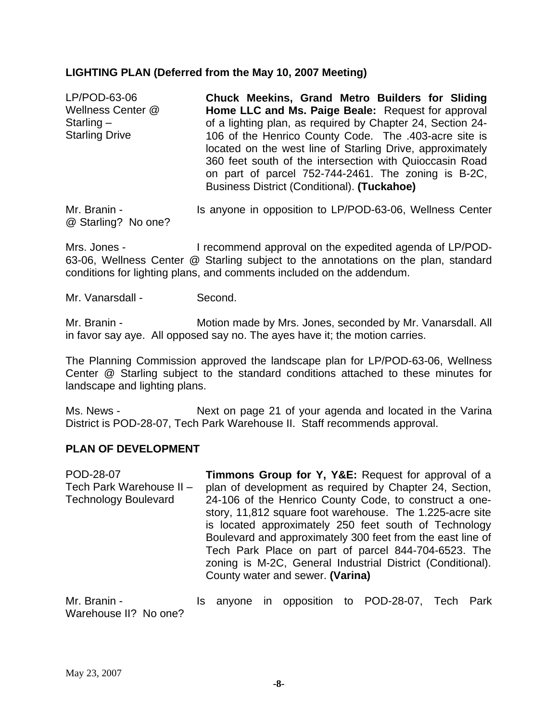#### **LIGHTING PLAN (Deferred from the May 10, 2007 Meeting)**

| LP/POD-63-06          | Chuck Meekins, Grand Metro Builders for Sliding                                                                                                                               |
|-----------------------|-------------------------------------------------------------------------------------------------------------------------------------------------------------------------------|
| Wellness Center @     | Home LLC and Ms. Paige Beale: Request for approval                                                                                                                            |
| Starling $-$          | of a lighting plan, as required by Chapter 24, Section 24-                                                                                                                    |
| <b>Starling Drive</b> | 106 of the Henrico County Code. The .403-acre site is<br>located on the west line of Starling Drive, approximately<br>360 feet south of the intersection with Quioccasin Road |
|                       | on part of parcel 752-744-2461. The zoning is B-2C,<br>Business District (Conditional). (Tuckahoe)                                                                            |
| Mr. Branin -          | Is anyone in opposition to LP/POD-63-06, Wellness Center                                                                                                                      |

@ Starling? No one?

Mrs. Jones - I recommend approval on the expedited agenda of LP/POD-

63-06, Wellness Center @ Starling subject to the annotations on the plan, standard conditions for lighting plans, and comments included on the addendum.

Mr. Vanarsdall - Second.

Mr. Branin - **Motion made by Mrs. Jones, seconded by Mr. Vanarsdall. All** in favor say aye. All opposed say no. The ayes have it; the motion carries.

The Planning Commission approved the landscape plan for LP/POD-63-06, Wellness Center @ Starling subject to the standard conditions attached to these minutes for landscape and lighting plans.

Ms. News - Next on page 21 of your agenda and located in the Varina District is POD-28-07, Tech Park Warehouse II. Staff recommends approval.

#### **PLAN OF DEVELOPMENT**

| POD-28-07                   | Timmons Group for Y, Y&E: Request for approval of a                                                                                                                                                                                                                                                                                      |
|-----------------------------|------------------------------------------------------------------------------------------------------------------------------------------------------------------------------------------------------------------------------------------------------------------------------------------------------------------------------------------|
| Tech Park Warehouse II -    | plan of development as required by Chapter 24, Section,                                                                                                                                                                                                                                                                                  |
| <b>Technology Boulevard</b> | 24-106 of the Henrico County Code, to construct a one-                                                                                                                                                                                                                                                                                   |
|                             | story, 11,812 square foot warehouse. The 1.225-acre site<br>is located approximately 250 feet south of Technology<br>Boulevard and approximately 300 feet from the east line of<br>Tech Park Place on part of parcel 844-704-6523. The<br>zoning is M-2C, General Industrial District (Conditional).<br>County water and sewer. (Varina) |
|                             |                                                                                                                                                                                                                                                                                                                                          |

Mr. Branin - The State of the anyone in opposition to POD-28-07, Tech Park Warehouse II? No one?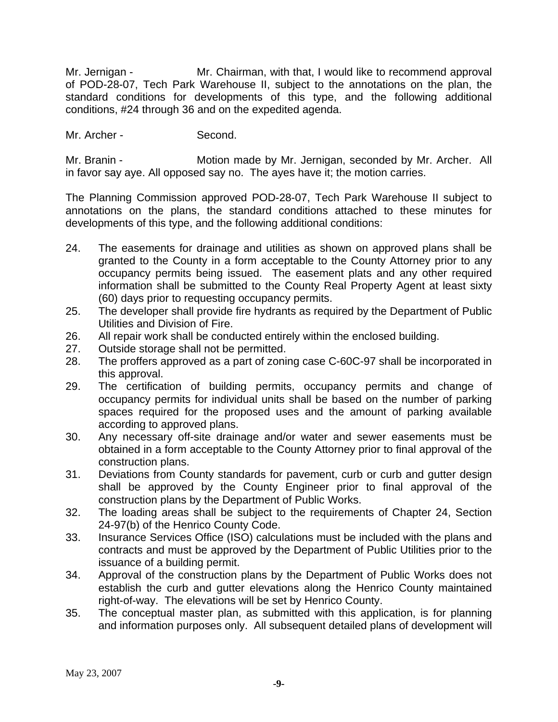Mr. Jernigan - Mr. Chairman, with that, I would like to recommend approval of POD-28-07, Tech Park Warehouse II, subject to the annotations on the plan, the standard conditions for developments of this type, and the following additional conditions, #24 through 36 and on the expedited agenda.

Mr. Archer - Second.

Mr. Branin - **Motion made by Mr. Jernigan, seconded by Mr. Archer.** All in favor say aye. All opposed say no. The ayes have it; the motion carries.

The Planning Commission approved POD-28-07, Tech Park Warehouse II subject to annotations on the plans, the standard conditions attached to these minutes for developments of this type, and the following additional conditions:

- 24. The easements for drainage and utilities as shown on approved plans shall be granted to the County in a form acceptable to the County Attorney prior to any occupancy permits being issued. The easement plats and any other required information shall be submitted to the County Real Property Agent at least sixty (60) days prior to requesting occupancy permits.
- 25. The developer shall provide fire hydrants as required by the Department of Public Utilities and Division of Fire.
- 26. All repair work shall be conducted entirely within the enclosed building.
- 27. Outside storage shall not be permitted.
- 28. The proffers approved as a part of zoning case C-60C-97 shall be incorporated in this approval.
- 29. The certification of building permits, occupancy permits and change of occupancy permits for individual units shall be based on the number of parking spaces required for the proposed uses and the amount of parking available according to approved plans.
- 30. Any necessary off-site drainage and/or water and sewer easements must be obtained in a form acceptable to the County Attorney prior to final approval of the construction plans.
- 31. Deviations from County standards for pavement, curb or curb and gutter design shall be approved by the County Engineer prior to final approval of the construction plans by the Department of Public Works.
- 32. The loading areas shall be subject to the requirements of Chapter 24, Section 24-97(b) of the Henrico County Code.
- 33. Insurance Services Office (ISO) calculations must be included with the plans and contracts and must be approved by the Department of Public Utilities prior to the issuance of a building permit.
- 34. Approval of the construction plans by the Department of Public Works does not establish the curb and gutter elevations along the Henrico County maintained right-of-way. The elevations will be set by Henrico County.
- 35. The conceptual master plan, as submitted with this application, is for planning and information purposes only. All subsequent detailed plans of development will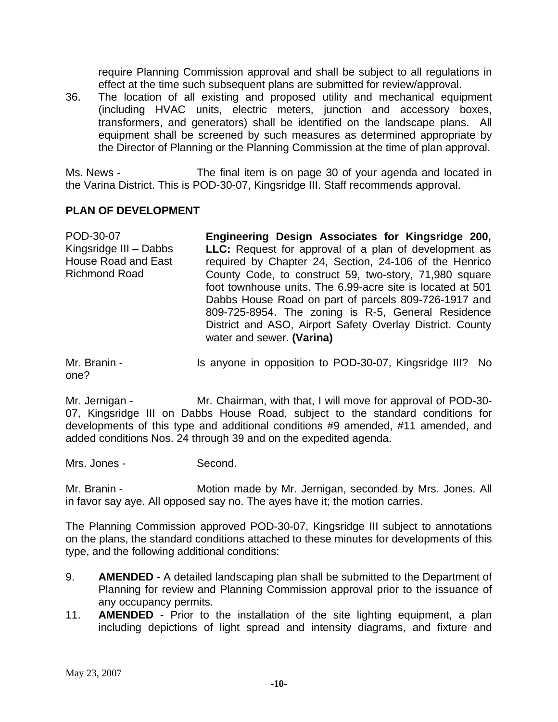require Planning Commission approval and shall be subject to all regulations in effect at the time such subsequent plans are submitted for review/approval.

36. The location of all existing and proposed utility and mechanical equipment (including HVAC units, electric meters, junction and accessory boxes, transformers, and generators) shall be identified on the landscape plans. All equipment shall be screened by such measures as determined appropriate by the Director of Planning or the Planning Commission at the time of plan approval.

Ms. News - The final item is on page 30 of your agenda and located in the Varina District. This is POD-30-07, Kingsridge III. Staff recommends approval.

#### **PLAN OF DEVELOPMENT**

| POD-30-07                  | Engineering Design Associates for Kingsridge 200,                                      |
|----------------------------|----------------------------------------------------------------------------------------|
| Kingsridge III - Dabbs     | LLC: Request for approval of a plan of development as                                  |
| <b>House Road and East</b> | required by Chapter 24, Section, 24-106 of the Henrico                                 |
| <b>Richmond Road</b>       | County Code, to construct 59, two-story, 71,980 square                                 |
|                            | foot townhouse units. The 6.99-acre site is located at 501                             |
|                            | Dabbs House Road on part of parcels 809-726-1917 and                                   |
|                            | 809-725-8954. The zoning is R-5, General Residence                                     |
|                            | District and ASO, Airport Safety Overlay District. County<br>water and sewer. (Varina) |
|                            |                                                                                        |

Mr. Branin - The Is anyone in opposition to POD-30-07, Kingsridge III? No one?

Mr. Jernigan - Mr. Chairman, with that, I will move for approval of POD-30-07, Kingsridge III on Dabbs House Road, subject to the standard conditions for developments of this type and additional conditions #9 amended, #11 amended, and added conditions Nos. 24 through 39 and on the expedited agenda.

Mrs. Jones - Second.

Mr. Branin - **Motion made by Mr. Jernigan, seconded by Mrs. Jones. All** in favor say aye. All opposed say no. The ayes have it; the motion carries.

The Planning Commission approved POD-30-07, Kingsridge III subject to annotations on the plans, the standard conditions attached to these minutes for developments of this type, and the following additional conditions:

- 9. **AMENDED** A detailed landscaping plan shall be submitted to the Department of Planning for review and Planning Commission approval prior to the issuance of any occupancy permits.
- 11. **AMENDED** Prior to the installation of the site lighting equipment, a plan including depictions of light spread and intensity diagrams, and fixture and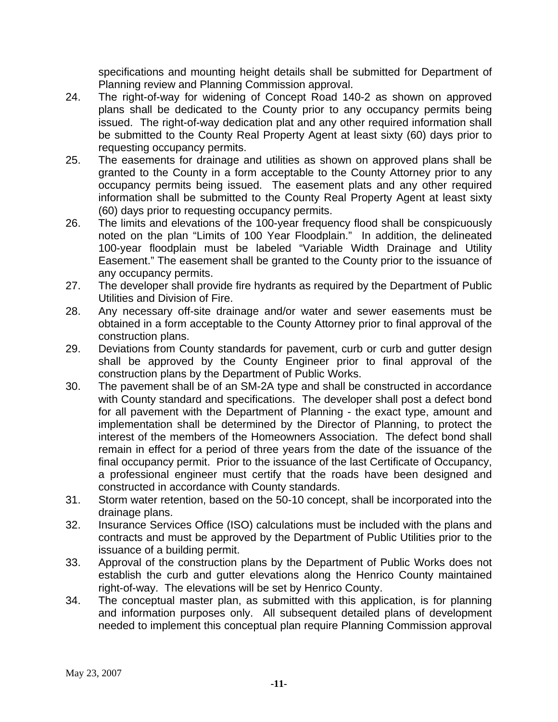specifications and mounting height details shall be submitted for Department of Planning review and Planning Commission approval.

- 24. The right-of-way for widening of Concept Road 140-2 as shown on approved plans shall be dedicated to the County prior to any occupancy permits being issued. The right-of-way dedication plat and any other required information shall be submitted to the County Real Property Agent at least sixty (60) days prior to requesting occupancy permits.
- 25. The easements for drainage and utilities as shown on approved plans shall be granted to the County in a form acceptable to the County Attorney prior to any occupancy permits being issued. The easement plats and any other required information shall be submitted to the County Real Property Agent at least sixty (60) days prior to requesting occupancy permits.
- 26. The limits and elevations of the 100-year frequency flood shall be conspicuously noted on the plan "Limits of 100 Year Floodplain." In addition, the delineated 100-year floodplain must be labeled "Variable Width Drainage and Utility Easement." The easement shall be granted to the County prior to the issuance of any occupancy permits.
- 27. The developer shall provide fire hydrants as required by the Department of Public Utilities and Division of Fire.
- 28. Any necessary off-site drainage and/or water and sewer easements must be obtained in a form acceptable to the County Attorney prior to final approval of the construction plans.
- 29. Deviations from County standards for pavement, curb or curb and gutter design shall be approved by the County Engineer prior to final approval of the construction plans by the Department of Public Works.
- 30. The pavement shall be of an SM-2A type and shall be constructed in accordance with County standard and specifications. The developer shall post a defect bond for all pavement with the Department of Planning - the exact type, amount and implementation shall be determined by the Director of Planning, to protect the interest of the members of the Homeowners Association. The defect bond shall remain in effect for a period of three years from the date of the issuance of the final occupancy permit. Prior to the issuance of the last Certificate of Occupancy, a professional engineer must certify that the roads have been designed and constructed in accordance with County standards.
- 31. Storm water retention, based on the 50-10 concept, shall be incorporated into the drainage plans.
- 32. Insurance Services Office (ISO) calculations must be included with the plans and contracts and must be approved by the Department of Public Utilities prior to the issuance of a building permit.
- 33. Approval of the construction plans by the Department of Public Works does not establish the curb and gutter elevations along the Henrico County maintained right-of-way. The elevations will be set by Henrico County.
- 34. The conceptual master plan, as submitted with this application, is for planning and information purposes only. All subsequent detailed plans of development needed to implement this conceptual plan require Planning Commission approval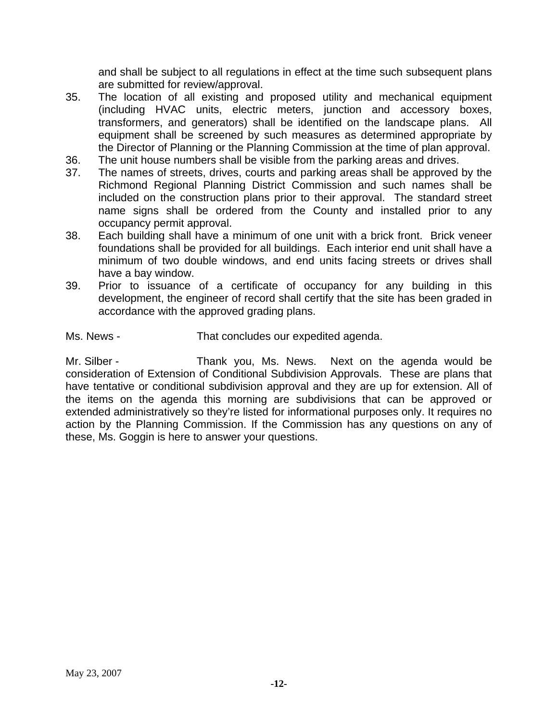and shall be subject to all regulations in effect at the time such subsequent plans are submitted for review/approval.

- 35. The location of all existing and proposed utility and mechanical equipment (including HVAC units, electric meters, junction and accessory boxes, transformers, and generators) shall be identified on the landscape plans. All equipment shall be screened by such measures as determined appropriate by the Director of Planning or the Planning Commission at the time of plan approval.
- 36. The unit house numbers shall be visible from the parking areas and drives.
- 37. The names of streets, drives, courts and parking areas shall be approved by the Richmond Regional Planning District Commission and such names shall be included on the construction plans prior to their approval. The standard street name signs shall be ordered from the County and installed prior to any occupancy permit approval.
- 38. Each building shall have a minimum of one unit with a brick front. Brick veneer foundations shall be provided for all buildings. Each interior end unit shall have a minimum of two double windows, and end units facing streets or drives shall have a bay window.
- 39. Prior to issuance of a certificate of occupancy for any building in this development, the engineer of record shall certify that the site has been graded in accordance with the approved grading plans.

Ms. News - That concludes our expedited agenda.

Mr. Silber - Thank you, Ms. News. Next on the agenda would be consideration of Extension of Conditional Subdivision Approvals. These are plans that have tentative or conditional subdivision approval and they are up for extension. All of the items on the agenda this morning are subdivisions that can be approved or extended administratively so they're listed for informational purposes only. It requires no action by the Planning Commission. If the Commission has any questions on any of these, Ms. Goggin is here to answer your questions.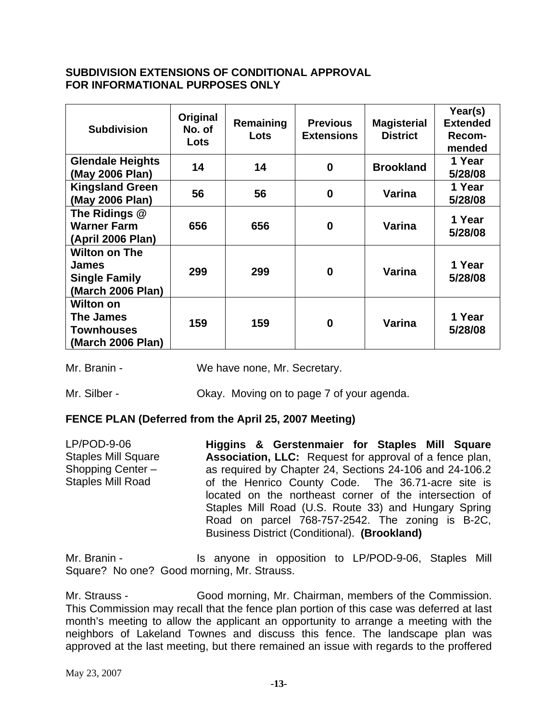#### **SUBDIVISION EXTENSIONS OF CONDITIONAL APPROVAL FOR INFORMATIONAL PURPOSES ONLY**

| <b>Subdivision</b>                                                                | Original<br>No. of<br>Lots | Remaining<br>Lots | <b>Previous</b><br><b>Extensions</b> | <b>Magisterial</b><br><b>District</b> | Year(s)<br><b>Extended</b><br>Recom-<br>mended |
|-----------------------------------------------------------------------------------|----------------------------|-------------------|--------------------------------------|---------------------------------------|------------------------------------------------|
| <b>Glendale Heights</b><br>(May 2006 Plan)                                        | 14                         | 14                | $\bf{0}$                             | <b>Brookland</b>                      | 1 Year<br>5/28/08                              |
| <b>Kingsland Green</b><br>(May 2006 Plan)                                         | 56                         | 56                | $\bf{0}$                             | Varina                                | 1 Year<br>5/28/08                              |
| The Ridings @<br><b>Warner Farm</b><br>(April 2006 Plan)                          | 656                        | 656               | 0                                    | Varina                                | 1 Year<br>5/28/08                              |
| <b>Wilton on The</b><br><b>James</b><br><b>Single Family</b><br>(March 2006 Plan) | 299                        | 299               | $\bf{0}$                             | Varina                                | 1 Year<br>5/28/08                              |
| <b>Wilton on</b><br>The James<br><b>Townhouses</b><br>(March 2006 Plan)           | 159                        | 159               | 0                                    | Varina                                | 1 Year<br>5/28/08                              |

Mr. Branin - We have none, Mr. Secretary.

Mr. Silber - Chay. Moving on to page 7 of your agenda.

#### **FENCE PLAN (Deferred from the April 25, 2007 Meeting)**

LP/POD-9-06 Staples Mill Square Shopping Center – Staples Mill Road **Higgins & Gerstenmaier for Staples Mill Square Association, LLC:** Request for approval of a fence plan, as required by Chapter 24, Sections 24-106 and 24-106.2 of the Henrico County Code. The 36.71-acre site is located on the northeast corner of the intersection of Staples Mill Road (U.S. Route 33) and Hungary Spring Road on parcel 768-757-2542. The zoning is B-2C, Business District (Conditional). **(Brookland)** 

Mr. Branin - The Is anyone in opposition to LP/POD-9-06, Staples Mill Square? No one? Good morning, Mr. Strauss.

Mr. Strauss - Good morning, Mr. Chairman, members of the Commission. This Commission may recall that the fence plan portion of this case was deferred at last month's meeting to allow the applicant an opportunity to arrange a meeting with the neighbors of Lakeland Townes and discuss this fence. The landscape plan was approved at the last meeting, but there remained an issue with regards to the proffered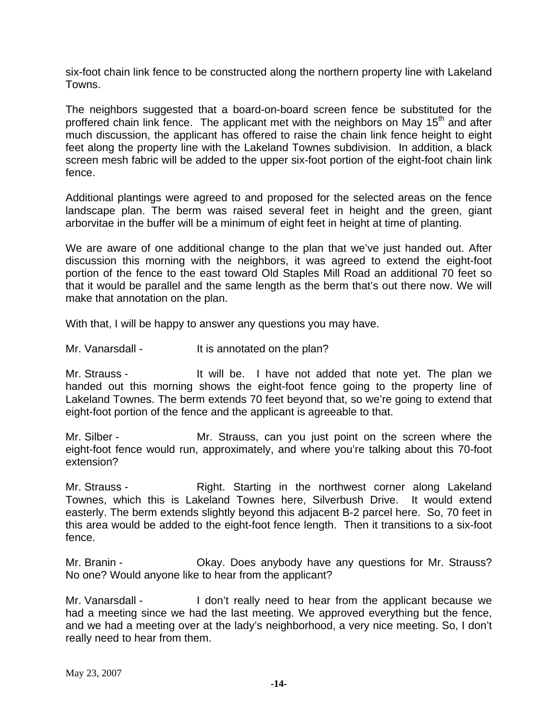six-foot chain link fence to be constructed along the northern property line with Lakeland Towns.

The neighbors suggested that a board-on-board screen fence be substituted for the proffered chain link fence. The applicant met with the neighbors on May 15<sup>th</sup> and after much discussion, the applicant has offered to raise the chain link fence height to eight feet along the property line with the Lakeland Townes subdivision. In addition, a black screen mesh fabric will be added to the upper six-foot portion of the eight-foot chain link fence.

Additional plantings were agreed to and proposed for the selected areas on the fence landscape plan. The berm was raised several feet in height and the green, giant arborvitae in the buffer will be a minimum of eight feet in height at time of planting.

We are aware of one additional change to the plan that we've just handed out. After discussion this morning with the neighbors, it was agreed to extend the eight-foot portion of the fence to the east toward Old Staples Mill Road an additional 70 feet so that it would be parallel and the same length as the berm that's out there now. We will make that annotation on the plan.

With that, I will be happy to answer any questions you may have.

Mr. Vanarsdall - The state of the plan?

Mr. Strauss - It will be. I have not added that note yet. The plan we handed out this morning shows the eight-foot fence going to the property line of Lakeland Townes. The berm extends 70 feet beyond that, so we're going to extend that eight-foot portion of the fence and the applicant is agreeable to that.

Mr. Silber - The Mr. Strauss, can you just point on the screen where the eight-foot fence would run, approximately, and where you're talking about this 70-foot extension?

Mr. Strauss - The Right. Starting in the northwest corner along Lakeland Townes, which this is Lakeland Townes here, Silverbush Drive. It would extend easterly. The berm extends slightly beyond this adjacent B-2 parcel here. So, 70 feet in this area would be added to the eight-foot fence length. Then it transitions to a six-foot fence.

Mr. Branin - Ckay. Does anybody have any questions for Mr. Strauss? No one? Would anyone like to hear from the applicant?

Mr. Vanarsdall - The loon't really need to hear from the applicant because we had a meeting since we had the last meeting. We approved everything but the fence, and we had a meeting over at the lady's neighborhood, a very nice meeting. So, I don't really need to hear from them.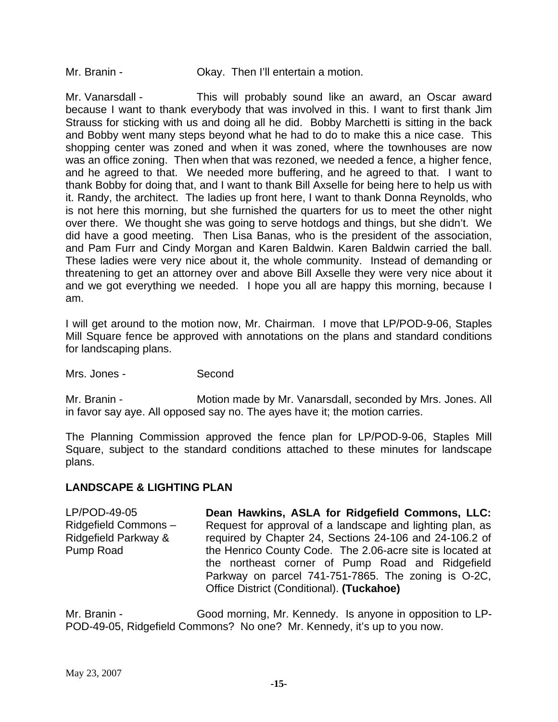Mr. Branin - Ckay. Then I'll entertain a motion.

Mr. Vanarsdall - This will probably sound like an award, an Oscar award because I want to thank everybody that was involved in this. I want to first thank Jim Strauss for sticking with us and doing all he did. Bobby Marchetti is sitting in the back and Bobby went many steps beyond what he had to do to make this a nice case. This shopping center was zoned and when it was zoned, where the townhouses are now was an office zoning. Then when that was rezoned, we needed a fence, a higher fence, and he agreed to that. We needed more buffering, and he agreed to that. I want to thank Bobby for doing that, and I want to thank Bill Axselle for being here to help us with it. Randy, the architect. The ladies up front here, I want to thank Donna Reynolds, who is not here this morning, but she furnished the quarters for us to meet the other night over there. We thought she was going to serve hotdogs and things, but she didn't. We did have a good meeting. Then Lisa Banas, who is the president of the association, and Pam Furr and Cindy Morgan and Karen Baldwin. Karen Baldwin carried the ball. These ladies were very nice about it, the whole community. Instead of demanding or threatening to get an attorney over and above Bill Axselle they were very nice about it and we got everything we needed. I hope you all are happy this morning, because I am.

I will get around to the motion now, Mr. Chairman. I move that LP/POD-9-06, Staples Mill Square fence be approved with annotations on the plans and standard conditions for landscaping plans.

Mrs. Jones - Second

Mr. Branin - Motion made by Mr. Vanarsdall, seconded by Mrs. Jones. All in favor say aye. All opposed say no. The ayes have it; the motion carries.

The Planning Commission approved the fence plan for LP/POD-9-06, Staples Mill Square, subject to the standard conditions attached to these minutes for landscape plans.

#### **LANDSCAPE & LIGHTING PLAN**

LP/POD-49-05 Ridgefield Commons – Ridgefield Parkway & Pump Road **Dean Hawkins, ASLA for Ridgefield Commons, LLC:** Request for approval of a landscape and lighting plan, as required by Chapter 24, Sections 24-106 and 24-106.2 of the Henrico County Code. The 2.06-acre site is located at the northeast corner of Pump Road and Ridgefield Parkway on parcel 741-751-7865. The zoning is O-2C, Office District (Conditional). **(Tuckahoe)**

Mr. Branin - Good morning, Mr. Kennedy. Is anyone in opposition to LP-POD-49-05, Ridgefield Commons? No one? Mr. Kennedy, it's up to you now.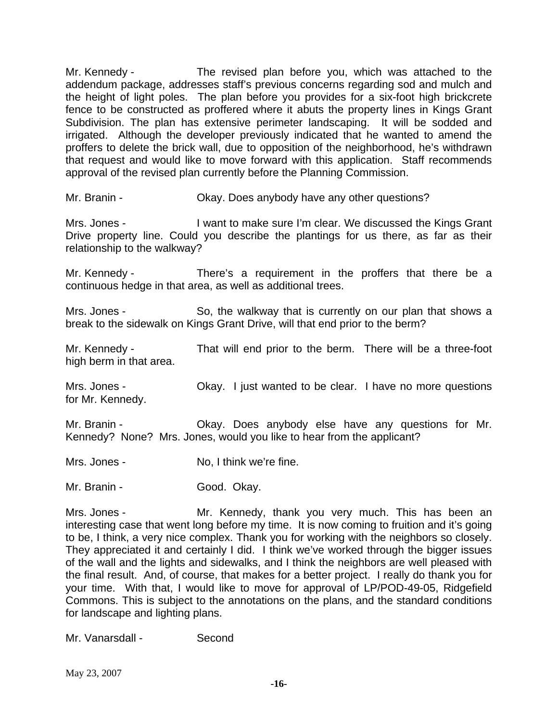Mr. Kennedy - The revised plan before you, which was attached to the addendum package, addresses staff's previous concerns regarding sod and mulch and the height of light poles. The plan before you provides for a six-foot high brickcrete fence to be constructed as proffered where it abuts the property lines in Kings Grant Subdivision. The plan has extensive perimeter landscaping. It will be sodded and irrigated. Although the developer previously indicated that he wanted to amend the proffers to delete the brick wall, due to opposition of the neighborhood, he's withdrawn that request and would like to move forward with this application. Staff recommends approval of the revised plan currently before the Planning Commission.

Mr. Branin - Okay. Does anybody have any other questions?

Mrs. Jones - I want to make sure I'm clear. We discussed the Kings Grant Drive property line. Could you describe the plantings for us there, as far as their relationship to the walkway?

Mr. Kennedy - There's a requirement in the proffers that there be a continuous hedge in that area, as well as additional trees.

Mrs. Jones - So, the walkway that is currently on our plan that shows a break to the sidewalk on Kings Grant Drive, will that end prior to the berm?

Mr. Kennedy - That will end prior to the berm. There will be a three-foot high berm in that area.

Mrs. Jones - Ckay. I just wanted to be clear. I have no more questions for Mr. Kennedy.

Mr. Branin - Ckay. Does anybody else have any questions for Mr. Kennedy? None? Mrs. Jones, would you like to hear from the applicant?

Mrs. Jones - No, I think we're fine.

Mr. Branin - Good. Okay.

Mrs. Jones - The Mr. Kennedy, thank you very much. This has been an interesting case that went long before my time. It is now coming to fruition and it's going to be, I think, a very nice complex. Thank you for working with the neighbors so closely. They appreciated it and certainly I did. I think we've worked through the bigger issues of the wall and the lights and sidewalks, and I think the neighbors are well pleased with the final result. And, of course, that makes for a better project. I really do thank you for your time. With that, I would like to move for approval of LP/POD-49-05, Ridgefield Commons. This is subject to the annotations on the plans, and the standard conditions for landscape and lighting plans.

Mr. Vanarsdall - Second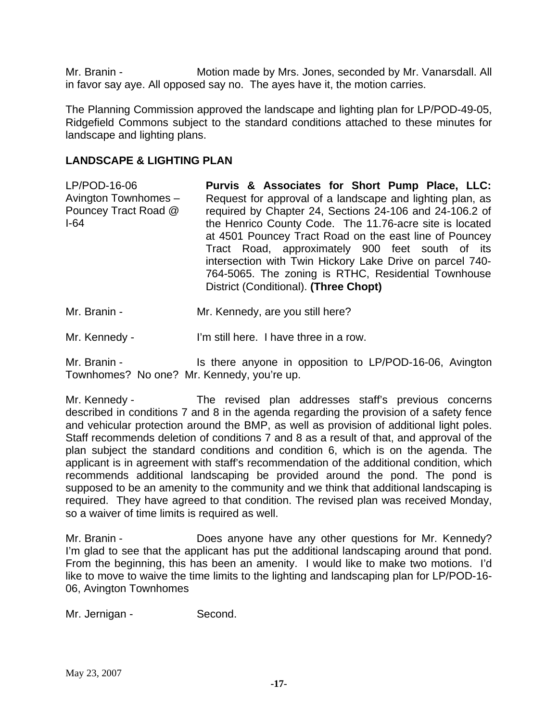Mr. Branin - **Motion made by Mrs. Jones, seconded by Mr. Vanarsdall. All** in favor say aye. All opposed say no. The ayes have it, the motion carries.

The Planning Commission approved the landscape and lighting plan for LP/POD-49-05, Ridgefield Commons subject to the standard conditions attached to these minutes for landscape and lighting plans.

#### **LANDSCAPE & LIGHTING PLAN**

LP/POD-16-06 Avington Townhomes – Pouncey Tract Road @ I-64 **Purvis & Associates for Short Pump Place, LLC:** Request for approval of a landscape and lighting plan, as required by Chapter 24, Sections 24-106 and 24-106.2 of the Henrico County Code. The 11.76-acre site is located at 4501 Pouncey Tract Road on the east line of Pouncey Tract Road, approximately 900 feet south of its intersection with Twin Hickory Lake Drive on parcel 740- 764-5065. The zoning is RTHC, Residential Townhouse District (Conditional). **(Three Chopt)**

Mr. Branin - Mr. Kennedy, are you still here?

Mr. Kennedy - I'm still here. I have three in a row.

Mr. Branin - Is there anyone in opposition to LP/POD-16-06, Avington Townhomes? No one? Mr. Kennedy, you're up.

Mr. Kennedy - The revised plan addresses staff's previous concerns described in conditions 7 and 8 in the agenda regarding the provision of a safety fence and vehicular protection around the BMP, as well as provision of additional light poles. Staff recommends deletion of conditions 7 and 8 as a result of that, and approval of the plan subject the standard conditions and condition 6, which is on the agenda. The applicant is in agreement with staff's recommendation of the additional condition, which recommends additional landscaping be provided around the pond. The pond is supposed to be an amenity to the community and we think that additional landscaping is required. They have agreed to that condition. The revised plan was received Monday, so a waiver of time limits is required as well.

Mr. Branin - **Does anyone have any other questions for Mr. Kennedy?** I'm glad to see that the applicant has put the additional landscaping around that pond. From the beginning, this has been an amenity. I would like to make two motions. I'd like to move to waive the time limits to the lighting and landscaping plan for LP/POD-16- 06, Avington Townhomes

Mr. Jernigan - Second.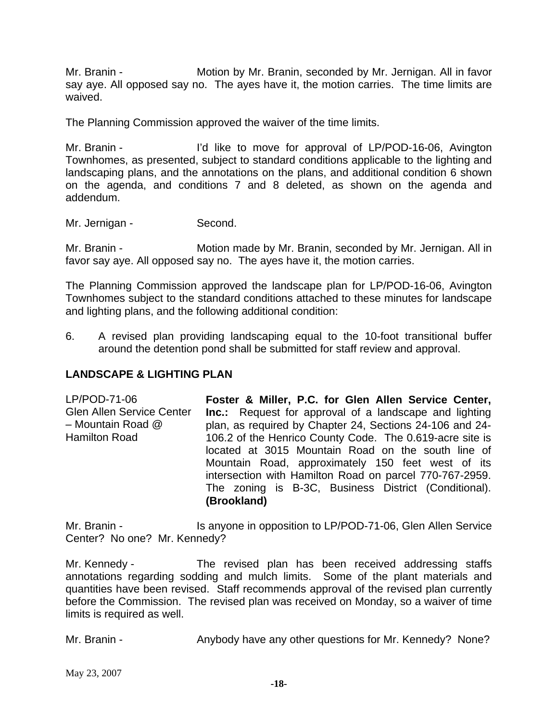Mr. Branin - Motion by Mr. Branin, seconded by Mr. Jernigan. All in favor say aye. All opposed say no. The ayes have it, the motion carries. The time limits are waived.

The Planning Commission approved the waiver of the time limits.

Mr. Branin - I'd like to move for approval of LP/POD-16-06, Avington Townhomes, as presented, subject to standard conditions applicable to the lighting and landscaping plans, and the annotations on the plans, and additional condition 6 shown on the agenda, and conditions 7 and 8 deleted, as shown on the agenda and addendum.

Mr. Jernigan - Second.

Mr. Branin - **Motion made by Mr. Branin, seconded by Mr. Jernigan. All in** favor say aye. All opposed say no. The ayes have it, the motion carries.

The Planning Commission approved the landscape plan for LP/POD-16-06, Avington Townhomes subject to the standard conditions attached to these minutes for landscape and lighting plans, and the following additional condition:

6. A revised plan providing landscaping equal to the 10-foot transitional buffer around the detention pond shall be submitted for staff review and approval.

#### **LANDSCAPE & LIGHTING PLAN**

LP/POD-71-06 Glen Allen Service Center – Mountain Road @ Hamilton Road **Foster & Miller, P.C. for Glen Allen Service Center, Inc.:** Request for approval of a landscape and lighting plan, as required by Chapter 24, Sections 24-106 and 24- 106.2 of the Henrico County Code. The 0.619-acre site is located at 3015 Mountain Road on the south line of Mountain Road, approximately 150 feet west of its intersection with Hamilton Road on parcel 770-767-2959. The zoning is B-3C, Business District (Conditional). **(Brookland)**

Mr. Branin - Is anyone in opposition to LP/POD-71-06, Glen Allen Service Center? No one? Mr. Kennedy?

Mr. Kennedy - The revised plan has been received addressing staffs annotations regarding sodding and mulch limits. Some of the plant materials and quantities have been revised. Staff recommends approval of the revised plan currently before the Commission. The revised plan was received on Monday, so a waiver of time limits is required as well.

Mr. Branin - **Anybody have any other questions for Mr. Kennedy?** None?

May 23, 2007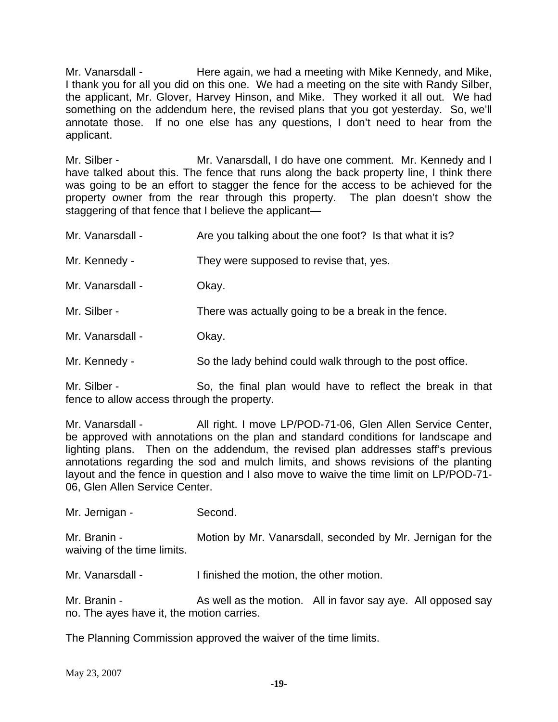Mr. Vanarsdall - Here again, we had a meeting with Mike Kennedy, and Mike, I thank you for all you did on this one. We had a meeting on the site with Randy Silber, the applicant, Mr. Glover, Harvey Hinson, and Mike. They worked it all out. We had something on the addendum here, the revised plans that you got yesterday. So, we'll annotate those. If no one else has any questions, I don't need to hear from the applicant.

Mr. Silber - **Mr. Vanarsdall, I do have one comment.** Mr. Kennedy and I have talked about this. The fence that runs along the back property line, I think there was going to be an effort to stagger the fence for the access to be achieved for the property owner from the rear through this property. The plan doesn't show the staggering of that fence that I believe the applicant—

| Mr. Vanarsdall - | Are you talking about the one foot? Is that what it is?   |
|------------------|-----------------------------------------------------------|
| Mr. Kennedy -    | They were supposed to revise that, yes.                   |
| Mr. Vanarsdall - | Okay.                                                     |
| Mr. Silber -     | There was actually going to be a break in the fence.      |
| Mr. Vanarsdall - | Okay.                                                     |
| Mr. Kennedy -    | So the lady behind could walk through to the post office. |
| Mr. Silber -     | So, the final plan would have to reflect the break in t   |

Mr. Silber - So, the final plan would have to reflect the break in that fence to allow access through the property.

Mr. Vanarsdall - All right. I move LP/POD-71-06, Glen Allen Service Center, be approved with annotations on the plan and standard conditions for landscape and lighting plans. Then on the addendum, the revised plan addresses staff's previous annotations regarding the sod and mulch limits, and shows revisions of the planting layout and the fence in question and I also move to waive the time limit on LP/POD-71- 06, Glen Allen Service Center.

Mr. Jernigan - Second.

Mr. Branin - **Motion by Mr. Vanarsdall, seconded by Mr. Jernigan for the** waiving of the time limits.

Mr. Vanarsdall - I finished the motion, the other motion.

Mr. Branin - As well as the motion. All in favor say aye. All opposed say no. The ayes have it, the motion carries.

The Planning Commission approved the waiver of the time limits.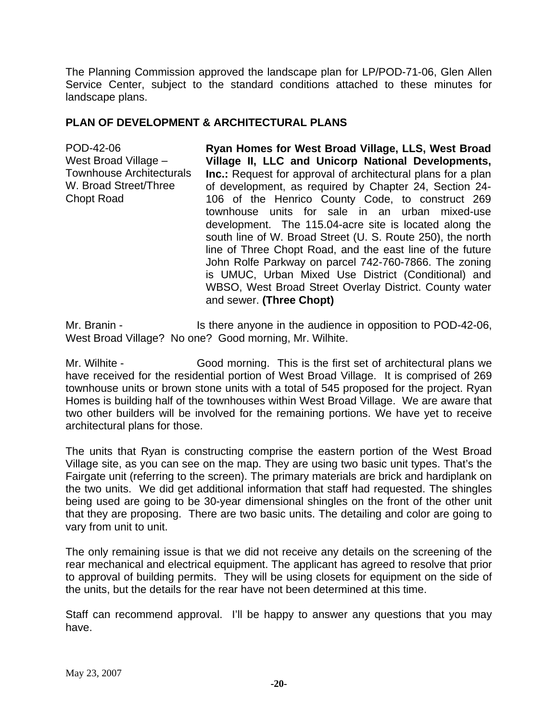The Planning Commission approved the landscape plan for LP/POD-71-06, Glen Allen Service Center, subject to the standard conditions attached to these minutes for landscape plans.

### **PLAN OF DEVELOPMENT & ARCHITECTURAL PLANS**

POD-42-06 West Broad Village – Townhouse Architecturals W. Broad Street/Three Chopt Road **Ryan Homes for West Broad Village, LLS, West Broad Village II, LLC and Unicorp National Developments, Inc.:** Request for approval of architectural plans for a plan of development, as required by Chapter 24, Section 24- 106 of the Henrico County Code, to construct 269 townhouse units for sale in an urban mixed-use development. The 115.04-acre site is located along the south line of W. Broad Street (U. S. Route 250), the north line of Three Chopt Road, and the east line of the future John Rolfe Parkway on parcel 742-760-7866. The zoning is UMUC, Urban Mixed Use District (Conditional) and WBSO, West Broad Street Overlay District. County water and sewer. **(Three Chopt)** 

Mr. Branin - Is there anyone in the audience in opposition to POD-42-06, West Broad Village? No one? Good morning, Mr. Wilhite.

Mr. Wilhite - Good morning. This is the first set of architectural plans we have received for the residential portion of West Broad Village. It is comprised of 269 townhouse units or brown stone units with a total of 545 proposed for the project. Ryan Homes is building half of the townhouses within West Broad Village. We are aware that two other builders will be involved for the remaining portions. We have yet to receive architectural plans for those.

The units that Ryan is constructing comprise the eastern portion of the West Broad Village site, as you can see on the map. They are using two basic unit types. That's the Fairgate unit (referring to the screen). The primary materials are brick and hardiplank on the two units. We did get additional information that staff had requested. The shingles being used are going to be 30-year dimensional shingles on the front of the other unit that they are proposing. There are two basic units. The detailing and color are going to vary from unit to unit.

The only remaining issue is that we did not receive any details on the screening of the rear mechanical and electrical equipment. The applicant has agreed to resolve that prior to approval of building permits. They will be using closets for equipment on the side of the units, but the details for the rear have not been determined at this time.

Staff can recommend approval. I'll be happy to answer any questions that you may have.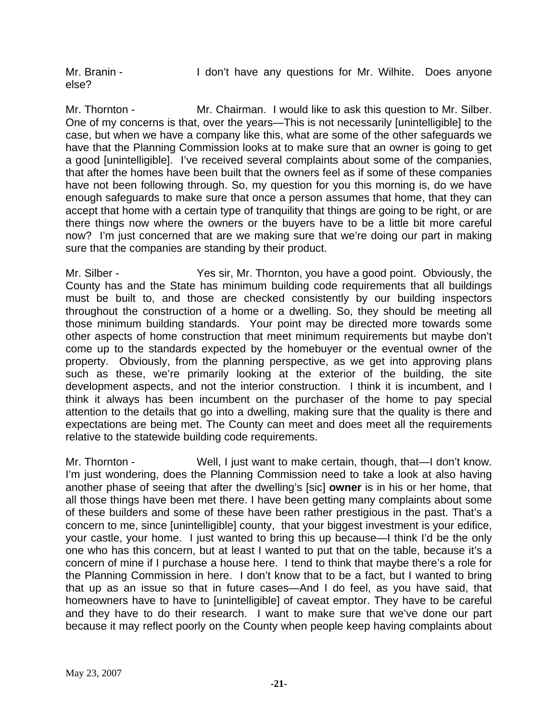Mr. Branin - The Muslim Character any questions for Mr. Wilhite. Does anyone else?

Mr. Thornton - Mr. Chairman. I would like to ask this question to Mr. Silber. One of my concerns is that, over the years—This is not necessarily [unintelligible] to the case, but when we have a company like this, what are some of the other safeguards we have that the Planning Commission looks at to make sure that an owner is going to get a good [unintelligible]. I've received several complaints about some of the companies, that after the homes have been built that the owners feel as if some of these companies have not been following through. So, my question for you this morning is, do we have enough safeguards to make sure that once a person assumes that home, that they can accept that home with a certain type of tranquility that things are going to be right, or are there things now where the owners or the buyers have to be a little bit more careful now? I'm just concerned that are we making sure that we're doing our part in making sure that the companies are standing by their product.

Mr. Silber - Yes sir, Mr. Thornton, you have a good point. Obviously, the County has and the State has minimum building code requirements that all buildings must be built to, and those are checked consistently by our building inspectors throughout the construction of a home or a dwelling. So, they should be meeting all those minimum building standards. Your point may be directed more towards some other aspects of home construction that meet minimum requirements but maybe don't come up to the standards expected by the homebuyer or the eventual owner of the property. Obviously, from the planning perspective, as we get into approving plans such as these, we're primarily looking at the exterior of the building, the site development aspects, and not the interior construction. I think it is incumbent, and I think it always has been incumbent on the purchaser of the home to pay special attention to the details that go into a dwelling, making sure that the quality is there and expectations are being met. The County can meet and does meet all the requirements relative to the statewide building code requirements.

Mr. Thornton - Well, I just want to make certain, though, that—I don't know. I'm just wondering, does the Planning Commission need to take a look at also having another phase of seeing that after the dwelling's [sic] **owner** is in his or her home, that all those things have been met there. I have been getting many complaints about some of these builders and some of these have been rather prestigious in the past. That's a concern to me, since [unintelligible] county, that your biggest investment is your edifice, your castle, your home. I just wanted to bring this up because—I think I'd be the only one who has this concern, but at least I wanted to put that on the table, because it's a concern of mine if I purchase a house here. I tend to think that maybe there's a role for the Planning Commission in here. I don't know that to be a fact, but I wanted to bring that up as an issue so that in future cases—And I do feel, as you have said, that homeowners have to have to [unintelligible] of caveat emptor. They have to be careful and they have to do their research. I want to make sure that we've done our part because it may reflect poorly on the County when people keep having complaints about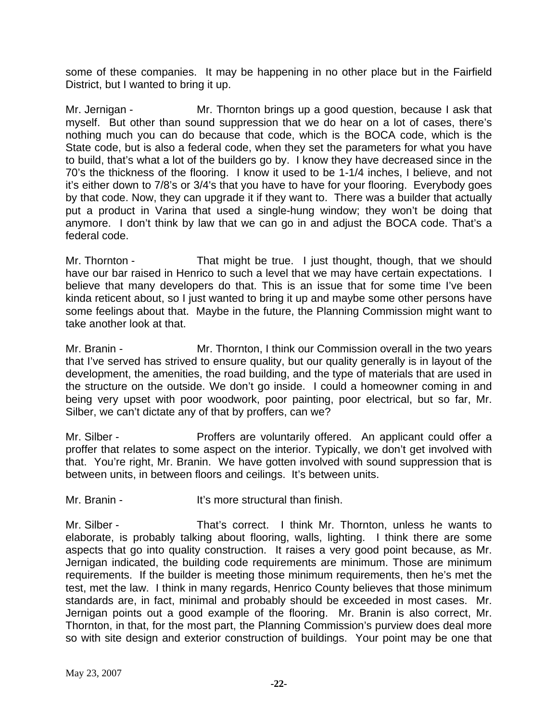some of these companies. It may be happening in no other place but in the Fairfield District, but I wanted to bring it up.

Mr. Jernigan - Mr. Thornton brings up a good question, because I ask that myself. But other than sound suppression that we do hear on a lot of cases, there's nothing much you can do because that code, which is the BOCA code, which is the State code, but is also a federal code, when they set the parameters for what you have to build, that's what a lot of the builders go by. I know they have decreased since in the 70's the thickness of the flooring. I know it used to be 1-1/4 inches, I believe, and not it's either down to 7/8's or 3/4's that you have to have for your flooring. Everybody goes by that code. Now, they can upgrade it if they want to. There was a builder that actually put a product in Varina that used a single-hung window; they won't be doing that anymore. I don't think by law that we can go in and adjust the BOCA code. That's a federal code.

Mr. Thornton - That might be true. I just thought, though, that we should have our bar raised in Henrico to such a level that we may have certain expectations. I believe that many developers do that. This is an issue that for some time I've been kinda reticent about, so I just wanted to bring it up and maybe some other persons have some feelings about that. Maybe in the future, the Planning Commission might want to take another look at that.

Mr. Branin - Mr. Thornton, I think our Commission overall in the two years that I've served has strived to ensure quality, but our quality generally is in layout of the development, the amenities, the road building, and the type of materials that are used in the structure on the outside. We don't go inside. I could a homeowner coming in and being very upset with poor woodwork, poor painting, poor electrical, but so far, Mr. Silber, we can't dictate any of that by proffers, can we?

Mr. Silber - **Proffers are voluntarily offered.** An applicant could offer a proffer that relates to some aspect on the interior. Typically, we don't get involved with that. You're right, Mr. Branin. We have gotten involved with sound suppression that is between units, in between floors and ceilings. It's between units.

Mr. Branin - **It's more structural than finish.** 

Mr. Silber - That's correct. I think Mr. Thornton, unless he wants to elaborate, is probably talking about flooring, walls, lighting. I think there are some aspects that go into quality construction. It raises a very good point because, as Mr. Jernigan indicated, the building code requirements are minimum. Those are minimum requirements. If the builder is meeting those minimum requirements, then he's met the test, met the law. I think in many regards, Henrico County believes that those minimum standards are, in fact, minimal and probably should be exceeded in most cases. Mr. Jernigan points out a good example of the flooring. Mr. Branin is also correct, Mr. Thornton, in that, for the most part, the Planning Commission's purview does deal more so with site design and exterior construction of buildings. Your point may be one that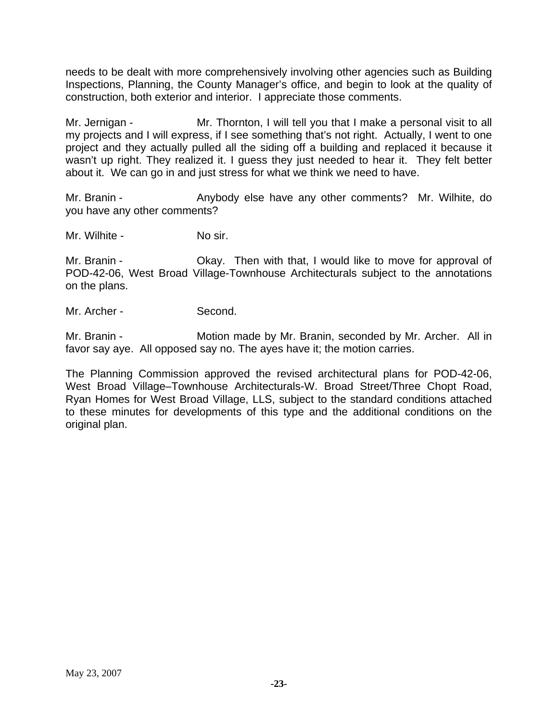needs to be dealt with more comprehensively involving other agencies such as Building Inspections, Planning, the County Manager's office, and begin to look at the quality of construction, both exterior and interior. I appreciate those comments.

Mr. Jernigan - Mr. Thornton, I will tell you that I make a personal visit to all my projects and I will express, if I see something that's not right. Actually, I went to one project and they actually pulled all the siding off a building and replaced it because it wasn't up right. They realized it. I guess they just needed to hear it. They felt better about it. We can go in and just stress for what we think we need to have.

Mr. Branin - The Anybody else have any other comments? Mr. Wilhite, do you have any other comments?

Mr. Wilhite - No sir.

Mr. Branin - Ckay. Then with that, I would like to move for approval of POD-42-06, West Broad Village-Townhouse Architecturals subject to the annotations on the plans.

Mr. Archer - Second.

Mr. Branin - **Motion made by Mr. Branin, seconded by Mr. Archer.** All in favor say aye. All opposed say no. The ayes have it; the motion carries.

The Planning Commission approved the revised architectural plans for POD-42-06, West Broad Village–Townhouse Architecturals-W. Broad Street/Three Chopt Road, Ryan Homes for West Broad Village, LLS, subject to the standard conditions attached to these minutes for developments of this type and the additional conditions on the original plan.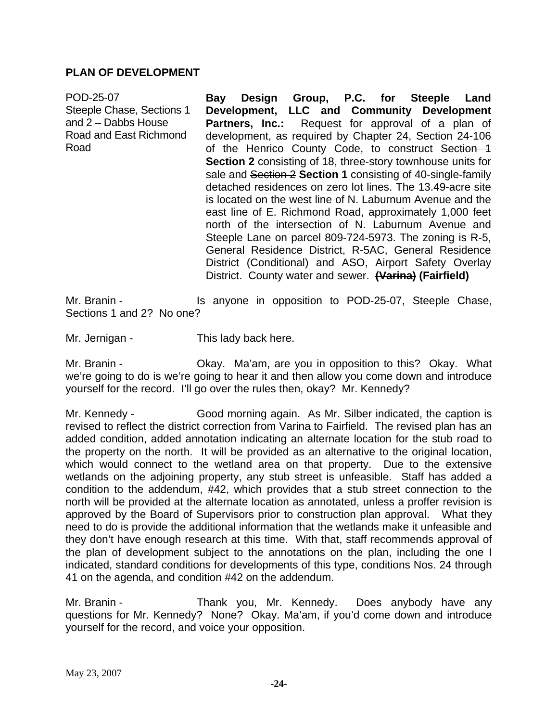#### **PLAN OF DEVELOPMENT**

| POD-25-07                 | Bay                                                                                                                                                                                                                                                                                                                                                                                                                                                                                                                                                                                                            | Design Group, P.C. for Steeple Land |  |
|---------------------------|----------------------------------------------------------------------------------------------------------------------------------------------------------------------------------------------------------------------------------------------------------------------------------------------------------------------------------------------------------------------------------------------------------------------------------------------------------------------------------------------------------------------------------------------------------------------------------------------------------------|-------------------------------------|--|
| Steeple Chase, Sections 1 | Development, LLC and Community Development                                                                                                                                                                                                                                                                                                                                                                                                                                                                                                                                                                     |                                     |  |
| and $2 -$ Dabbs House     | <b>Partners, Inc.:</b> Request for approval of a plan of                                                                                                                                                                                                                                                                                                                                                                                                                                                                                                                                                       |                                     |  |
| Road and East Richmond    | development, as required by Chapter 24, Section 24-106                                                                                                                                                                                                                                                                                                                                                                                                                                                                                                                                                         |                                     |  |
| Road                      | of the Henrico County Code, to construct Section 1                                                                                                                                                                                                                                                                                                                                                                                                                                                                                                                                                             |                                     |  |
|                           | Section 2 consisting of 18, three-story townhouse units for<br>sale and Section 2 Section 1 consisting of 40-single-family<br>detached residences on zero lot lines. The 13.49-acre site<br>is located on the west line of N. Laburnum Avenue and the<br>east line of E. Richmond Road, approximately 1,000 feet<br>north of the intersection of N. Laburnum Avenue and<br>Steeple Lane on parcel 809-724-5973. The zoning is R-5,<br>General Residence District, R-5AC, General Residence<br>District (Conditional) and ASO, Airport Safety Overlay<br>District. County water and sewer. (Varina) (Fairfield) |                                     |  |

Mr. Branin - The Standard Is anyone in opposition to POD-25-07, Steeple Chase, Sections 1 and 2? No one?

Mr. Jernigan - This lady back here.

Mr. Branin - Chay. Ma'am, are you in opposition to this? Okay. What we're going to do is we're going to hear it and then allow you come down and introduce yourself for the record. I'll go over the rules then, okay? Mr. Kennedy?

Mr. Kennedy - Good morning again. As Mr. Silber indicated, the caption is revised to reflect the district correction from Varina to Fairfield. The revised plan has an added condition, added annotation indicating an alternate location for the stub road to the property on the north. It will be provided as an alternative to the original location, which would connect to the wetland area on that property. Due to the extensive wetlands on the adjoining property, any stub street is unfeasible. Staff has added a condition to the addendum, #42, which provides that a stub street connection to the north will be provided at the alternate location as annotated, unless a proffer revision is approved by the Board of Supervisors prior to construction plan approval. What they need to do is provide the additional information that the wetlands make it unfeasible and they don't have enough research at this time. With that, staff recommends approval of the plan of development subject to the annotations on the plan, including the one I indicated, standard conditions for developments of this type, conditions Nos. 24 through 41 on the agenda, and condition #42 on the addendum.

Mr. Branin - Thank you, Mr. Kennedy. Does anybody have any questions for Mr. Kennedy? None? Okay. Ma'am, if you'd come down and introduce yourself for the record, and voice your opposition.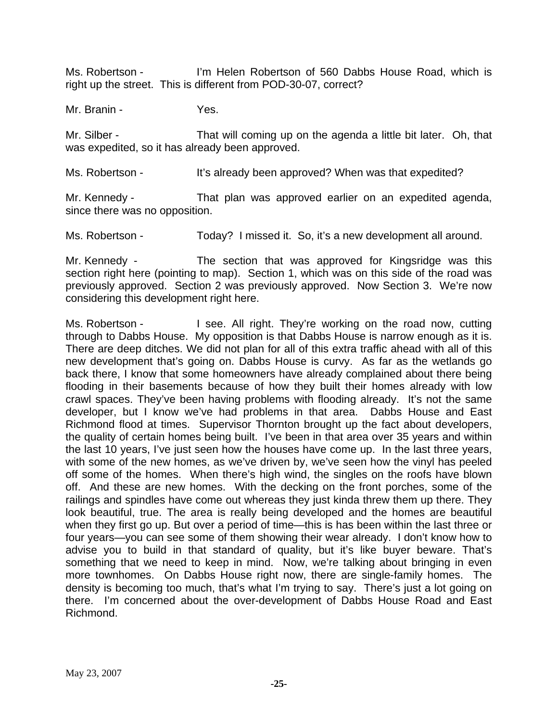Ms. Robertson - I'm Helen Robertson of 560 Dabbs House Road, which is right up the street. This is different from POD-30-07, correct?

Mr. Branin - Yes.

Mr. Silber - That will coming up on the agenda a little bit later. Oh, that was expedited, so it has already been approved.

Ms. Robertson - It's already been approved? When was that expedited?

Mr. Kennedy - That plan was approved earlier on an expedited agenda, since there was no opposition.

Ms. Robertson - Today? I missed it. So, it's a new development all around.

Mr. Kennedy - The section that was approved for Kingsridge was this section right here (pointing to map). Section 1, which was on this side of the road was previously approved. Section 2 was previously approved. Now Section 3. We're now considering this development right here.

Ms. Robertson - I see. All right. They're working on the road now, cutting through to Dabbs House. My opposition is that Dabbs House is narrow enough as it is. There are deep ditches. We did not plan for all of this extra traffic ahead with all of this new development that's going on. Dabbs House is curvy. As far as the wetlands go back there, I know that some homeowners have already complained about there being flooding in their basements because of how they built their homes already with low crawl spaces. They've been having problems with flooding already. It's not the same developer, but I know we've had problems in that area. Dabbs House and East Richmond flood at times. Supervisor Thornton brought up the fact about developers, the quality of certain homes being built. I've been in that area over 35 years and within the last 10 years, I've just seen how the houses have come up. In the last three years, with some of the new homes, as we've driven by, we've seen how the vinyl has peeled off some of the homes. When there's high wind, the singles on the roofs have blown off. And these are new homes. With the decking on the front porches, some of the railings and spindles have come out whereas they just kinda threw them up there. They look beautiful, true. The area is really being developed and the homes are beautiful when they first go up. But over a period of time—this is has been within the last three or four years—you can see some of them showing their wear already. I don't know how to advise you to build in that standard of quality, but it's like buyer beware. That's something that we need to keep in mind. Now, we're talking about bringing in even more townhomes. On Dabbs House right now, there are single-family homes. The density is becoming too much, that's what I'm trying to say. There's just a lot going on there. I'm concerned about the over-development of Dabbs House Road and East Richmond.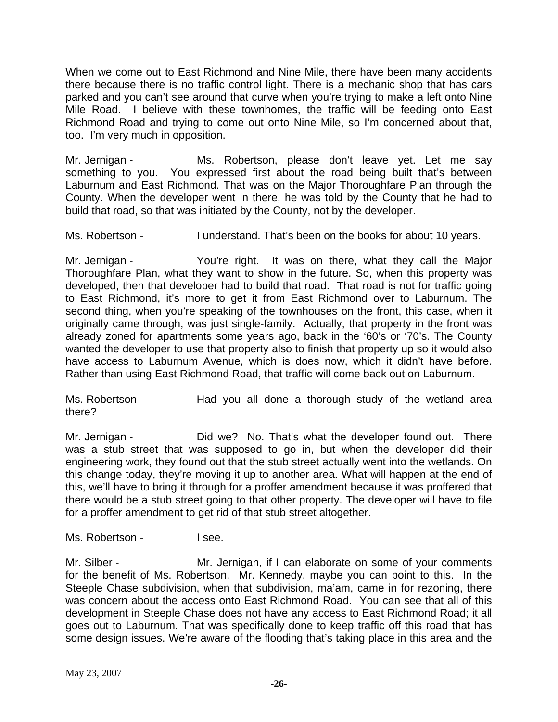When we come out to East Richmond and Nine Mile, there have been many accidents there because there is no traffic control light. There is a mechanic shop that has cars parked and you can't see around that curve when you're trying to make a left onto Nine Mile Road. I believe with these townhomes, the traffic will be feeding onto East Richmond Road and trying to come out onto Nine Mile, so I'm concerned about that, too. I'm very much in opposition.

Mr. Jernigan - Ms. Robertson, please don't leave yet. Let me say something to you. You expressed first about the road being built that's between Laburnum and East Richmond. That was on the Major Thoroughfare Plan through the County. When the developer went in there, he was told by the County that he had to build that road, so that was initiated by the County, not by the developer.

Ms. Robertson - I understand. That's been on the books for about 10 years.

Mr. Jernigan - The You're right. It was on there, what they call the Major Thoroughfare Plan, what they want to show in the future. So, when this property was developed, then that developer had to build that road. That road is not for traffic going to East Richmond, it's more to get it from East Richmond over to Laburnum. The second thing, when you're speaking of the townhouses on the front, this case, when it originally came through, was just single-family. Actually, that property in the front was already zoned for apartments some years ago, back in the '60's or '70's. The County wanted the developer to use that property also to finish that property up so it would also have access to Laburnum Avenue, which is does now, which it didn't have before. Rather than using East Richmond Road, that traffic will come back out on Laburnum.

Ms. Robertson - Had you all done a thorough study of the wetland area there?

Mr. Jernigan - That's what the developer found out. There was a stub street that was supposed to go in, but when the developer did their engineering work, they found out that the stub street actually went into the wetlands. On this change today, they're moving it up to another area. What will happen at the end of this, we'll have to bring it through for a proffer amendment because it was proffered that there would be a stub street going to that other property. The developer will have to file for a proffer amendment to get rid of that stub street altogether.

Ms. Robertson - The I see.

Mr. Silber - **Mr.** Jernigan, if I can elaborate on some of your comments for the benefit of Ms. Robertson. Mr. Kennedy, maybe you can point to this. In the Steeple Chase subdivision, when that subdivision, ma'am, came in for rezoning, there was concern about the access onto East Richmond Road. You can see that all of this development in Steeple Chase does not have any access to East Richmond Road; it all goes out to Laburnum. That was specifically done to keep traffic off this road that has some design issues. We're aware of the flooding that's taking place in this area and the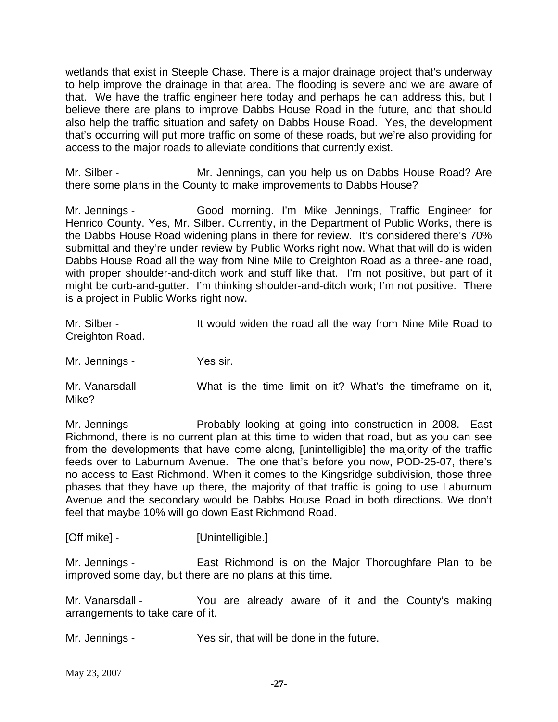wetlands that exist in Steeple Chase. There is a major drainage project that's underway to help improve the drainage in that area. The flooding is severe and we are aware of that. We have the traffic engineer here today and perhaps he can address this, but I believe there are plans to improve Dabbs House Road in the future, and that should also help the traffic situation and safety on Dabbs House Road. Yes, the development that's occurring will put more traffic on some of these roads, but we're also providing for access to the major roads to alleviate conditions that currently exist.

Mr. Silber - Mr. Jennings, can you help us on Dabbs House Road? Are there some plans in the County to make improvements to Dabbs House?

Mr. Jennings - Good morning. I'm Mike Jennings, Traffic Engineer for Henrico County. Yes, Mr. Silber. Currently, in the Department of Public Works, there is the Dabbs House Road widening plans in there for review. It's considered there's 70% submittal and they're under review by Public Works right now. What that will do is widen Dabbs House Road all the way from Nine Mile to Creighton Road as a three-lane road, with proper shoulder-and-ditch work and stuff like that. I'm not positive, but part of it might be curb-and-gutter. I'm thinking shoulder-and-ditch work; I'm not positive. There is a project in Public Works right now.

| Mr. Silber -<br>Creighton Road. | It would widen the road all the way from Nine Mile Road to |
|---------------------------------|------------------------------------------------------------|
| Mr. Jennings -                  | Yes sir.                                                   |
| Mr. Vanarsdall -<br>Mike?       | What is the time limit on it? What's the timeframe on it,  |

Mr. Jennings - Probably looking at going into construction in 2008. East Richmond, there is no current plan at this time to widen that road, but as you can see from the developments that have come along, [unintelligible] the majority of the traffic feeds over to Laburnum Avenue. The one that's before you now, POD-25-07, there's no access to East Richmond. When it comes to the Kingsridge subdivision, those three phases that they have up there, the majority of that traffic is going to use Laburnum Avenue and the secondary would be Dabbs House Road in both directions. We don't feel that maybe 10% will go down East Richmond Road.

[Off mike] - [Unintelligible.]

Mr. Jennings - East Richmond is on the Major Thoroughfare Plan to be improved some day, but there are no plans at this time.

Mr. Vanarsdall - The You are already aware of it and the County's making arrangements to take care of it.

Mr. Jennings - Yes sir, that will be done in the future.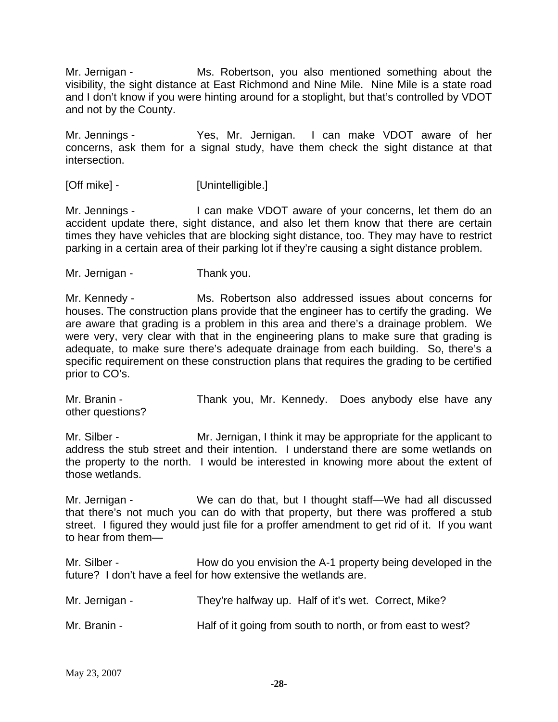Mr. Jernigan - Ms. Robertson, you also mentioned something about the visibility, the sight distance at East Richmond and Nine Mile. Nine Mile is a state road and I don't know if you were hinting around for a stoplight, but that's controlled by VDOT and not by the County.

Mr. Jennings - Yes, Mr. Jernigan. I can make VDOT aware of her concerns, ask them for a signal study, have them check the sight distance at that intersection.

[Off mike] - [Unintelligible.]

Mr. Jennings - I can make VDOT aware of your concerns, let them do an accident update there, sight distance, and also let them know that there are certain times they have vehicles that are blocking sight distance, too. They may have to restrict parking in a certain area of their parking lot if they're causing a sight distance problem.

Mr. Jernigan - Thank you.

Mr. Kennedy - Ms. Robertson also addressed issues about concerns for houses. The construction plans provide that the engineer has to certify the grading. We are aware that grading is a problem in this area and there's a drainage problem. We were very, very clear with that in the engineering plans to make sure that grading is adequate, to make sure there's adequate drainage from each building. So, there's a specific requirement on these construction plans that requires the grading to be certified prior to CO's.

Mr. Branin - Thank you, Mr. Kennedy. Does anybody else have any other questions?

Mr. Silber - Mr. Jernigan, I think it may be appropriate for the applicant to address the stub street and their intention. I understand there are some wetlands on the property to the north. I would be interested in knowing more about the extent of those wetlands.

Mr. Jernigan - We can do that, but I thought staff—We had all discussed that there's not much you can do with that property, but there was proffered a stub street. I figured they would just file for a proffer amendment to get rid of it. If you want to hear from them—

Mr. Silber - How do you envision the A-1 property being developed in the future? I don't have a feel for how extensive the wetlands are.

| Mr. Jernigan - | They're halfway up. Half of it's wet. Correct, Mike?        |
|----------------|-------------------------------------------------------------|
| Mr. Branin -   | Half of it going from south to north, or from east to west? |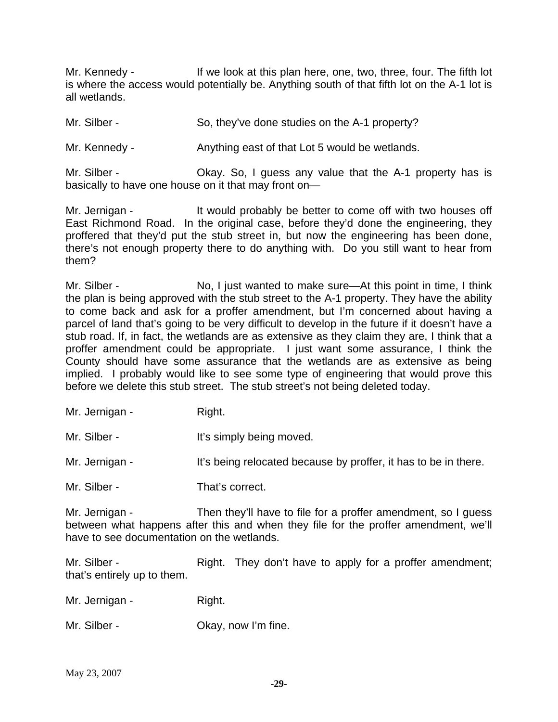Mr. Kennedy - The same look at this plan here, one, two, three, four. The fifth lot is where the access would potentially be. Anything south of that fifth lot on the A-1 lot is all wetlands.

Mr. Silber - So, they've done studies on the A-1 property?

Mr. Kennedy - Anything east of that Lot 5 would be wetlands.

Mr. Silber - Ckay. So, I guess any value that the A-1 property has is basically to have one house on it that may front on—

Mr. Jernigan - It would probably be better to come off with two houses off East Richmond Road. In the original case, before they'd done the engineering, they proffered that they'd put the stub street in, but now the engineering has been done, there's not enough property there to do anything with. Do you still want to hear from them?

Mr. Silber - No, I just wanted to make sure—At this point in time, I think the plan is being approved with the stub street to the A-1 property. They have the ability to come back and ask for a proffer amendment, but I'm concerned about having a parcel of land that's going to be very difficult to develop in the future if it doesn't have a stub road. If, in fact, the wetlands are as extensive as they claim they are, I think that a proffer amendment could be appropriate. I just want some assurance, I think the County should have some assurance that the wetlands are as extensive as being implied. I probably would like to see some type of engineering that would prove this before we delete this stub street. The stub street's not being deleted today.

| Mr. Jernigan - | Right. |
|----------------|--------|
|----------------|--------|

Mr. Silber - The Muslim Hi's simply being moved.

Mr. Jernigan - It's being relocated because by proffer, it has to be in there.

Mr. Silber - That's correct.

Mr. Jernigan - Then they'll have to file for a proffer amendment, so I guess between what happens after this and when they file for the proffer amendment, we'll have to see documentation on the wetlands.

Mr. Silber - Right. They don't have to apply for a proffer amendment; that's entirely up to them.

Mr. Jernigan - Right.

Mr. Silber - Chay, now I'm fine.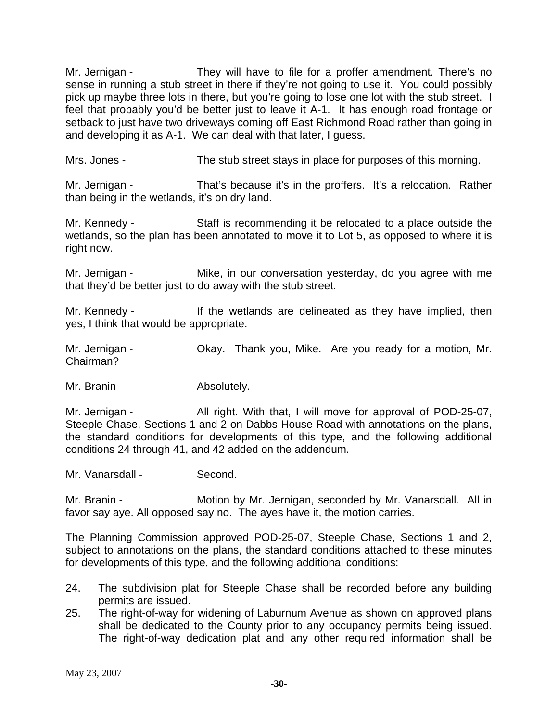Mr. Jernigan - They will have to file for a proffer amendment. There's no sense in running a stub street in there if they're not going to use it. You could possibly pick up maybe three lots in there, but you're going to lose one lot with the stub street. I feel that probably you'd be better just to leave it A-1. It has enough road frontage or setback to just have two driveways coming off East Richmond Road rather than going in and developing it as A-1. We can deal with that later, I guess.

Mrs. Jones - The stub street stays in place for purposes of this morning.

Mr. Jernigan - That's because it's in the proffers. It's a relocation. Rather than being in the wetlands, it's on dry land.

Mr. Kennedy - Staff is recommending it be relocated to a place outside the wetlands, so the plan has been annotated to move it to Lot 5, as opposed to where it is right now.

Mr. Jernigan - Mike, in our conversation yesterday, do you agree with me that they'd be better just to do away with the stub street.

Mr. Kennedy - If the wetlands are delineated as they have implied, then yes, I think that would be appropriate.

Mr. Jernigan - Ckay. Thank you, Mike. Are you ready for a motion, Mr. Chairman?

Mr. Branin - The Absolutely.

Mr. Jernigan - All right. With that, I will move for approval of POD-25-07, Steeple Chase, Sections 1 and 2 on Dabbs House Road with annotations on the plans, the standard conditions for developments of this type, and the following additional conditions 24 through 41, and 42 added on the addendum.

Mr. Vanarsdall - Second.

Mr. Branin - **Motion by Mr. Jernigan, seconded by Mr. Vanarsdall.** All in favor say aye. All opposed say no. The ayes have it, the motion carries.

The Planning Commission approved POD-25-07, Steeple Chase, Sections 1 and 2, subject to annotations on the plans, the standard conditions attached to these minutes for developments of this type, and the following additional conditions:

- 24. The subdivision plat for Steeple Chase shall be recorded before any building permits are issued.
- 25. The right-of-way for widening of Laburnum Avenue as shown on approved plans shall be dedicated to the County prior to any occupancy permits being issued. The right-of-way dedication plat and any other required information shall be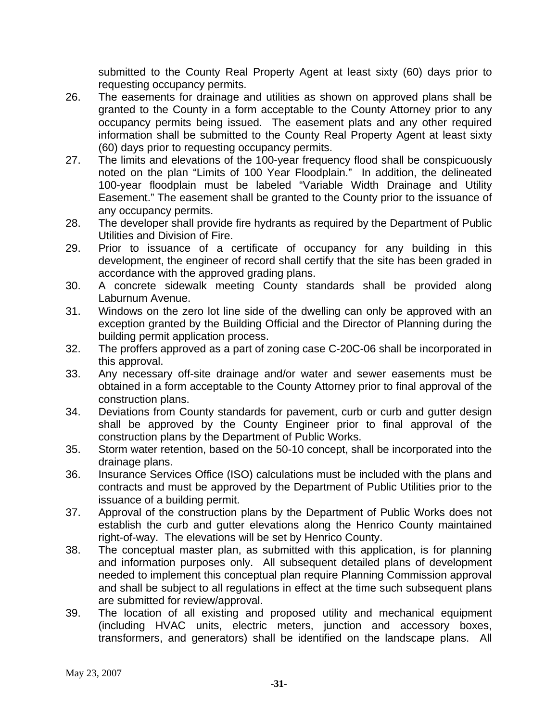submitted to the County Real Property Agent at least sixty (60) days prior to requesting occupancy permits.

- 26. The easements for drainage and utilities as shown on approved plans shall be granted to the County in a form acceptable to the County Attorney prior to any occupancy permits being issued. The easement plats and any other required information shall be submitted to the County Real Property Agent at least sixty (60) days prior to requesting occupancy permits.
- 27. The limits and elevations of the 100-year frequency flood shall be conspicuously noted on the plan "Limits of 100 Year Floodplain." In addition, the delineated 100-year floodplain must be labeled "Variable Width Drainage and Utility Easement." The easement shall be granted to the County prior to the issuance of any occupancy permits.
- 28. The developer shall provide fire hydrants as required by the Department of Public Utilities and Division of Fire.
- 29. Prior to issuance of a certificate of occupancy for any building in this development, the engineer of record shall certify that the site has been graded in accordance with the approved grading plans.
- 30. A concrete sidewalk meeting County standards shall be provided along Laburnum Avenue.
- 31. Windows on the zero lot line side of the dwelling can only be approved with an exception granted by the Building Official and the Director of Planning during the building permit application process.
- 32. The proffers approved as a part of zoning case C-20C-06 shall be incorporated in this approval.
- 33. Any necessary off-site drainage and/or water and sewer easements must be obtained in a form acceptable to the County Attorney prior to final approval of the construction plans.
- 34. Deviations from County standards for pavement, curb or curb and gutter design shall be approved by the County Engineer prior to final approval of the construction plans by the Department of Public Works.
- 35. Storm water retention, based on the 50-10 concept, shall be incorporated into the drainage plans.
- 36. Insurance Services Office (ISO) calculations must be included with the plans and contracts and must be approved by the Department of Public Utilities prior to the issuance of a building permit.
- 37. Approval of the construction plans by the Department of Public Works does not establish the curb and gutter elevations along the Henrico County maintained right-of-way. The elevations will be set by Henrico County.
- 38. The conceptual master plan, as submitted with this application, is for planning and information purposes only. All subsequent detailed plans of development needed to implement this conceptual plan require Planning Commission approval and shall be subject to all regulations in effect at the time such subsequent plans are submitted for review/approval.
- 39. The location of all existing and proposed utility and mechanical equipment (including HVAC units, electric meters, junction and accessory boxes, transformers, and generators) shall be identified on the landscape plans. All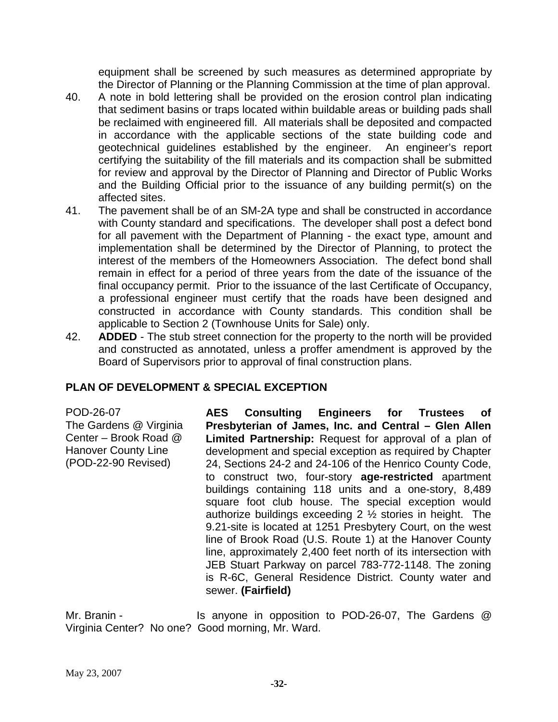equipment shall be screened by such measures as determined appropriate by the Director of Planning or the Planning Commission at the time of plan approval.

- 40. A note in bold lettering shall be provided on the erosion control plan indicating that sediment basins or traps located within buildable areas or building pads shall be reclaimed with engineered fill. All materials shall be deposited and compacted in accordance with the applicable sections of the state building code and geotechnical guidelines established by the engineer. An engineer's report certifying the suitability of the fill materials and its compaction shall be submitted for review and approval by the Director of Planning and Director of Public Works and the Building Official prior to the issuance of any building permit(s) on the affected sites.
- 41. The pavement shall be of an SM-2A type and shall be constructed in accordance with County standard and specifications. The developer shall post a defect bond for all pavement with the Department of Planning - the exact type, amount and implementation shall be determined by the Director of Planning, to protect the interest of the members of the Homeowners Association. The defect bond shall remain in effect for a period of three years from the date of the issuance of the final occupancy permit. Prior to the issuance of the last Certificate of Occupancy, a professional engineer must certify that the roads have been designed and constructed in accordance with County standards. This condition shall be applicable to Section 2 (Townhouse Units for Sale) only.
- 42. **ADDED** The stub street connection for the property to the north will be provided and constructed as annotated, unless a proffer amendment is approved by the Board of Supervisors prior to approval of final construction plans.

# **PLAN OF DEVELOPMENT & SPECIAL EXCEPTION**

POD-26-07 The Gardens @ Virginia Center – Brook Road @ Hanover County Line (POD-22-90 Revised)

**AES Consulting Engineers for Trustees of Presbyterian of James, Inc. and Central – Glen Allen Limited Partnership:** Request for approval of a plan of development and special exception as required by Chapter 24, Sections 24-2 and 24-106 of the Henrico County Code, to construct two, four-story **age-restricted** apartment buildings containing 118 units and a one-story, 8,489 square foot club house. The special exception would authorize buildings exceeding  $2 \frac{1}{2}$  stories in height. The 9.21-site is located at 1251 Presbytery Court, on the west line of Brook Road (U.S. Route 1) at the Hanover County line, approximately 2,400 feet north of its intersection with JEB Stuart Parkway on parcel 783-772-1148. The zoning is R-6C, General Residence District. County water and sewer. **(Fairfield)** 

Mr. Branin - Is anyone in opposition to POD-26-07, The Gardens @ Virginia Center? No one? Good morning, Mr. Ward.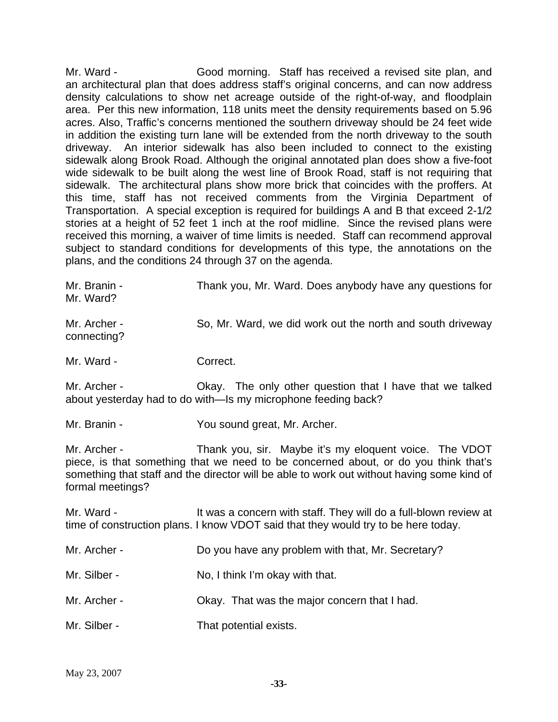Mr. Ward - Good morning. Staff has received a revised site plan, and an architectural plan that does address staff's original concerns, and can now address density calculations to show net acreage outside of the right-of-way, and floodplain area. Per this new information, 118 units meet the density requirements based on 5.96 acres. Also, Traffic's concerns mentioned the southern driveway should be 24 feet wide in addition the existing turn lane will be extended from the north driveway to the south driveway. An interior sidewalk has also been included to connect to the existing sidewalk along Brook Road. Although the original annotated plan does show a five-foot wide sidewalk to be built along the west line of Brook Road, staff is not requiring that sidewalk. The architectural plans show more brick that coincides with the proffers. At this time, staff has not received comments from the Virginia Department of Transportation. A special exception is required for buildings A and B that exceed 2-1/2 stories at a height of 52 feet 1 inch at the roof midline. Since the revised plans were received this morning, a waiver of time limits is needed. Staff can recommend approval subject to standard conditions for developments of this type, the annotations on the plans, and the conditions 24 through 37 on the agenda.

| Mr. Branin -<br>Mr. Ward?        | Thank you, Mr. Ward. Does anybody have any questions for                                                                                                                                                                                    |
|----------------------------------|---------------------------------------------------------------------------------------------------------------------------------------------------------------------------------------------------------------------------------------------|
| Mr. Archer -<br>connecting?      | So, Mr. Ward, we did work out the north and south driveway                                                                                                                                                                                  |
| Mr. Ward -                       | Correct.                                                                                                                                                                                                                                    |
| Mr. Archer -                     | Okay. The only other question that I have that we talked<br>about yesterday had to do with—Is my microphone feeding back?                                                                                                                   |
| Mr. Branin -                     | You sound great, Mr. Archer.                                                                                                                                                                                                                |
| Mr. Archer -<br>formal meetings? | Thank you, sir. Maybe it's my eloquent voice. The VDOT<br>piece, is that something that we need to be concerned about, or do you think that's<br>something that staff and the director will be able to work out without having some kind of |
| Mr. Ward -                       | It was a concern with staff. They will do a full-blown review at<br>time of construction plans. I know VDOT said that they would try to be here today.                                                                                      |
| Mr. Archer -                     | Do you have any problem with that, Mr. Secretary?                                                                                                                                                                                           |
| Mr. Silber -                     | No, I think I'm okay with that.                                                                                                                                                                                                             |
| Mr. Archer -                     | Okay. That was the major concern that I had.                                                                                                                                                                                                |

Mr. Silber - That potential exists.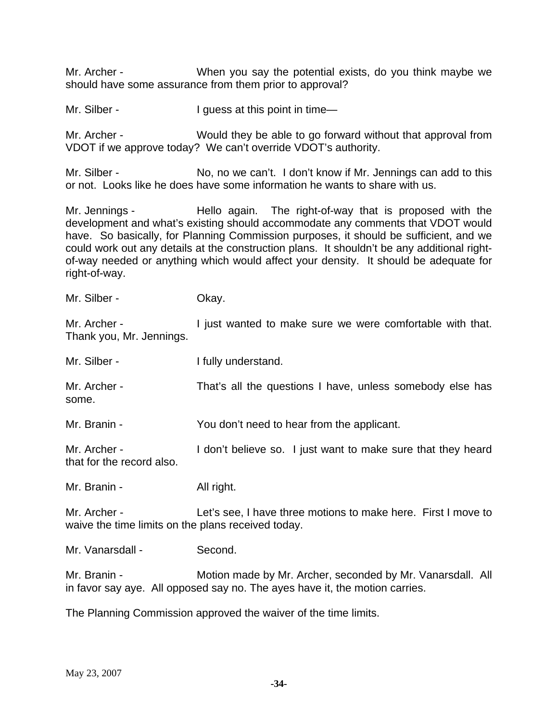Mr. Archer - When you say the potential exists, do you think maybe we should have some assurance from them prior to approval?

Mr. Silber - I guess at this point in time—

Mr. Archer - Would they be able to go forward without that approval from VDOT if we approve today? We can't override VDOT's authority.

Mr. Silber - No, no we can't. I don't know if Mr. Jennings can add to this or not. Looks like he does have some information he wants to share with us.

Mr. Jennings - The Hello again. The right-of-way that is proposed with the development and what's existing should accommodate any comments that VDOT would have. So basically, for Planning Commission purposes, it should be sufficient, and we could work out any details at the construction plans. It shouldn't be any additional rightof-way needed or anything which would affect your density. It should be adequate for right-of-way.

Mr. Silber - Chay.

Mr. Archer - The state wanted to make sure we were comfortable with that. Thank you, Mr. Jennings.

| Mr. Silber -          | I fully understand.                                          |
|-----------------------|--------------------------------------------------------------|
| Mr. Archer -<br>some. | That's all the questions I have, unless somebody else has    |
| Mr. Branin -          | You don't need to hear from the applicant.                   |
| Mr. Archer -          | I don't believe so. I just want to make sure that they heard |

Mr. Branin - All right.

that for the record also.

Mr. Archer - Let's see, I have three motions to make here. First I move to waive the time limits on the plans received today.

Mr. Vanarsdall - Second.

Mr. Branin - **Motion made by Mr. Archer, seconded by Mr. Vanarsdall. All** in favor say aye. All opposed say no. The ayes have it, the motion carries.

The Planning Commission approved the waiver of the time limits.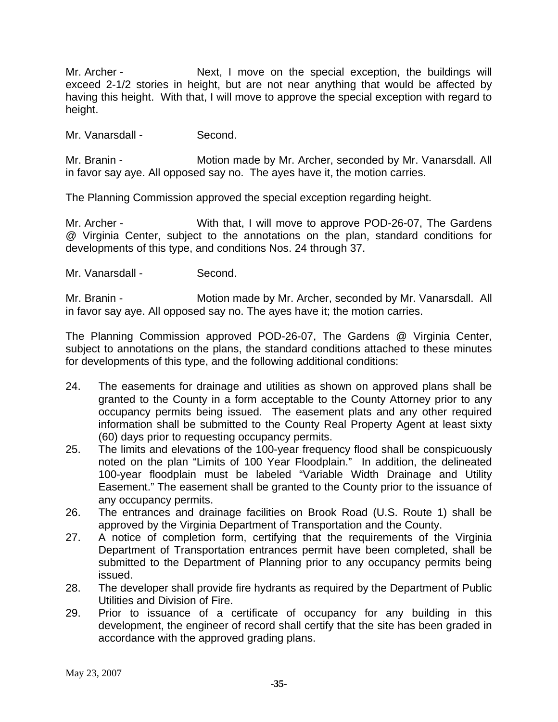Mr. Archer - Next, I move on the special exception, the buildings will exceed 2-1/2 stories in height, but are not near anything that would be affected by having this height. With that, I will move to approve the special exception with regard to height.

Mr. Vanarsdall - Second.

Mr. Branin - **Motion made by Mr. Archer, seconded by Mr. Vanarsdall. All** in favor say aye. All opposed say no. The ayes have it, the motion carries.

The Planning Commission approved the special exception regarding height.

Mr. Archer - With that, I will move to approve POD-26-07, The Gardens @ Virginia Center, subject to the annotations on the plan, standard conditions for developments of this type, and conditions Nos. 24 through 37.

Mr. Vanarsdall - Second.

Mr. Branin - **Motion made by Mr. Archer, seconded by Mr. Vanarsdall. All** in favor say aye. All opposed say no. The ayes have it; the motion carries.

The Planning Commission approved POD-26-07, The Gardens @ Virginia Center, subject to annotations on the plans, the standard conditions attached to these minutes for developments of this type, and the following additional conditions:

- 24. The easements for drainage and utilities as shown on approved plans shall be granted to the County in a form acceptable to the County Attorney prior to any occupancy permits being issued. The easement plats and any other required information shall be submitted to the County Real Property Agent at least sixty (60) days prior to requesting occupancy permits.
- 25. The limits and elevations of the 100-year frequency flood shall be conspicuously noted on the plan "Limits of 100 Year Floodplain." In addition, the delineated 100-year floodplain must be labeled "Variable Width Drainage and Utility Easement." The easement shall be granted to the County prior to the issuance of any occupancy permits.
- 26. The entrances and drainage facilities on Brook Road (U.S. Route 1) shall be approved by the Virginia Department of Transportation and the County.
- 27. A notice of completion form, certifying that the requirements of the Virginia Department of Transportation entrances permit have been completed, shall be submitted to the Department of Planning prior to any occupancy permits being issued.
- 28. The developer shall provide fire hydrants as required by the Department of Public Utilities and Division of Fire.
- 29. Prior to issuance of a certificate of occupancy for any building in this development, the engineer of record shall certify that the site has been graded in accordance with the approved grading plans.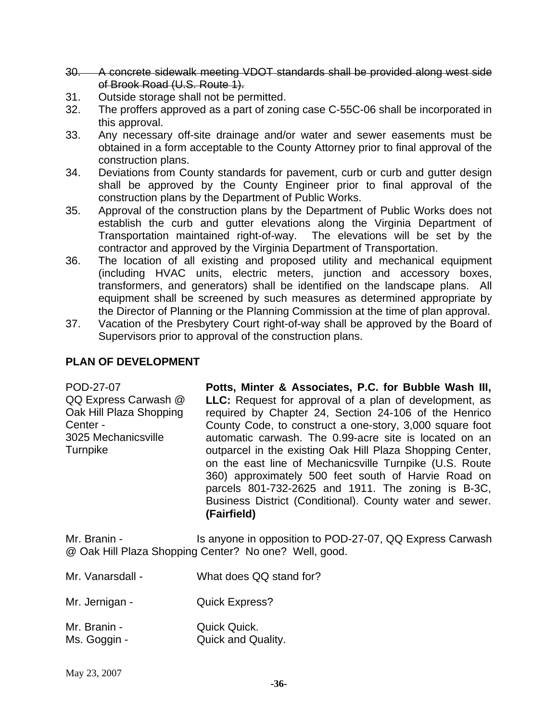- 30. A concrete sidewalk meeting VDOT standards shall be provided along west side of Brook Road (U.S. Route 1).
- 31. Outside storage shall not be permitted.
- 32. The proffers approved as a part of zoning case C-55C-06 shall be incorporated in this approval.
- 33. Any necessary off-site drainage and/or water and sewer easements must be obtained in a form acceptable to the County Attorney prior to final approval of the construction plans.
- 34. Deviations from County standards for pavement, curb or curb and gutter design shall be approved by the County Engineer prior to final approval of the construction plans by the Department of Public Works.
- 35. Approval of the construction plans by the Department of Public Works does not establish the curb and gutter elevations along the Virginia Department of Transportation maintained right-of-way. The elevations will be set by the contractor and approved by the Virginia Department of Transportation.
- 36. The location of all existing and proposed utility and mechanical equipment (including HVAC units, electric meters, junction and accessory boxes, transformers, and generators) shall be identified on the landscape plans. All equipment shall be screened by such measures as determined appropriate by the Director of Planning or the Planning Commission at the time of plan approval.
- 37. Vacation of the Presbytery Court right-of-way shall be approved by the Board of Supervisors prior to approval of the construction plans.

## **PLAN OF DEVELOPMENT**

POD-27-07 QQ Express Carwash @ Oak Hill Plaza Shopping Center - 3025 Mechanicsville Turnpike **Potts, Minter & Associates, P.C. for Bubble Wash III, LLC:** Request for approval of a plan of development, as required by Chapter 24, Section 24-106 of the Henrico County Code, to construct a one-story, 3,000 square foot automatic carwash. The 0.99-acre site is located on an outparcel in the existing Oak Hill Plaza Shopping Center, on the east line of Mechanicsville Turnpike (U.S. Route 360) approximately 500 feet south of Harvie Road on parcels 801-732-2625 and 1911. The zoning is B-3C, Business District (Conditional). County water and sewer. **(Fairfield)** 

Mr. Branin - Is anyone in opposition to POD-27-07, QQ Express Carwash @ Oak Hill Plaza Shopping Center? No one? Well, good.

- Mr. Vanarsdall What does QQ stand for?
- Mr. Jernigan **Quick Express?**
- Mr. Branin **Quick Quick.** Ms. Goggin - **Quick and Quality.**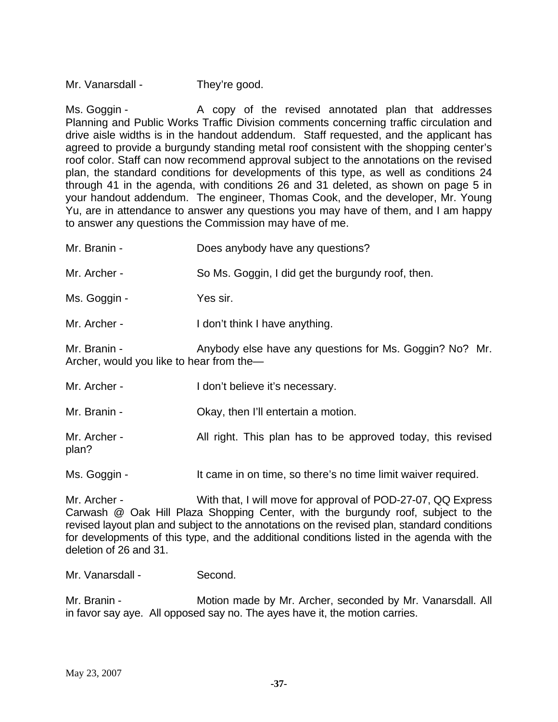Mr. Vanarsdall - They're good.

Ms. Goggin - The A copy of the revised annotated plan that addresses Planning and Public Works Traffic Division comments concerning traffic circulation and drive aisle widths is in the handout addendum. Staff requested, and the applicant has agreed to provide a burgundy standing metal roof consistent with the shopping center's roof color. Staff can now recommend approval subject to the annotations on the revised plan, the standard conditions for developments of this type, as well as conditions 24 through 41 in the agenda, with conditions 26 and 31 deleted, as shown on page 5 in your handout addendum. The engineer, Thomas Cook, and the developer, Mr. Young Yu, are in attendance to answer any questions you may have of them, and I am happy to answer any questions the Commission may have of me.

| Mr. Branin -                                                                                                        | Does anybody have any questions?                              |  |
|---------------------------------------------------------------------------------------------------------------------|---------------------------------------------------------------|--|
| Mr. Archer -                                                                                                        | So Ms. Goggin, I did get the burgundy roof, then.             |  |
| Ms. Goggin -                                                                                                        | Yes sir.                                                      |  |
| Mr. Archer -                                                                                                        | I don't think I have anything.                                |  |
| Mr. Branin -<br>Anybody else have any questions for Ms. Goggin? No? Mr.<br>Archer, would you like to hear from the- |                                                               |  |
| Mr. Archer -                                                                                                        | I don't believe it's necessary.                               |  |
| Mr. Branin -                                                                                                        | Okay, then I'll entertain a motion.                           |  |
| Mr. Archer -<br>plan?                                                                                               | All right. This plan has to be approved today, this revised   |  |
| Ms. Goggin -                                                                                                        | It came in on time, so there's no time limit waiver required. |  |

Mr. Archer - With that, I will move for approval of POD-27-07, QQ Express Carwash @ Oak Hill Plaza Shopping Center, with the burgundy roof, subject to the revised layout plan and subject to the annotations on the revised plan, standard conditions for developments of this type, and the additional conditions listed in the agenda with the deletion of 26 and 31.

Mr. Vanarsdall - Second.

Mr. Branin - Motion made by Mr. Archer, seconded by Mr. Vanarsdall. All in favor say aye. All opposed say no. The ayes have it, the motion carries.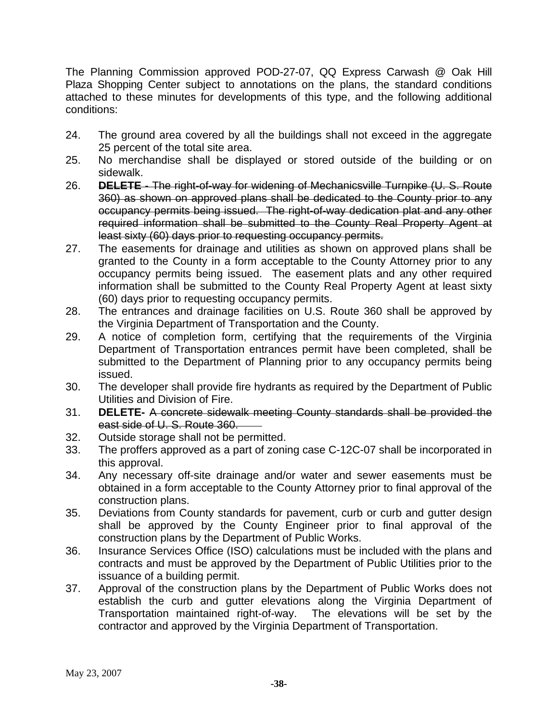The Planning Commission approved POD-27-07, QQ Express Carwash @ Oak Hill Plaza Shopping Center subject to annotations on the plans, the standard conditions attached to these minutes for developments of this type, and the following additional conditions:

- 24. The ground area covered by all the buildings shall not exceed in the aggregate 25 percent of the total site area.
- 25. No merchandise shall be displayed or stored outside of the building or on sidewalk.
- 26. **DELETE** The right-of-way for widening of Mechanicsville Turnpike (U. S. Route 360) as shown on approved plans shall be dedicated to the County prior to any occupancy permits being issued. The right-of-way dedication plat and any other required information shall be submitted to the County Real Property Agent at least sixty (60) days prior to requesting occupancy permits.
- 27. The easements for drainage and utilities as shown on approved plans shall be granted to the County in a form acceptable to the County Attorney prior to any occupancy permits being issued. The easement plats and any other required information shall be submitted to the County Real Property Agent at least sixty (60) days prior to requesting occupancy permits.
- 28. The entrances and drainage facilities on U.S. Route 360 shall be approved by the Virginia Department of Transportation and the County.
- 29. A notice of completion form, certifying that the requirements of the Virginia Department of Transportation entrances permit have been completed, shall be submitted to the Department of Planning prior to any occupancy permits being issued.
- 30. The developer shall provide fire hydrants as required by the Department of Public Utilities and Division of Fire.
- 31. **DELETE-** A concrete sidewalk meeting County standards shall be provided the east side of U. S. Route 360.
- 32. Outside storage shall not be permitted.
- 33. The proffers approved as a part of zoning case C-12C-07 shall be incorporated in this approval.
- 34. Any necessary off-site drainage and/or water and sewer easements must be obtained in a form acceptable to the County Attorney prior to final approval of the construction plans.
- 35. Deviations from County standards for pavement, curb or curb and gutter design shall be approved by the County Engineer prior to final approval of the construction plans by the Department of Public Works.
- 36. Insurance Services Office (ISO) calculations must be included with the plans and contracts and must be approved by the Department of Public Utilities prior to the issuance of a building permit.
- 37. Approval of the construction plans by the Department of Public Works does not establish the curb and gutter elevations along the Virginia Department of Transportation maintained right-of-way. The elevations will be set by the contractor and approved by the Virginia Department of Transportation.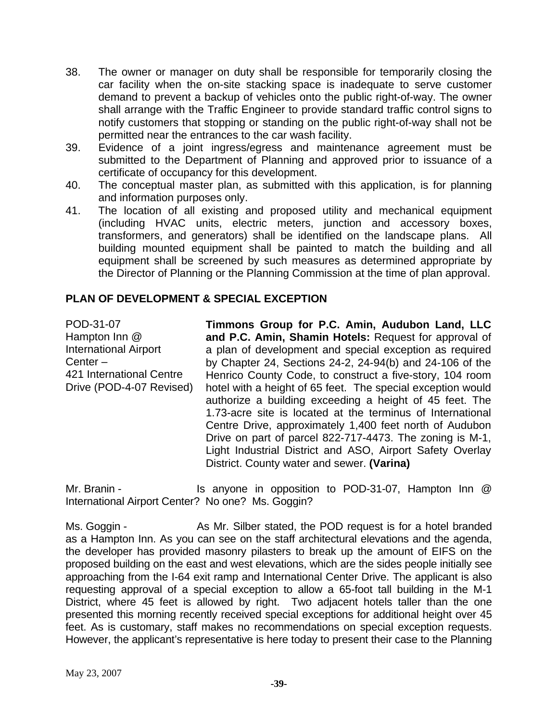- 38. The owner or manager on duty shall be responsible for temporarily closing the car facility when the on-site stacking space is inadequate to serve customer demand to prevent a backup of vehicles onto the public right-of-way. The owner shall arrange with the Traffic Engineer to provide standard traffic control signs to notify customers that stopping or standing on the public right-of-way shall not be permitted near the entrances to the car wash facility.
- 39. Evidence of a joint ingress/egress and maintenance agreement must be submitted to the Department of Planning and approved prior to issuance of a certificate of occupancy for this development.
- 40. The conceptual master plan, as submitted with this application, is for planning and information purposes only.
- 41. The location of all existing and proposed utility and mechanical equipment (including HVAC units, electric meters, junction and accessory boxes, transformers, and generators) shall be identified on the landscape plans. All building mounted equipment shall be painted to match the building and all equipment shall be screened by such measures as determined appropriate by the Director of Planning or the Planning Commission at the time of plan approval.

### **PLAN OF DEVELOPMENT & SPECIAL EXCEPTION**

POD-31-07 Hampton Inn @ International Airport Center – 421 International Centre Drive (POD-4-07 Revised)

**Timmons Group for P.C. Amin, Audubon Land, LLC and P.C. Amin, Shamin Hotels:** Request for approval of a plan of development and special exception as required by Chapter 24, Sections 24-2, 24-94(b) and 24-106 of the Henrico County Code, to construct a five-story, 104 room hotel with a height of 65 feet. The special exception would authorize a building exceeding a height of 45 feet. The 1.73-acre site is located at the terminus of International Centre Drive, approximately 1,400 feet north of Audubon Drive on part of parcel 822-717-4473. The zoning is M-1, Light Industrial District and ASO, Airport Safety Overlay District. County water and sewer. **(Varina)** 

Mr. Branin - Is anyone in opposition to POD-31-07, Hampton Inn @ International Airport Center? No one? Ms. Goggin?

Ms. Goggin - As Mr. Silber stated, the POD request is for a hotel branded as a Hampton Inn. As you can see on the staff architectural elevations and the agenda, the developer has provided masonry pilasters to break up the amount of EIFS on the proposed building on the east and west elevations, which are the sides people initially see approaching from the I-64 exit ramp and International Center Drive. The applicant is also requesting approval of a special exception to allow a 65-foot tall building in the M-1 District, where 45 feet is allowed by right. Two adjacent hotels taller than the one presented this morning recently received special exceptions for additional height over 45 feet. As is customary, staff makes no recommendations on special exception requests. However, the applicant's representative is here today to present their case to the Planning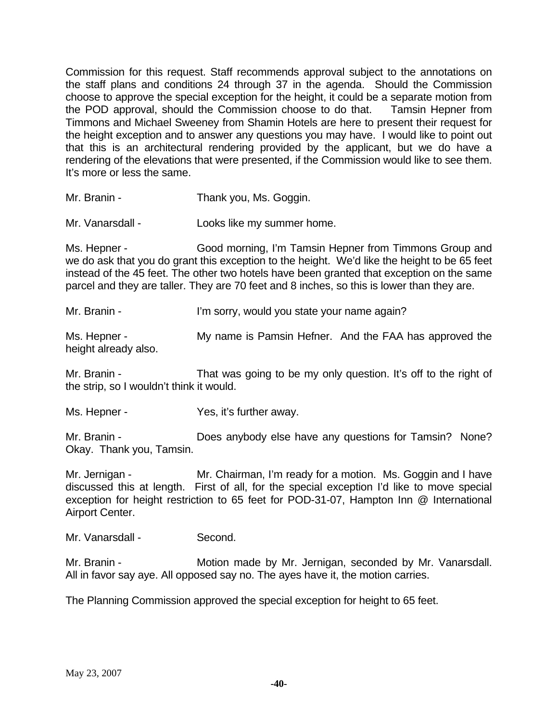Commission for this request. Staff recommends approval subject to the annotations on the staff plans and conditions 24 through 37 in the agenda. Should the Commission choose to approve the special exception for the height, it could be a separate motion from the POD approval, should the Commission choose to do that. Tamsin Hepner from Timmons and Michael Sweeney from Shamin Hotels are here to present their request for the height exception and to answer any questions you may have. I would like to point out that this is an architectural rendering provided by the applicant, but we do have a rendering of the elevations that were presented, if the Commission would like to see them. It's more or less the same.

Mr. Branin - Thank you, Ms. Goggin.

Mr. Vanarsdall - Looks like my summer home.

Ms. Hepner - Good morning, I'm Tamsin Hepner from Timmons Group and we do ask that you do grant this exception to the height. We'd like the height to be 65 feet instead of the 45 feet. The other two hotels have been granted that exception on the same parcel and they are taller. They are 70 feet and 8 inches, so this is lower than they are.

Mr. Branin - I'm sorry, would you state your name again?

Ms. Hepner - The My name is Pamsin Hefner. And the FAA has approved the height already also.

Mr. Branin - That was going to be my only question. It's off to the right of the strip, so I wouldn't think it would.

Ms. Hepner - The Yes, it's further away.

Mr. Branin - **Does anybody else have any questions for Tamsin?** None? Okay. Thank you, Tamsin.

Mr. Jernigan - The Mr. Chairman, I'm ready for a motion. Ms. Goggin and I have discussed this at length. First of all, for the special exception I'd like to move special exception for height restriction to 65 feet for POD-31-07, Hampton Inn @ International Airport Center.

Mr. Vanarsdall - Second.

Mr. Branin - **Motion made by Mr. Jernigan, seconded by Mr. Vanarsdall.** All in favor say aye. All opposed say no. The ayes have it, the motion carries.

The Planning Commission approved the special exception for height to 65 feet.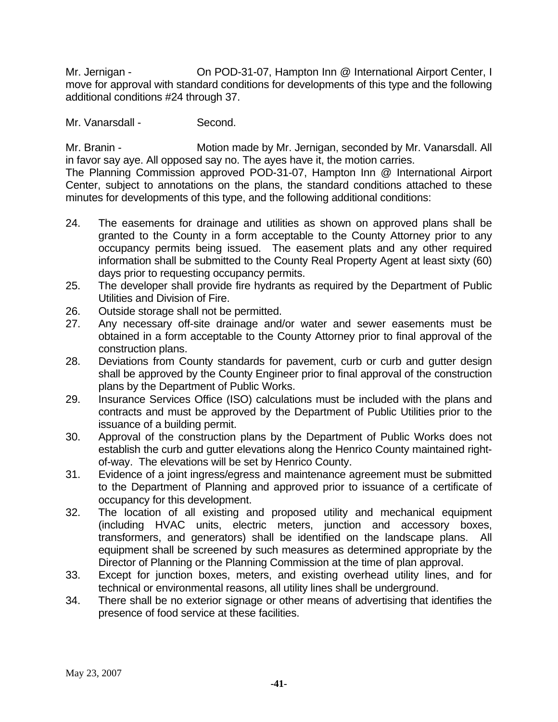Mr. Jernigan - On POD-31-07, Hampton Inn @ International Airport Center, I move for approval with standard conditions for developments of this type and the following additional conditions #24 through 37.

Mr. Vanarsdall - Second.

Mr. Branin - **Motion made by Mr. Jernigan, seconded by Mr. Vanarsdall. All** in favor say aye. All opposed say no. The ayes have it, the motion carries.

The Planning Commission approved POD-31-07, Hampton Inn @ International Airport Center, subject to annotations on the plans, the standard conditions attached to these minutes for developments of this type, and the following additional conditions:

- 24. The easements for drainage and utilities as shown on approved plans shall be granted to the County in a form acceptable to the County Attorney prior to any occupancy permits being issued. The easement plats and any other required information shall be submitted to the County Real Property Agent at least sixty (60) days prior to requesting occupancy permits.
- 25. The developer shall provide fire hydrants as required by the Department of Public Utilities and Division of Fire.
- 26. Outside storage shall not be permitted.
- 27. Any necessary off-site drainage and/or water and sewer easements must be obtained in a form acceptable to the County Attorney prior to final approval of the construction plans.
- 28. Deviations from County standards for pavement, curb or curb and gutter design shall be approved by the County Engineer prior to final approval of the construction plans by the Department of Public Works.
- 29. Insurance Services Office (ISO) calculations must be included with the plans and contracts and must be approved by the Department of Public Utilities prior to the issuance of a building permit.
- 30. Approval of the construction plans by the Department of Public Works does not establish the curb and gutter elevations along the Henrico County maintained rightof-way. The elevations will be set by Henrico County.
- 31. Evidence of a joint ingress/egress and maintenance agreement must be submitted to the Department of Planning and approved prior to issuance of a certificate of occupancy for this development.
- 32. The location of all existing and proposed utility and mechanical equipment (including HVAC units, electric meters, junction and accessory boxes, transformers, and generators) shall be identified on the landscape plans. All equipment shall be screened by such measures as determined appropriate by the Director of Planning or the Planning Commission at the time of plan approval.
- 33. Except for junction boxes, meters, and existing overhead utility lines, and for technical or environmental reasons, all utility lines shall be underground.
- 34. There shall be no exterior signage or other means of advertising that identifies the presence of food service at these facilities.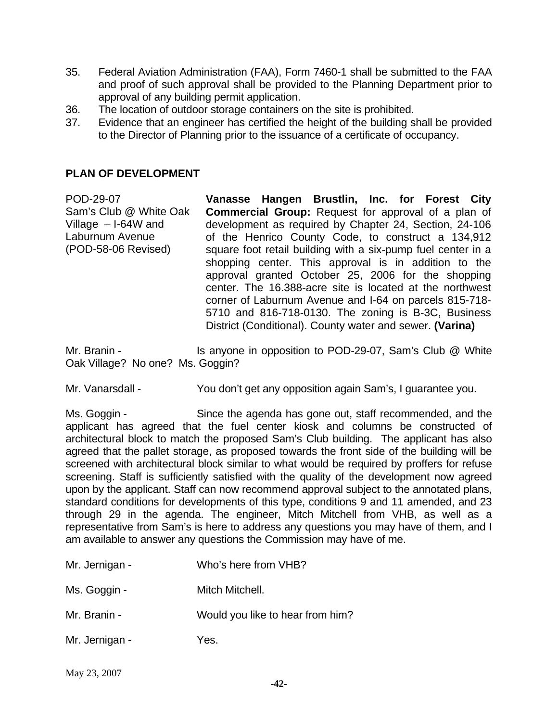- 35. Federal Aviation Administration (FAA), Form 7460-1 shall be submitted to the FAA and proof of such approval shall be provided to the Planning Department prior to approval of any building permit application.
- 36. The location of outdoor storage containers on the site is prohibited.
- 37. Evidence that an engineer has certified the height of the building shall be provided to the Director of Planning prior to the issuance of a certificate of occupancy.

### **PLAN OF DEVELOPMENT**

POD-29-07 Sam's Club @ White Oak Village – I-64W and Laburnum Avenue (POD-58-06 Revised) **Vanasse Hangen Brustlin, Inc. for Forest City Commercial Group:** Request for approval of a plan of development as required by Chapter 24, Section, 24-106 of the Henrico County Code, to construct a 134,912 square foot retail building with a six-pump fuel center in a shopping center. This approval is in addition to the approval granted October 25, 2006 for the shopping center. The 16.388-acre site is located at the northwest corner of Laburnum Avenue and I-64 on parcels 815-718- 5710 and 816-718-0130. The zoning is B-3C, Business District (Conditional). County water and sewer. **(Varina)** 

Mr. Branin - Is anyone in opposition to POD-29-07, Sam's Club @ White Oak Village? No one? Ms. Goggin?

Mr. Vanarsdall - You don't get any opposition again Sam's, I guarantee you.

Ms. Goggin - Since the agenda has gone out, staff recommended, and the applicant has agreed that the fuel center kiosk and columns be constructed of architectural block to match the proposed Sam's Club building. The applicant has also agreed that the pallet storage, as proposed towards the front side of the building will be screened with architectural block similar to what would be required by proffers for refuse screening. Staff is sufficiently satisfied with the quality of the development now agreed upon by the applicant. Staff can now recommend approval subject to the annotated plans, standard conditions for developments of this type, conditions 9 and 11 amended, and 23 through 29 in the agenda. The engineer, Mitch Mitchell from VHB, as well as a representative from Sam's is here to address any questions you may have of them, and I am available to answer any questions the Commission may have of me.

| Mr. Jernigan - | Who's here from VHB?             |
|----------------|----------------------------------|
| Ms. Goggin -   | Mitch Mitchell.                  |
| Mr. Branin -   | Would you like to hear from him? |
| Mr. Jernigan - | Yes.                             |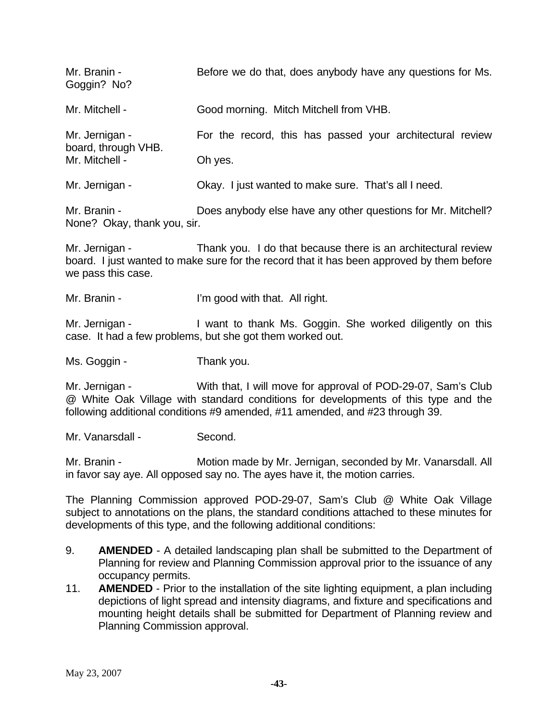| Mr. Branin -<br>Goggin? No?                             | Before we do that, does anybody have any questions for Ms. |
|---------------------------------------------------------|------------------------------------------------------------|
| Mr. Mitchell -                                          | Good morning. Mitch Mitchell from VHB.                     |
| Mr. Jernigan -<br>board, through VHB.<br>Mr. Mitchell - | For the record, this has passed your architectural review  |
|                                                         | Oh yes.                                                    |
| Mr. Jernigan -                                          | Okay. I just wanted to make sure. That's all I need.       |

Mr. Branin - Does anybody else have any other questions for Mr. Mitchell? None? Okay, thank you, sir.

Mr. Jernigan - Thank you. I do that because there is an architectural review board. I just wanted to make sure for the record that it has been approved by them before we pass this case.

Mr. Branin - The U'm good with that. All right.

Mr. Jernigan - I want to thank Ms. Goggin. She worked diligently on this case. It had a few problems, but she got them worked out.

Ms. Goggin - Thank you.

Mr. Jernigan - With that, I will move for approval of POD-29-07, Sam's Club @ White Oak Village with standard conditions for developments of this type and the following additional conditions #9 amended, #11 amended, and #23 through 39.

Mr. Vanarsdall - Second.

Mr. Branin - **Motion made by Mr. Jernigan, seconded by Mr. Vanarsdall. All** in favor say aye. All opposed say no. The ayes have it, the motion carries.

The Planning Commission approved POD-29-07, Sam's Club @ White Oak Village subject to annotations on the plans, the standard conditions attached to these minutes for developments of this type, and the following additional conditions:

- 9. **AMENDED** A detailed landscaping plan shall be submitted to the Department of Planning for review and Planning Commission approval prior to the issuance of any occupancy permits.
- 11. **AMENDED** Prior to the installation of the site lighting equipment, a plan including depictions of light spread and intensity diagrams, and fixture and specifications and mounting height details shall be submitted for Department of Planning review and Planning Commission approval.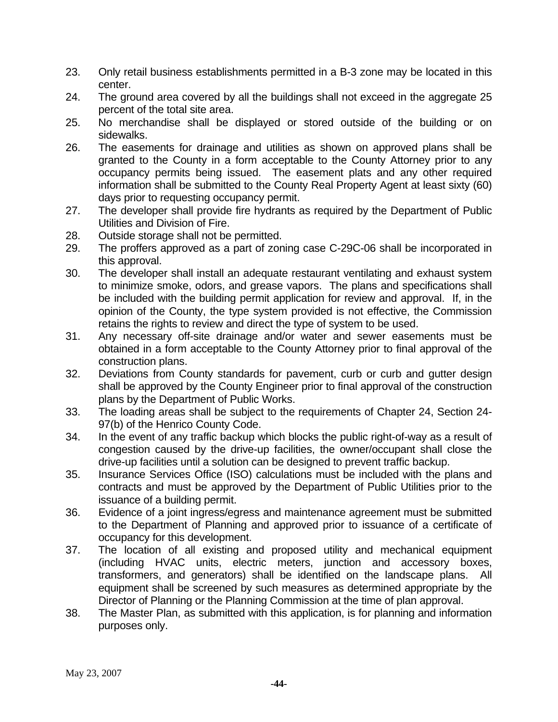- 23. Only retail business establishments permitted in a B-3 zone may be located in this center.
- 24. The ground area covered by all the buildings shall not exceed in the aggregate 25 percent of the total site area.
- 25. No merchandise shall be displayed or stored outside of the building or on sidewalks.
- 26. The easements for drainage and utilities as shown on approved plans shall be granted to the County in a form acceptable to the County Attorney prior to any occupancy permits being issued. The easement plats and any other required information shall be submitted to the County Real Property Agent at least sixty (60) days prior to requesting occupancy permit.
- 27. The developer shall provide fire hydrants as required by the Department of Public Utilities and Division of Fire.
- 28. Outside storage shall not be permitted.
- 29. The proffers approved as a part of zoning case C-29C-06 shall be incorporated in this approval.
- 30. The developer shall install an adequate restaurant ventilating and exhaust system to minimize smoke, odors, and grease vapors. The plans and specifications shall be included with the building permit application for review and approval. If, in the opinion of the County, the type system provided is not effective, the Commission retains the rights to review and direct the type of system to be used.
- 31. Any necessary off-site drainage and/or water and sewer easements must be obtained in a form acceptable to the County Attorney prior to final approval of the construction plans.
- 32. Deviations from County standards for pavement, curb or curb and gutter design shall be approved by the County Engineer prior to final approval of the construction plans by the Department of Public Works.
- 33. The loading areas shall be subject to the requirements of Chapter 24, Section 24- 97(b) of the Henrico County Code.
- 34. In the event of any traffic backup which blocks the public right-of-way as a result of congestion caused by the drive-up facilities, the owner/occupant shall close the drive-up facilities until a solution can be designed to prevent traffic backup.
- 35. Insurance Services Office (ISO) calculations must be included with the plans and contracts and must be approved by the Department of Public Utilities prior to the issuance of a building permit.
- 36. Evidence of a joint ingress/egress and maintenance agreement must be submitted to the Department of Planning and approved prior to issuance of a certificate of occupancy for this development.
- 37. The location of all existing and proposed utility and mechanical equipment (including HVAC units, electric meters, junction and accessory boxes, transformers, and generators) shall be identified on the landscape plans. All equipment shall be screened by such measures as determined appropriate by the Director of Planning or the Planning Commission at the time of plan approval.
- 38. The Master Plan, as submitted with this application, is for planning and information purposes only.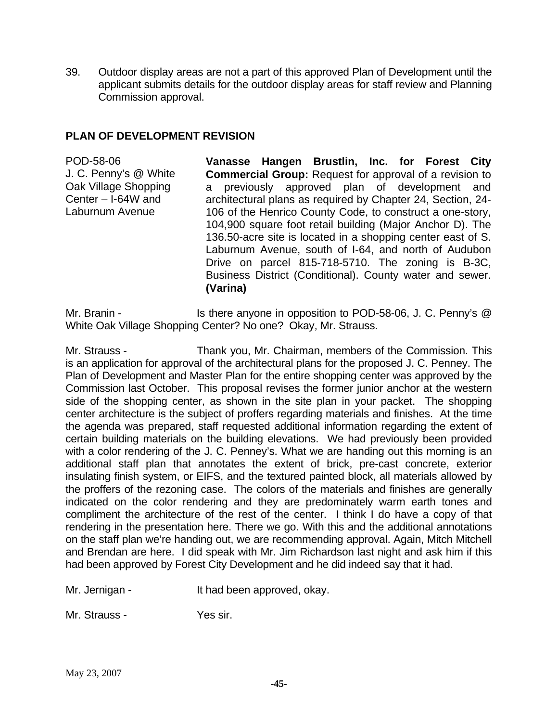39. Outdoor display areas are not a part of this approved Plan of Development until the applicant submits details for the outdoor display areas for staff review and Planning Commission approval.

### **PLAN OF DEVELOPMENT REVISION**

POD-58-06 J. C. Penny's @ White Oak Village Shopping Center – I-64W and Laburnum Avenue

**Vanasse Hangen Brustlin, Inc. for Forest City Commercial Group:** Request for approval of a revision to a previously approved plan of development and architectural plans as required by Chapter 24, Section, 24- 106 of the Henrico County Code, to construct a one-story, 104,900 square foot retail building (Major Anchor D). The 136.50-acre site is located in a shopping center east of S. Laburnum Avenue, south of I-64, and north of Audubon Drive on parcel 815-718-5710. The zoning is B-3C, Business District (Conditional). County water and sewer. **(Varina)** 

Mr. Branin - Is there anyone in opposition to POD-58-06, J. C. Penny's @ White Oak Village Shopping Center? No one? Okay, Mr. Strauss.

Mr. Strauss - Thank you, Mr. Chairman, members of the Commission. This is an application for approval of the architectural plans for the proposed J. C. Penney. The Plan of Development and Master Plan for the entire shopping center was approved by the Commission last October. This proposal revises the former junior anchor at the western side of the shopping center, as shown in the site plan in your packet. The shopping center architecture is the subject of proffers regarding materials and finishes. At the time the agenda was prepared, staff requested additional information regarding the extent of certain building materials on the building elevations. We had previously been provided with a color rendering of the J. C. Penney's. What we are handing out this morning is an additional staff plan that annotates the extent of brick, pre-cast concrete, exterior insulating finish system, or EIFS, and the textured painted block, all materials allowed by the proffers of the rezoning case. The colors of the materials and finishes are generally indicated on the color rendering and they are predominately warm earth tones and compliment the architecture of the rest of the center. I think I do have a copy of that rendering in the presentation here. There we go. With this and the additional annotations on the staff plan we're handing out, we are recommending approval. Again, Mitch Mitchell and Brendan are here. I did speak with Mr. Jim Richardson last night and ask him if this had been approved by Forest City Development and he did indeed say that it had.

Mr. Jernigan - The Muslim Had been approved, okay.

Mr. Strauss - Yes sir.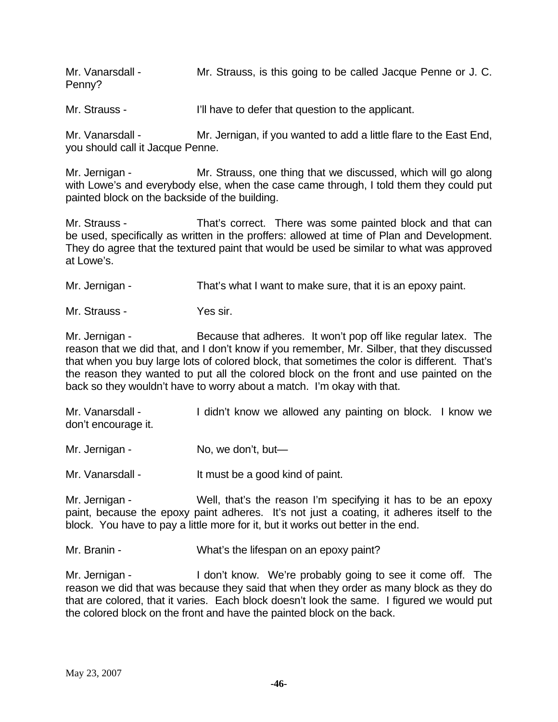Mr. Vanarsdall - Mr. Strauss, is this going to be called Jacque Penne or J. C. Penny?

Mr. Strauss - I'll have to defer that question to the applicant.

Mr. Vanarsdall - Mr. Jernigan, if you wanted to add a little flare to the East End, you should call it Jacque Penne.

Mr. Jernigan - Mr. Strauss, one thing that we discussed, which will go along with Lowe's and everybody else, when the case came through, I told them they could put painted block on the backside of the building.

Mr. Strauss - That's correct. There was some painted block and that can be used, specifically as written in the proffers: allowed at time of Plan and Development. They do agree that the textured paint that would be used be similar to what was approved at Lowe's.

Mr. Jernigan - That's what I want to make sure, that it is an epoxy paint.

Mr. Strauss - Yes sir.

Mr. Jernigan - Because that adheres. It won't pop off like regular latex. The reason that we did that, and I don't know if you remember, Mr. Silber, that they discussed that when you buy large lots of colored block, that sometimes the color is different. That's the reason they wanted to put all the colored block on the front and use painted on the back so they wouldn't have to worry about a match. I'm okay with that.

Mr. Vanarsdall - I didn't know we allowed any painting on block. I know we don't encourage it.

Mr. Jernigan - No, we don't, but—

Mr. Vanarsdall - It must be a good kind of paint.

Mr. Jernigan - Well, that's the reason I'm specifying it has to be an epoxy paint, because the epoxy paint adheres. It's not just a coating, it adheres itself to the block. You have to pay a little more for it, but it works out better in the end.

Mr. Branin - What's the lifespan on an epoxy paint?

Mr. Jernigan - I don't know. We're probably going to see it come off. The reason we did that was because they said that when they order as many block as they do that are colored, that it varies. Each block doesn't look the same. I figured we would put the colored block on the front and have the painted block on the back.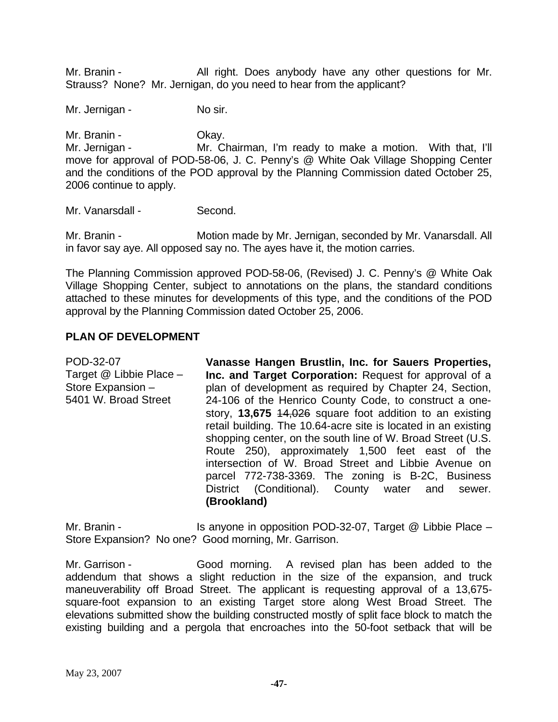Mr. Branin - The All right. Does anybody have any other questions for Mr. Strauss? None? Mr. Jernigan, do you need to hear from the applicant?

Mr. Jernigan - No sir.

Mr. Branin - Ckay. Mr. Jernigan - The Mr. Chairman, I'm ready to make a motion. With that, I'll move for approval of POD-58-06, J. C. Penny's @ White Oak Village Shopping Center and the conditions of the POD approval by the Planning Commission dated October 25, 2006 continue to apply.

Mr. Vanarsdall - Second.

Mr. Branin - **Motion made by Mr. Jernigan, seconded by Mr. Vanarsdall. All** in favor say aye. All opposed say no. The ayes have it, the motion carries.

The Planning Commission approved POD-58-06, (Revised) J. C. Penny's @ White Oak Village Shopping Center, subject to annotations on the plans, the standard conditions attached to these minutes for developments of this type, and the conditions of the POD approval by the Planning Commission dated October 25, 2006.

#### **PLAN OF DEVELOPMENT**

POD-32-07 Target @ Libbie Place – Store Expansion – 5401 W. Broad Street **Vanasse Hangen Brustlin, Inc. for Sauers Properties, Inc. and Target Corporation:** Request for approval of a plan of development as required by Chapter 24, Section, 24-106 of the Henrico County Code, to construct a onestory, **13,675** 14,026 square foot addition to an existing retail building. The 10.64-acre site is located in an existing shopping center, on the south line of W. Broad Street (U.S. Route 250), approximately 1,500 feet east of the intersection of W. Broad Street and Libbie Avenue on parcel 772-738-3369. The zoning is B-2C, Business District (Conditional). County water and sewer. **(Brookland)** 

Mr. Branin - Is anyone in opposition POD-32-07, Target @ Libbie Place – Store Expansion? No one? Good morning, Mr. Garrison.

Mr. Garrison - Good morning. A revised plan has been added to the addendum that shows a slight reduction in the size of the expansion, and truck maneuverability off Broad Street. The applicant is requesting approval of a 13,675 square-foot expansion to an existing Target store along West Broad Street. The elevations submitted show the building constructed mostly of split face block to match the existing building and a pergola that encroaches into the 50-foot setback that will be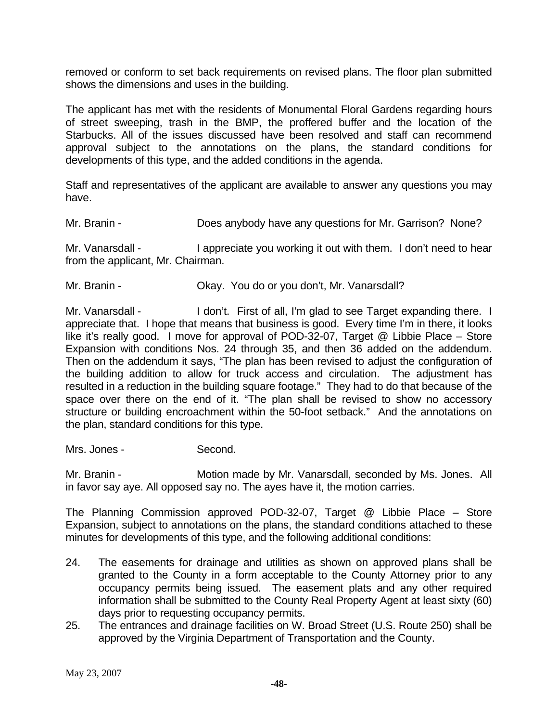removed or conform to set back requirements on revised plans. The floor plan submitted shows the dimensions and uses in the building.

The applicant has met with the residents of Monumental Floral Gardens regarding hours of street sweeping, trash in the BMP, the proffered buffer and the location of the Starbucks. All of the issues discussed have been resolved and staff can recommend approval subject to the annotations on the plans, the standard conditions for developments of this type, and the added conditions in the agenda.

Staff and representatives of the applicant are available to answer any questions you may have.

Mr. Branin - **Does anybody have any questions for Mr. Garrison?** None?

Mr. Vanarsdall - I appreciate you working it out with them. I don't need to hear from the applicant, Mr. Chairman.

Mr. Branin - Ckay. You do or you don't, Mr. Vanarsdall?

Mr. Vanarsdall - I don't. First of all, I'm glad to see Target expanding there. I appreciate that. I hope that means that business is good. Every time I'm in there, it looks like it's really good. I move for approval of POD-32-07, Target @ Libbie Place – Store Expansion with conditions Nos. 24 through 35, and then 36 added on the addendum. Then on the addendum it says, "The plan has been revised to adjust the configuration of the building addition to allow for truck access and circulation. The adjustment has resulted in a reduction in the building square footage." They had to do that because of the space over there on the end of it. "The plan shall be revised to show no accessory structure or building encroachment within the 50-foot setback." And the annotations on the plan, standard conditions for this type.

Mrs. Jones - Second.

Mr. Branin - **Motion made by Mr. Vanarsdall, seconded by Ms. Jones.** All in favor say aye. All opposed say no. The ayes have it, the motion carries.

The Planning Commission approved POD-32-07, Target @ Libbie Place – Store Expansion, subject to annotations on the plans, the standard conditions attached to these minutes for developments of this type, and the following additional conditions:

- 24. The easements for drainage and utilities as shown on approved plans shall be granted to the County in a form acceptable to the County Attorney prior to any occupancy permits being issued. The easement plats and any other required information shall be submitted to the County Real Property Agent at least sixty (60) days prior to requesting occupancy permits.
- 25. The entrances and drainage facilities on W. Broad Street (U.S. Route 250) shall be approved by the Virginia Department of Transportation and the County.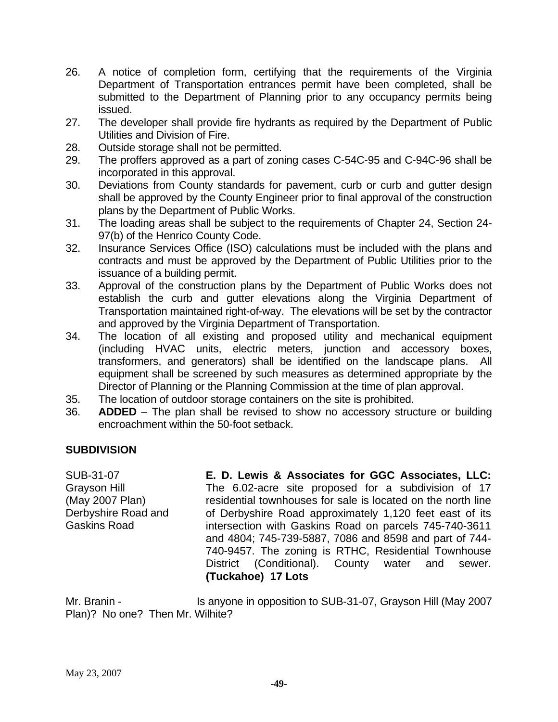- 26. A notice of completion form, certifying that the requirements of the Virginia Department of Transportation entrances permit have been completed, shall be submitted to the Department of Planning prior to any occupancy permits being issued.
- 27. The developer shall provide fire hydrants as required by the Department of Public Utilities and Division of Fire.
- 28. Outside storage shall not be permitted.
- 29. The proffers approved as a part of zoning cases C-54C-95 and C-94C-96 shall be incorporated in this approval.
- 30. Deviations from County standards for pavement, curb or curb and gutter design shall be approved by the County Engineer prior to final approval of the construction plans by the Department of Public Works.
- 31. The loading areas shall be subject to the requirements of Chapter 24, Section 24- 97(b) of the Henrico County Code.
- 32. Insurance Services Office (ISO) calculations must be included with the plans and contracts and must be approved by the Department of Public Utilities prior to the issuance of a building permit.
- 33. Approval of the construction plans by the Department of Public Works does not establish the curb and gutter elevations along the Virginia Department of Transportation maintained right-of-way. The elevations will be set by the contractor and approved by the Virginia Department of Transportation.
- 34. The location of all existing and proposed utility and mechanical equipment (including HVAC units, electric meters, junction and accessory boxes, transformers, and generators) shall be identified on the landscape plans. All equipment shall be screened by such measures as determined appropriate by the Director of Planning or the Planning Commission at the time of plan approval.
- 35. The location of outdoor storage containers on the site is prohibited.
- 36. **ADDED** The plan shall be revised to show no accessory structure or building encroachment within the 50-foot setback.

### **SUBDIVISION**

SUB-31-07 Grayson Hill (May 2007 Plan) Derbyshire Road and Gaskins Road

**E. D. Lewis & Associates for GGC Associates, LLC:**  The 6.02-acre site proposed for a subdivision of 17 residential townhouses for sale is located on the north line of Derbyshire Road approximately 1,120 feet east of its intersection with Gaskins Road on parcels 745-740-3611 and 4804; 745-739-5887, 7086 and 8598 and part of 744- 740-9457. The zoning is RTHC, Residential Townhouse District (Conditional). County water and sewer. **(Tuckahoe) 17 Lots** 

Mr. Branin - Is anyone in opposition to SUB-31-07, Grayson Hill (May 2007 Plan)? No one? Then Mr. Wilhite?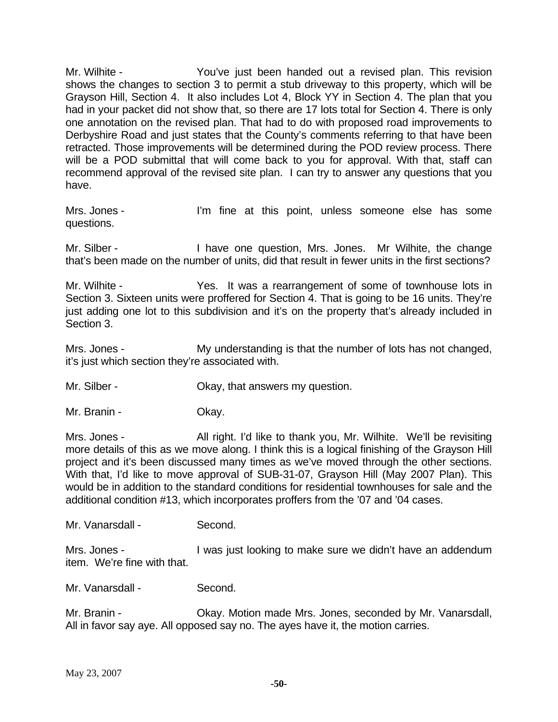Mr. Wilhite - You've just been handed out a revised plan. This revision shows the changes to section 3 to permit a stub driveway to this property, which will be Grayson Hill, Section 4. It also includes Lot 4, Block YY in Section 4. The plan that you had in your packet did not show that, so there are 17 lots total for Section 4. There is only one annotation on the revised plan. That had to do with proposed road improvements to Derbyshire Road and just states that the County's comments referring to that have been retracted. Those improvements will be determined during the POD review process. There will be a POD submittal that will come back to you for approval. With that, staff can recommend approval of the revised site plan. I can try to answer any questions that you have.

Mrs. Jones - I'm fine at this point, unless someone else has some questions.

Mr. Silber - Thave one question, Mrs. Jones. Mr Wilhite, the change that's been made on the number of units, did that result in fewer units in the first sections?

Mr. Wilhite - The Yes. It was a rearrangement of some of townhouse lots in Section 3. Sixteen units were proffered for Section 4. That is going to be 16 units. They're just adding one lot to this subdivision and it's on the property that's already included in Section 3.

Mrs. Jones - My understanding is that the number of lots has not changed, it's just which section they're associated with.

Mr. Silber - Ckay, that answers my question.

Mr. Branin - Ckay.

Mrs. Jones - All right. I'd like to thank you, Mr. Wilhite. We'll be revisiting more details of this as we move along. I think this is a logical finishing of the Grayson Hill project and it's been discussed many times as we've moved through the other sections. With that, I'd like to move approval of SUB-31-07, Grayson Hill (May 2007 Plan). This would be in addition to the standard conditions for residential townhouses for sale and the additional condition #13, which incorporates proffers from the '07 and '04 cases.

Mr. Vanarsdall - Second.

Mrs. Jones - I was just looking to make sure we didn't have an addendum item. We're fine with that.

Mr. Vanarsdall - Second.

Mr. Branin - Ckay. Motion made Mrs. Jones, seconded by Mr. Vanarsdall, All in favor say aye. All opposed say no. The ayes have it, the motion carries.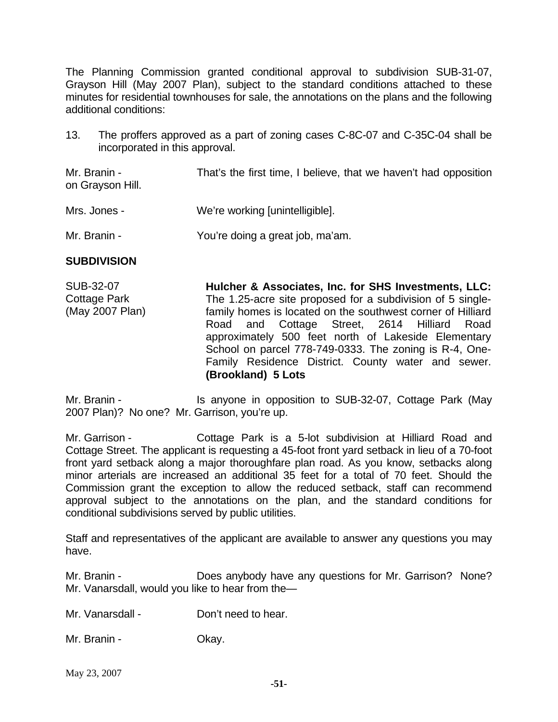The Planning Commission granted conditional approval to subdivision SUB-31-07, Grayson Hill (May 2007 Plan), subject to the standard conditions attached to these minutes for residential townhouses for sale, the annotations on the plans and the following additional conditions:

13. The proffers approved as a part of zoning cases C-8C-07 and C-35C-04 shall be incorporated in this approval.

Mr. Branin - That's the first time, I believe, that we haven't had opposition on Grayson Hill.

- Mrs. Jones We're working [unintelligible].
- Mr. Branin You're doing a great job, ma'am.

#### **SUBDIVISION**

SUB-32-07 Cottage Park (May 2007 Plan) **Hulcher & Associates, Inc. for SHS Investments, LLC:**  The 1.25-acre site proposed for a subdivision of 5 singlefamily homes is located on the southwest corner of Hilliard Road and Cottage Street, 2614 Hilliard Road approximately 500 feet north of Lakeside Elementary School on parcel 778-749-0333. The zoning is R-4, One-Family Residence District. County water and sewer. **(Brookland) 5 Lots** 

Mr. Branin - Is anyone in opposition to SUB-32-07, Cottage Park (May 2007 Plan)? No one? Mr. Garrison, you're up.

Mr. Garrison - Cottage Park is a 5-lot subdivision at Hilliard Road and Cottage Street. The applicant is requesting a 45-foot front yard setback in lieu of a 70-foot front yard setback along a major thoroughfare plan road. As you know, setbacks along minor arterials are increased an additional 35 feet for a total of 70 feet. Should the Commission grant the exception to allow the reduced setback, staff can recommend approval subject to the annotations on the plan, and the standard conditions for conditional subdivisions served by public utilities.

Staff and representatives of the applicant are available to answer any questions you may have.

Mr. Branin - **Does anybody have any questions for Mr. Garrison?** None? Mr. Vanarsdall, would you like to hear from the—

Mr. Vanarsdall - Don't need to hear.

Mr. Branin - Ckay.

May 23, 2007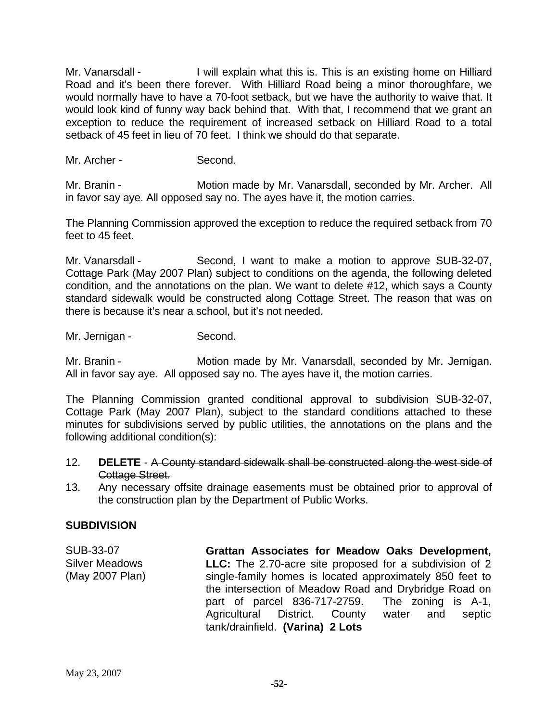Mr. Vanarsdall - I will explain what this is. This is an existing home on Hilliard Road and it's been there forever. With Hilliard Road being a minor thoroughfare, we would normally have to have a 70-foot setback, but we have the authority to waive that. It would look kind of funny way back behind that. With that, I recommend that we grant an exception to reduce the requirement of increased setback on Hilliard Road to a total setback of 45 feet in lieu of 70 feet. I think we should do that separate.

Mr. Archer - Second.

Mr. Branin - **Motion made by Mr. Vanarsdall, seconded by Mr. Archer.** All in favor say aye. All opposed say no. The ayes have it, the motion carries.

The Planning Commission approved the exception to reduce the required setback from 70 feet to 45 feet.

Mr. Vanarsdall - Second, I want to make a motion to approve SUB-32-07, Cottage Park (May 2007 Plan) subject to conditions on the agenda, the following deleted condition, and the annotations on the plan. We want to delete #12, which says a County standard sidewalk would be constructed along Cottage Street. The reason that was on there is because it's near a school, but it's not needed.

Mr. Jernigan - Second.

Mr. Branin - Motion made by Mr. Vanarsdall, seconded by Mr. Jernigan. All in favor say aye. All opposed say no. The ayes have it, the motion carries.

The Planning Commission granted conditional approval to subdivision SUB-32-07, Cottage Park (May 2007 Plan), subject to the standard conditions attached to these minutes for subdivisions served by public utilities, the annotations on the plans and the following additional condition(s):

- 12. **DELETE**  A County standard sidewalk shall be constructed along the west side of Cottage Street.
- 13. Any necessary offsite drainage easements must be obtained prior to approval of the construction plan by the Department of Public Works.

### **SUBDIVISION**

SUB-33-07 Silver Meadows (May 2007 Plan) **Grattan Associates for Meadow Oaks Development, LLC:** The 2.70-acre site proposed for a subdivision of 2 single-family homes is located approximately 850 feet to the intersection of Meadow Road and Drybridge Road on part of parcel 836-717-2759. The zoning is A-1, Agricultural District. County water and septic tank/drainfield. **(Varina) 2 Lots**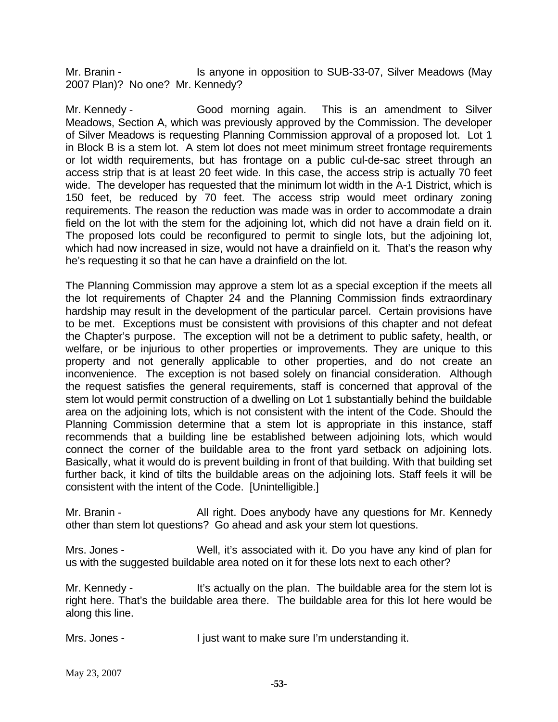Mr. Branin - The Is anyone in opposition to SUB-33-07, Silver Meadows (May 2007 Plan)? No one? Mr. Kennedy?

Mr. Kennedy - Good morning again. This is an amendment to Silver Meadows, Section A, which was previously approved by the Commission. The developer of Silver Meadows is requesting Planning Commission approval of a proposed lot. Lot 1 in Block B is a stem lot. A stem lot does not meet minimum street frontage requirements or lot width requirements, but has frontage on a public cul-de-sac street through an access strip that is at least 20 feet wide. In this case, the access strip is actually 70 feet wide. The developer has requested that the minimum lot width in the A-1 District, which is 150 feet, be reduced by 70 feet. The access strip would meet ordinary zoning requirements. The reason the reduction was made was in order to accommodate a drain field on the lot with the stem for the adjoining lot, which did not have a drain field on it. The proposed lots could be reconfigured to permit to single lots, but the adjoining lot, which had now increased in size, would not have a drainfield on it. That's the reason why he's requesting it so that he can have a drainfield on the lot.

The Planning Commission may approve a stem lot as a special exception if the meets all the lot requirements of Chapter 24 and the Planning Commission finds extraordinary hardship may result in the development of the particular parcel. Certain provisions have to be met. Exceptions must be consistent with provisions of this chapter and not defeat the Chapter's purpose. The exception will not be a detriment to public safety, health, or welfare, or be injurious to other properties or improvements. They are unique to this property and not generally applicable to other properties, and do not create an inconvenience. The exception is not based solely on financial consideration. Although the request satisfies the general requirements, staff is concerned that approval of the stem lot would permit construction of a dwelling on Lot 1 substantially behind the buildable area on the adjoining lots, which is not consistent with the intent of the Code. Should the Planning Commission determine that a stem lot is appropriate in this instance, staff recommends that a building line be established between adjoining lots, which would connect the corner of the buildable area to the front yard setback on adjoining lots. Basically, what it would do is prevent building in front of that building. With that building set further back, it kind of tilts the buildable areas on the adjoining lots. Staff feels it will be consistent with the intent of the Code. [Unintelligible.]

Mr. Branin - All right. Does anybody have any questions for Mr. Kennedy other than stem lot questions? Go ahead and ask your stem lot questions.

Mrs. Jones - Well, it's associated with it. Do you have any kind of plan for us with the suggested buildable area noted on it for these lots next to each other?

Mr. Kennedy - It's actually on the plan. The buildable area for the stem lot is right here. That's the buildable area there. The buildable area for this lot here would be along this line.

Mrs. Jones - The Unit want to make sure I'm understanding it.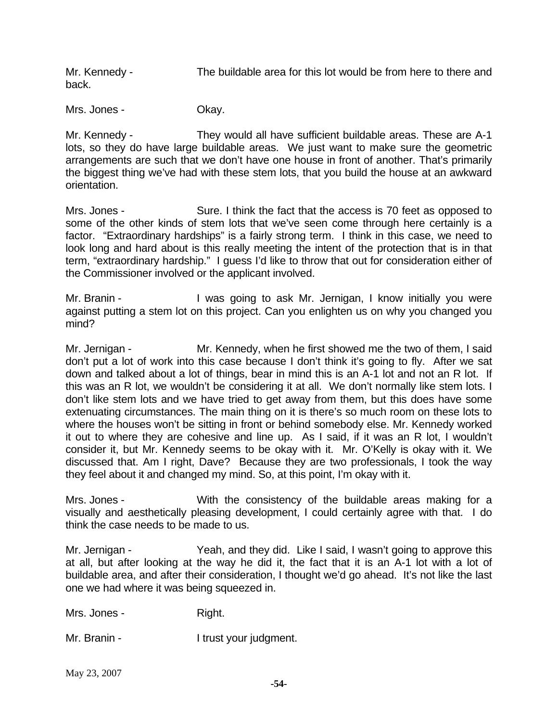Mr. Kennedy - The buildable area for this lot would be from here to there and back.

Mrs. Jones - Ckay.

Mr. Kennedy - They would all have sufficient buildable areas. These are A-1 lots, so they do have large buildable areas. We just want to make sure the geometric arrangements are such that we don't have one house in front of another. That's primarily the biggest thing we've had with these stem lots, that you build the house at an awkward orientation.

Mrs. Jones - Sure. I think the fact that the access is 70 feet as opposed to some of the other kinds of stem lots that we've seen come through here certainly is a factor. "Extraordinary hardships" is a fairly strong term. I think in this case, we need to look long and hard about is this really meeting the intent of the protection that is in that term, "extraordinary hardship." I guess I'd like to throw that out for consideration either of the Commissioner involved or the applicant involved.

Mr. Branin - The Must going to ask Mr. Jernigan, I know initially you were against putting a stem lot on this project. Can you enlighten us on why you changed you mind?

Mr. Jernigan - Mr. Kennedy, when he first showed me the two of them, I said don't put a lot of work into this case because I don't think it's going to fly. After we sat down and talked about a lot of things, bear in mind this is an A-1 lot and not an R lot. If this was an R lot, we wouldn't be considering it at all. We don't normally like stem lots. I don't like stem lots and we have tried to get away from them, but this does have some extenuating circumstances. The main thing on it is there's so much room on these lots to where the houses won't be sitting in front or behind somebody else. Mr. Kennedy worked it out to where they are cohesive and line up. As I said, if it was an R lot, I wouldn't consider it, but Mr. Kennedy seems to be okay with it. Mr. O'Kelly is okay with it. We discussed that. Am I right, Dave? Because they are two professionals, I took the way they feel about it and changed my mind. So, at this point, I'm okay with it.

Mrs. Jones - With the consistency of the buildable areas making for a visually and aesthetically pleasing development, I could certainly agree with that. I do think the case needs to be made to us.

Mr. Jernigan - Yeah, and they did. Like I said, I wasn't going to approve this at all, but after looking at the way he did it, the fact that it is an A-1 lot with a lot of buildable area, and after their consideration, I thought we'd go ahead. It's not like the last one we had where it was being squeezed in.

Mrs. Jones - Right.

Mr. Branin - The Litrust your judgment.

May 23, 2007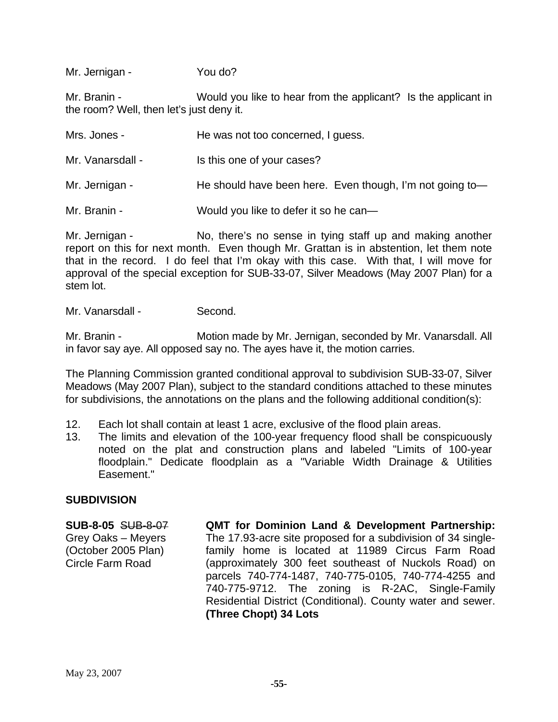Mr. Jernigan - You do?

Mr. Branin - Would you like to hear from the applicant? Is the applicant in the room? Well, then let's just deny it.

| Mrs. Jones -     | He was not too concerned, I guess.                       |
|------------------|----------------------------------------------------------|
| Mr. Vanarsdall - | Is this one of your cases?                               |
| Mr. Jernigan -   | He should have been here. Even though, I'm not going to- |
| Mr. Branin -     | Would you like to defer it so he can-                    |

Mr. Jernigan - No, there's no sense in tying staff up and making another report on this for next month. Even though Mr. Grattan is in abstention, let them note that in the record. I do feel that I'm okay with this case. With that, I will move for approval of the special exception for SUB-33-07, Silver Meadows (May 2007 Plan) for a stem lot.

Mr. Vanarsdall - Second.

Mr. Branin - **Motion made by Mr. Jernigan, seconded by Mr. Vanarsdall. All** in favor say aye. All opposed say no. The ayes have it, the motion carries.

The Planning Commission granted conditional approval to subdivision SUB-33-07, Silver Meadows (May 2007 Plan), subject to the standard conditions attached to these minutes for subdivisions, the annotations on the plans and the following additional condition(s):

- 12. Each lot shall contain at least 1 acre, exclusive of the flood plain areas.
- 13. The limits and elevation of the 100-year frequency flood shall be conspicuously noted on the plat and construction plans and labeled "Limits of 100-year floodplain." Dedicate floodplain as a "Variable Width Drainage & Utilities Easement."

#### **SUBDIVISION**

**SUB-8-05** SUB-8-07 Grey Oaks – Meyers (October 2005 Plan) Circle Farm Road

**QMT for Dominion Land & Development Partnership:**  The 17.93-acre site proposed for a subdivision of 34 singlefamily home is located at 11989 Circus Farm Road (approximately 300 feet southeast of Nuckols Road) on parcels 740-774-1487, 740-775-0105, 740-774-4255 and 740-775-9712. The zoning is R-2AC, Single-Family Residential District (Conditional). County water and sewer. **(Three Chopt) 34 Lots**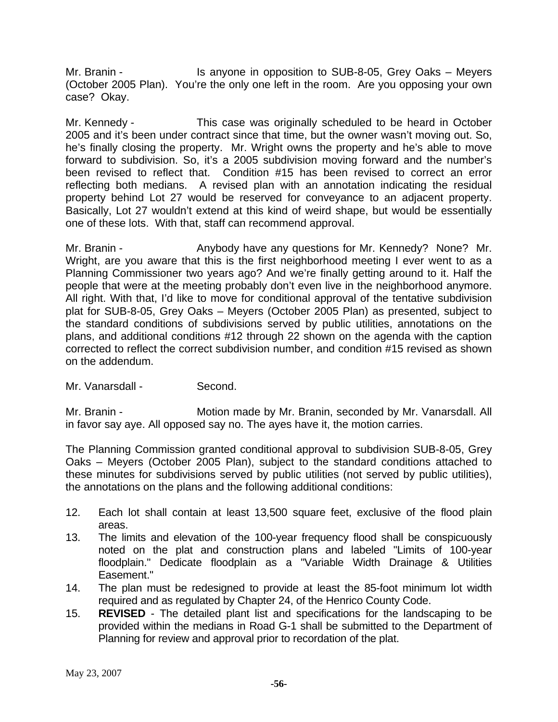Mr. Branin - **IS anyone in opposition to SUB-8-05, Grey Oaks** – Meyers (October 2005 Plan). You're the only one left in the room. Are you opposing your own case? Okay.

Mr. Kennedy - This case was originally scheduled to be heard in October 2005 and it's been under contract since that time, but the owner wasn't moving out. So, he's finally closing the property. Mr. Wright owns the property and he's able to move forward to subdivision. So, it's a 2005 subdivision moving forward and the number's been revised to reflect that. Condition #15 has been revised to correct an error reflecting both medians. A revised plan with an annotation indicating the residual property behind Lot 27 would be reserved for conveyance to an adjacent property. Basically, Lot 27 wouldn't extend at this kind of weird shape, but would be essentially one of these lots. With that, staff can recommend approval.

Mr. Branin - The Anybody have any questions for Mr. Kennedy? None? Mr. Wright, are you aware that this is the first neighborhood meeting I ever went to as a Planning Commissioner two years ago? And we're finally getting around to it. Half the people that were at the meeting probably don't even live in the neighborhood anymore. All right. With that, I'd like to move for conditional approval of the tentative subdivision plat for SUB-8-05, Grey Oaks – Meyers (October 2005 Plan) as presented, subject to the standard conditions of subdivisions served by public utilities, annotations on the plans, and additional conditions #12 through 22 shown on the agenda with the caption corrected to reflect the correct subdivision number, and condition #15 revised as shown on the addendum.

Mr. Vanarsdall - Second.

Mr. Branin - **Motion made by Mr. Branin, seconded by Mr. Vanarsdall. All** in favor say aye. All opposed say no. The ayes have it, the motion carries.

The Planning Commission granted conditional approval to subdivision SUB-8-05, Grey Oaks – Meyers (October 2005 Plan), subject to the standard conditions attached to these minutes for subdivisions served by public utilities (not served by public utilities), the annotations on the plans and the following additional conditions:

- 12. Each lot shall contain at least 13,500 square feet, exclusive of the flood plain areas.
- 13. The limits and elevation of the 100-year frequency flood shall be conspicuously noted on the plat and construction plans and labeled "Limits of 100-year floodplain." Dedicate floodplain as a "Variable Width Drainage & Utilities Easement."
- 14. The plan must be redesigned to provide at least the 85-foot minimum lot width required and as regulated by Chapter 24, of the Henrico County Code.
- 15. **REVISED**  The detailed plant list and specifications for the landscaping to be provided within the medians in Road G-1 shall be submitted to the Department of Planning for review and approval prior to recordation of the plat.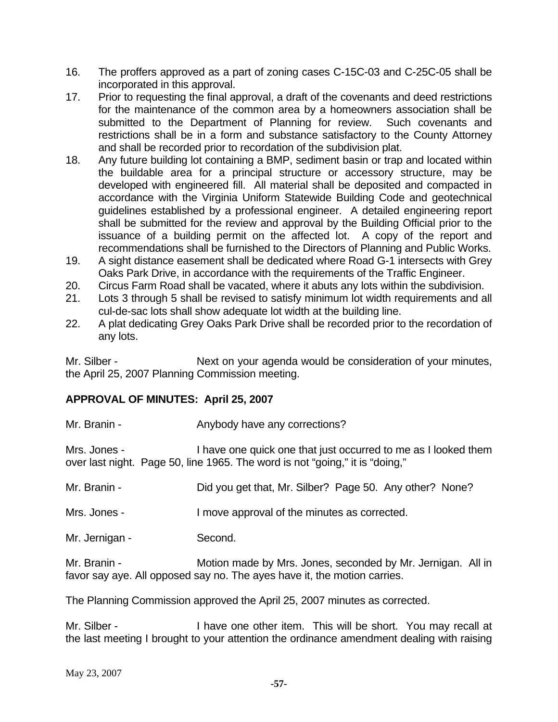- 16. The proffers approved as a part of zoning cases C-15C-03 and C-25C-05 shall be incorporated in this approval.
- 17. Prior to requesting the final approval, a draft of the covenants and deed restrictions for the maintenance of the common area by a homeowners association shall be submitted to the Department of Planning for review. Such covenants and restrictions shall be in a form and substance satisfactory to the County Attorney and shall be recorded prior to recordation of the subdivision plat.
- 18. Any future building lot containing a BMP, sediment basin or trap and located within the buildable area for a principal structure or accessory structure, may be developed with engineered fill. All material shall be deposited and compacted in accordance with the Virginia Uniform Statewide Building Code and geotechnical guidelines established by a professional engineer. A detailed engineering report shall be submitted for the review and approval by the Building Official prior to the issuance of a building permit on the affected lot. A copy of the report and recommendations shall be furnished to the Directors of Planning and Public Works.
- 19. A sight distance easement shall be dedicated where Road G-1 intersects with Grey Oaks Park Drive, in accordance with the requirements of the Traffic Engineer.
- 20. Circus Farm Road shall be vacated, where it abuts any lots within the subdivision.
- 21. Lots 3 through 5 shall be revised to satisfy minimum lot width requirements and all cul-de-sac lots shall show adequate lot width at the building line.
- 22. A plat dedicating Grey Oaks Park Drive shall be recorded prior to the recordation of any lots.

Mr. Silber - Next on your agenda would be consideration of your minutes, the April 25, 2007 Planning Commission meeting.

### **APPROVAL OF MINUTES: April 25, 2007**

Mr. Branin - **Anybody have any corrections?** 

Mrs. Jones - I have one quick one that just occurred to me as I looked them over last night. Page 50, line 1965. The word is not "going," it is "doing,"

Mr. Branin - **Did you get that, Mr. Silber?** Page 50. Any other? None?

Mrs. Jones - The Music Contract approval of the minutes as corrected.

Mr. Jernigan - Second.

Mr. Branin - **Motion made by Mrs. Jones, seconded by Mr. Jernigan.** All in favor say aye. All opposed say no. The ayes have it, the motion carries.

The Planning Commission approved the April 25, 2007 minutes as corrected.

Mr. Silber - I have one other item. This will be short. You may recall at the last meeting I brought to your attention the ordinance amendment dealing with raising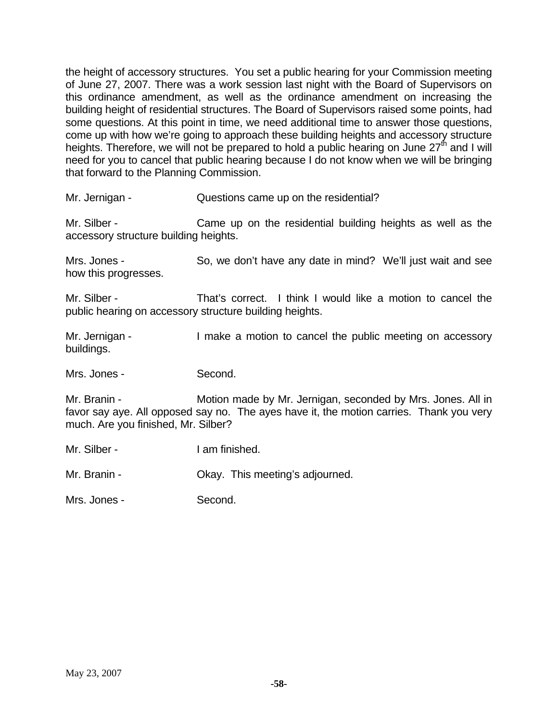the height of accessory structures. You set a public hearing for your Commission meeting of June 27, 2007. There was a work session last night with the Board of Supervisors on this ordinance amendment, as well as the ordinance amendment on increasing the building height of residential structures. The Board of Supervisors raised some points, had some questions. At this point in time, we need additional time to answer those questions, come up with how we're going to approach these building heights and accessory structure heights. Therefore, we will not be prepared to hold a public hearing on June  $27<sup>th</sup>$  and I will need for you to cancel that public hearing because I do not know when we will be bringing that forward to the Planning Commission.

Mr. Jernigan - Questions came up on the residential?

Mr. Silber - Came up on the residential building heights as well as the accessory structure building heights.

Mrs. Jones - So, we don't have any date in mind? We'll just wait and see how this progresses.

Mr. Silber - That's correct. I think I would like a motion to cancel the public hearing on accessory structure building heights.

Mr. Jernigan - I make a motion to cancel the public meeting on accessory buildings.

Mrs. Jones - Second.

Mr. Branin - **Motion made by Mr. Jernigan, seconded by Mrs. Jones. All in** favor say aye. All opposed say no. The ayes have it, the motion carries. Thank you very much. Are you finished, Mr. Silber?

Mr. Silber - **I am finished.** 

Mr. Branin - Ckay. This meeting's adjourned.

Mrs. Jones - Second.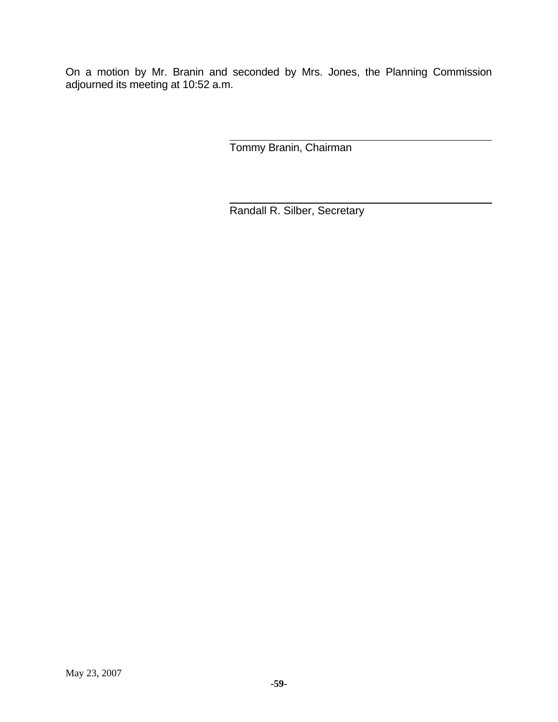On a motion by Mr. Branin and seconded by Mrs. Jones, the Planning Commission adjourned its meeting at 10:52 a.m.

Tommy Branin, Chairman

Randall R. Silber, Secretary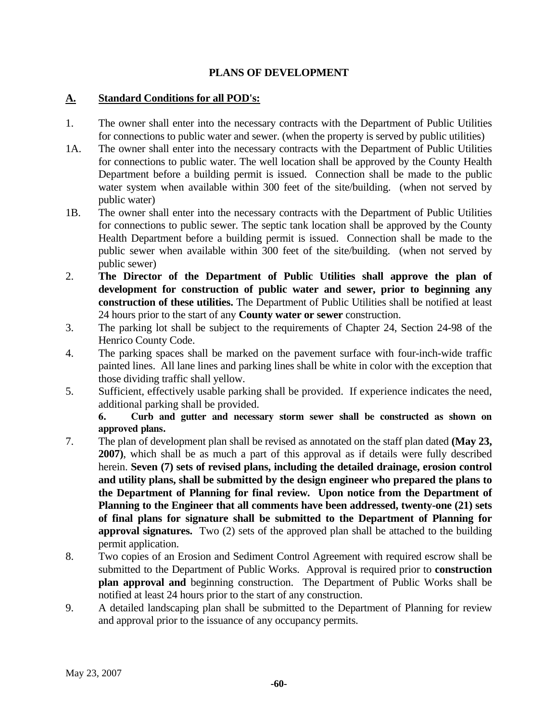### **PLANS OF DEVELOPMENT**

#### **A. Standard Conditions for all POD's:**

- 1. The owner shall enter into the necessary contracts with the Department of Public Utilities for connections to public water and sewer. (when the property is served by public utilities)
- 1A. The owner shall enter into the necessary contracts with the Department of Public Utilities for connections to public water. The well location shall be approved by the County Health Department before a building permit is issued. Connection shall be made to the public water system when available within 300 feet of the site/building. (when not served by public water)
- 1B. The owner shall enter into the necessary contracts with the Department of Public Utilities for connections to public sewer. The septic tank location shall be approved by the County Health Department before a building permit is issued. Connection shall be made to the public sewer when available within 300 feet of the site/building. (when not served by public sewer)
- 2. **The Director of the Department of Public Utilities shall approve the plan of development for construction of public water and sewer, prior to beginning any construction of these utilities.** The Department of Public Utilities shall be notified at least 24 hours prior to the start of any **County water or sewer** construction.
- 3. The parking lot shall be subject to the requirements of Chapter 24, Section 24-98 of the Henrico County Code.
- 4. The parking spaces shall be marked on the pavement surface with four-inch-wide traffic painted lines. All lane lines and parking lines shall be white in color with the exception that those dividing traffic shall yellow.
- 5. Sufficient, effectively usable parking shall be provided. If experience indicates the need, additional parking shall be provided.

**6. Curb and gutter and necessary storm sewer shall be constructed as shown on approved plans.** 

- 7. The plan of development plan shall be revised as annotated on the staff plan dated **(May 23, 2007)**, which shall be as much a part of this approval as if details were fully described herein. **Seven (7) sets of revised plans, including the detailed drainage, erosion control and utility plans, shall be submitted by the design engineer who prepared the plans to the Department of Planning for final review. Upon notice from the Department of Planning to the Engineer that all comments have been addressed, twenty-one (21) sets of final plans for signature shall be submitted to the Department of Planning for approval signatures.** Two (2) sets of the approved plan shall be attached to the building permit application.
- 8. Two copies of an Erosion and Sediment Control Agreement with required escrow shall be submitted to the Department of Public Works. Approval is required prior to **construction plan approval and** beginning construction. The Department of Public Works shall be notified at least 24 hours prior to the start of any construction.
- 9. A detailed landscaping plan shall be submitted to the Department of Planning for review and approval prior to the issuance of any occupancy permits.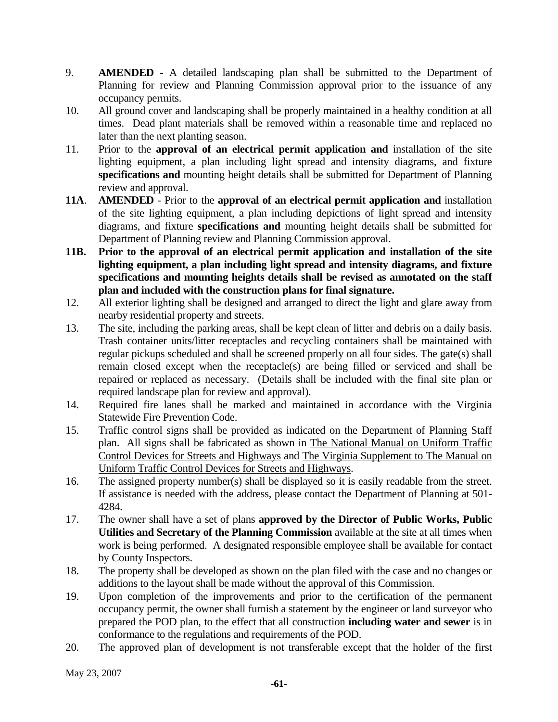- 9. **AMENDED** A detailed landscaping plan shall be submitted to the Department of Planning for review and Planning Commission approval prior to the issuance of any occupancy permits.
- 10. All ground cover and landscaping shall be properly maintained in a healthy condition at all times. Dead plant materials shall be removed within a reasonable time and replaced no later than the next planting season.
- 11. Prior to the **approval of an electrical permit application and** installation of the site lighting equipment, a plan including light spread and intensity diagrams, and fixture **specifications and** mounting height details shall be submitted for Department of Planning review and approval.
- **11A**. **AMENDED** Prior to the **approval of an electrical permit application and** installation of the site lighting equipment, a plan including depictions of light spread and intensity diagrams, and fixture **specifications and** mounting height details shall be submitted for Department of Planning review and Planning Commission approval.
- **11B. Prior to the approval of an electrical permit application and installation of the site lighting equipment, a plan including light spread and intensity diagrams, and fixture specifications and mounting heights details shall be revised as annotated on the staff plan and included with the construction plans for final signature.**
- 12. All exterior lighting shall be designed and arranged to direct the light and glare away from nearby residential property and streets.
- 13. The site, including the parking areas, shall be kept clean of litter and debris on a daily basis. Trash container units/litter receptacles and recycling containers shall be maintained with regular pickups scheduled and shall be screened properly on all four sides. The gate(s) shall remain closed except when the receptacle(s) are being filled or serviced and shall be repaired or replaced as necessary. (Details shall be included with the final site plan or required landscape plan for review and approval).
- 14. Required fire lanes shall be marked and maintained in accordance with the Virginia Statewide Fire Prevention Code.
- 15. Traffic control signs shall be provided as indicated on the Department of Planning Staff plan. All signs shall be fabricated as shown in The National Manual on Uniform Traffic Control Devices for Streets and Highways and The Virginia Supplement to The Manual on Uniform Traffic Control Devices for Streets and Highways.
- 16. The assigned property number(s) shall be displayed so it is easily readable from the street. If assistance is needed with the address, please contact the Department of Planning at 501- 4284.
- 17. The owner shall have a set of plans **approved by the Director of Public Works, Public Utilities and Secretary of the Planning Commission** available at the site at all times when work is being performed. A designated responsible employee shall be available for contact by County Inspectors.
- 18. The property shall be developed as shown on the plan filed with the case and no changes or additions to the layout shall be made without the approval of this Commission.
- 19. Upon completion of the improvements and prior to the certification of the permanent occupancy permit, the owner shall furnish a statement by the engineer or land surveyor who prepared the POD plan, to the effect that all construction **including water and sewer** is in conformance to the regulations and requirements of the POD.
- 20. The approved plan of development is not transferable except that the holder of the first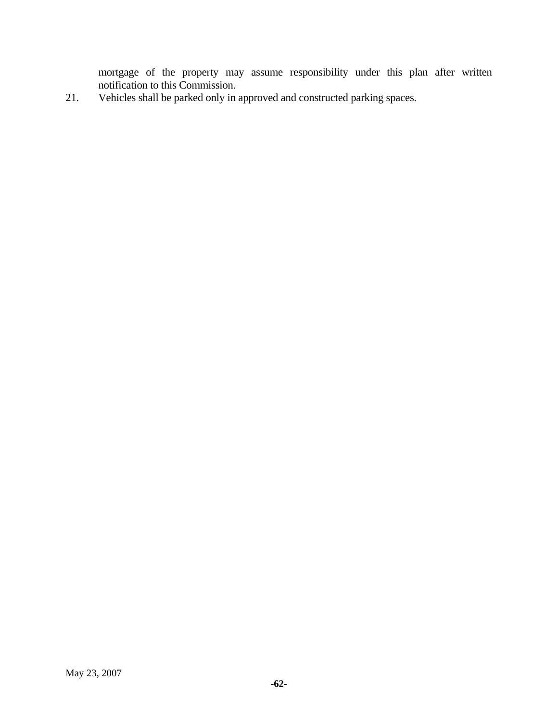mortgage of the property may assume responsibility under this plan after written notification to this Commission.

21. Vehicles shall be parked only in approved and constructed parking spaces.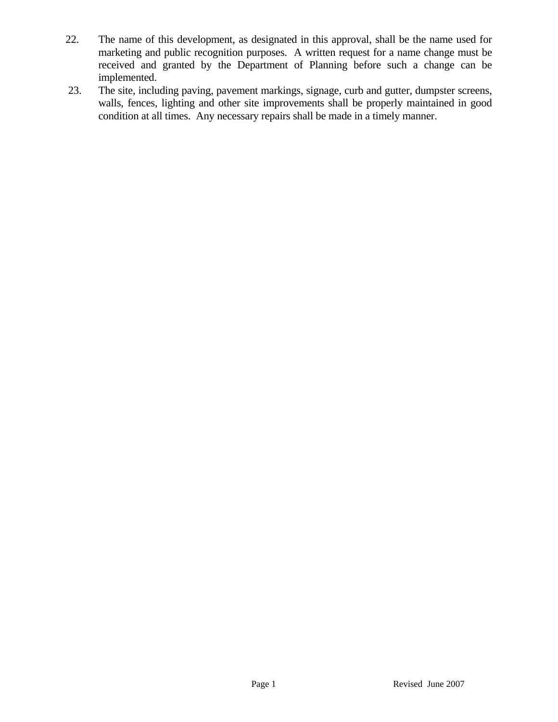- 22. The name of this development, as designated in this approval, shall be the name used for marketing and public recognition purposes. A written request for a name change must be received and granted by the Department of Planning before such a change can be implemented.
- 23. The site, including paving, pavement markings, signage, curb and gutter, dumpster screens, walls, fences, lighting and other site improvements shall be properly maintained in good condition at all times. Any necessary repairs shall be made in a timely manner.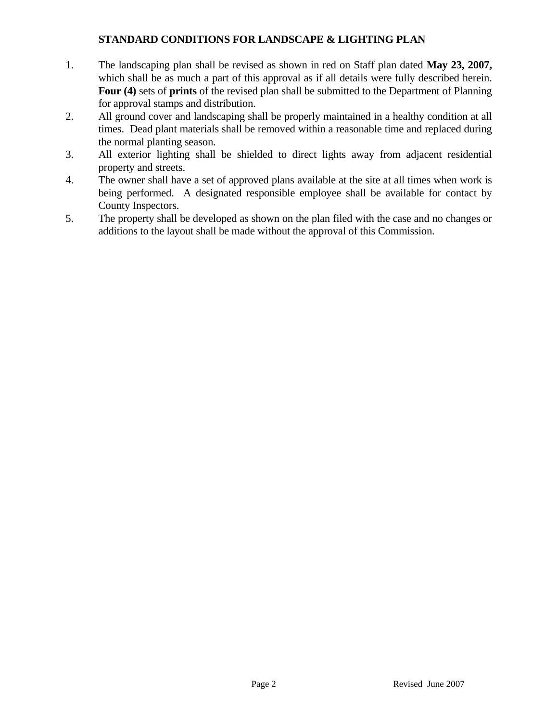### **STANDARD CONDITIONS FOR LANDSCAPE & LIGHTING PLAN**

- 1. The landscaping plan shall be revised as shown in red on Staff plan dated **May 23, 2007,** which shall be as much a part of this approval as if all details were fully described herein. **Four (4)** sets of **prints** of the revised plan shall be submitted to the Department of Planning for approval stamps and distribution.
- 2. All ground cover and landscaping shall be properly maintained in a healthy condition at all times. Dead plant materials shall be removed within a reasonable time and replaced during the normal planting season.
- 3. All exterior lighting shall be shielded to direct lights away from adjacent residential property and streets.
- 4. The owner shall have a set of approved plans available at the site at all times when work is being performed. A designated responsible employee shall be available for contact by County Inspectors.
- 5. The property shall be developed as shown on the plan filed with the case and no changes or additions to the layout shall be made without the approval of this Commission.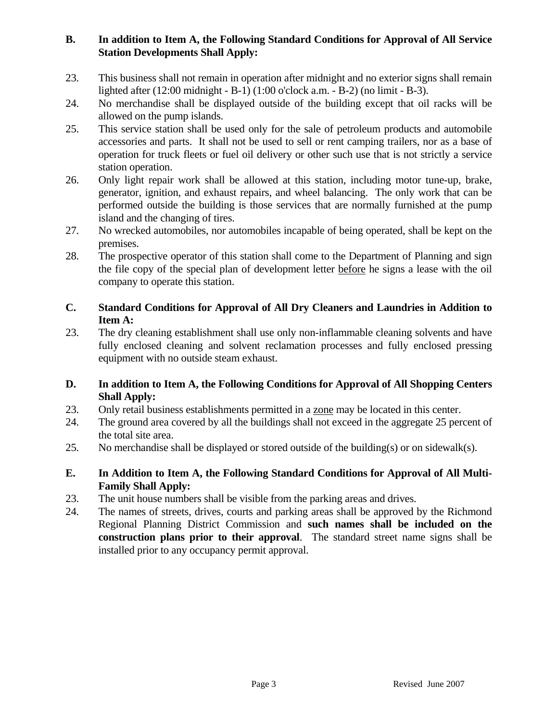# **B. In addition to Item A, the Following Standard Conditions for Approval of All Service Station Developments Shall Apply:**

- 23. This business shall not remain in operation after midnight and no exterior signs shall remain lighted after (12:00 midnight - B-1) (1:00 o'clock a.m. - B-2) (no limit - B-3).
- 24. No merchandise shall be displayed outside of the building except that oil racks will be allowed on the pump islands.
- 25. This service station shall be used only for the sale of petroleum products and automobile accessories and parts. It shall not be used to sell or rent camping trailers, nor as a base of operation for truck fleets or fuel oil delivery or other such use that is not strictly a service station operation.
- 26. Only light repair work shall be allowed at this station, including motor tune-up, brake, generator, ignition, and exhaust repairs, and wheel balancing. The only work that can be performed outside the building is those services that are normally furnished at the pump island and the changing of tires.
- 27. No wrecked automobiles, nor automobiles incapable of being operated, shall be kept on the premises.
- 28. The prospective operator of this station shall come to the Department of Planning and sign the file copy of the special plan of development letter before he signs a lease with the oil company to operate this station.

# **C. Standard Conditions for Approval of All Dry Cleaners and Laundries in Addition to Item A:**

23. The dry cleaning establishment shall use only non-inflammable cleaning solvents and have fully enclosed cleaning and solvent reclamation processes and fully enclosed pressing equipment with no outside steam exhaust.

# **D. In addition to Item A, the Following Conditions for Approval of All Shopping Centers Shall Apply:**

- 23. Only retail business establishments permitted in a zone may be located in this center.
- 24. The ground area covered by all the buildings shall not exceed in the aggregate 25 percent of the total site area.
- 25. No merchandise shall be displayed or stored outside of the building(s) or on sidewalk(s).

### **E. In Addition to Item A, the Following Standard Conditions for Approval of All Multi-Family Shall Apply:**

- 23. The unit house numbers shall be visible from the parking areas and drives.
- 24. The names of streets, drives, courts and parking areas shall be approved by the Richmond Regional Planning District Commission and **such names shall be included on the construction plans prior to their approval**. The standard street name signs shall be installed prior to any occupancy permit approval.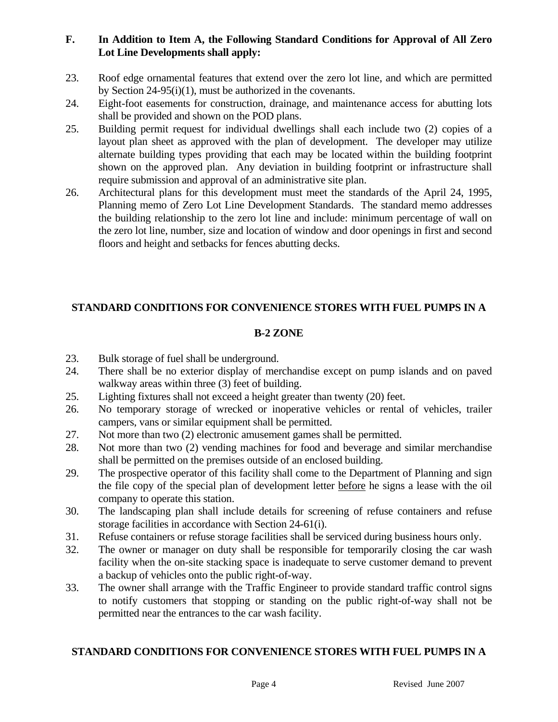# **F. In Addition to Item A, the Following Standard Conditions for Approval of All Zero Lot Line Developments shall apply:**

- 23. Roof edge ornamental features that extend over the zero lot line, and which are permitted by Section 24-95(i)(1), must be authorized in the covenants.
- 24. Eight-foot easements for construction, drainage, and maintenance access for abutting lots shall be provided and shown on the POD plans.
- 25. Building permit request for individual dwellings shall each include two (2) copies of a layout plan sheet as approved with the plan of development. The developer may utilize alternate building types providing that each may be located within the building footprint shown on the approved plan. Any deviation in building footprint or infrastructure shall require submission and approval of an administrative site plan.
- 26. Architectural plans for this development must meet the standards of the April 24, 1995, Planning memo of Zero Lot Line Development Standards. The standard memo addresses the building relationship to the zero lot line and include: minimum percentage of wall on the zero lot line, number, size and location of window and door openings in first and second floors and height and setbacks for fences abutting decks.

# **STANDARD CONDITIONS FOR CONVENIENCE STORES WITH FUEL PUMPS IN A**

# **B-2 ZONE**

- 23. Bulk storage of fuel shall be underground.
- 24. There shall be no exterior display of merchandise except on pump islands and on paved walkway areas within three (3) feet of building.
- 25. Lighting fixtures shall not exceed a height greater than twenty (20) feet.
- 26. No temporary storage of wrecked or inoperative vehicles or rental of vehicles, trailer campers, vans or similar equipment shall be permitted.
- 27. Not more than two (2) electronic amusement games shall be permitted.
- 28. Not more than two (2) vending machines for food and beverage and similar merchandise shall be permitted on the premises outside of an enclosed building.
- 29. The prospective operator of this facility shall come to the Department of Planning and sign the file copy of the special plan of development letter before he signs a lease with the oil company to operate this station.
- 30. The landscaping plan shall include details for screening of refuse containers and refuse storage facilities in accordance with Section 24-61(i).
- 31. Refuse containers or refuse storage facilities shall be serviced during business hours only.
- 32. The owner or manager on duty shall be responsible for temporarily closing the car wash facility when the on-site stacking space is inadequate to serve customer demand to prevent a backup of vehicles onto the public right-of-way.
- 33. The owner shall arrange with the Traffic Engineer to provide standard traffic control signs to notify customers that stopping or standing on the public right-of-way shall not be permitted near the entrances to the car wash facility.

# **STANDARD CONDITIONS FOR CONVENIENCE STORES WITH FUEL PUMPS IN A**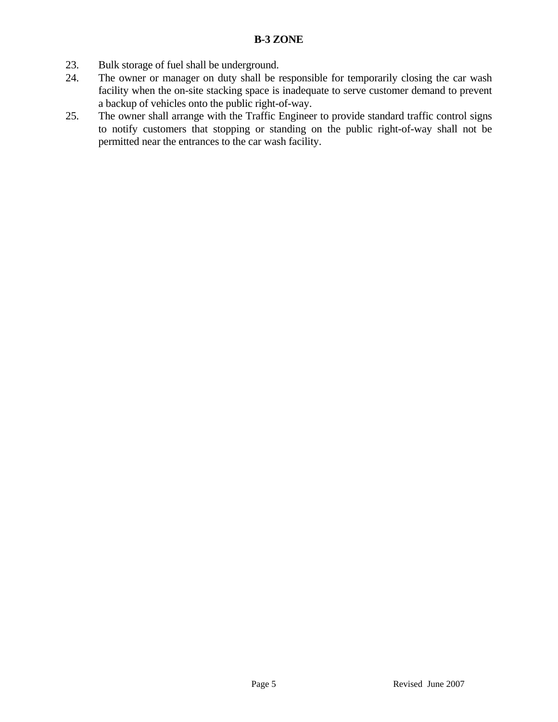- 23. Bulk storage of fuel shall be underground.
- 24. The owner or manager on duty shall be responsible for temporarily closing the car wash facility when the on-site stacking space is inadequate to serve customer demand to prevent a backup of vehicles onto the public right-of-way.
- 25. The owner shall arrange with the Traffic Engineer to provide standard traffic control signs to notify customers that stopping or standing on the public right-of-way shall not be permitted near the entrances to the car wash facility.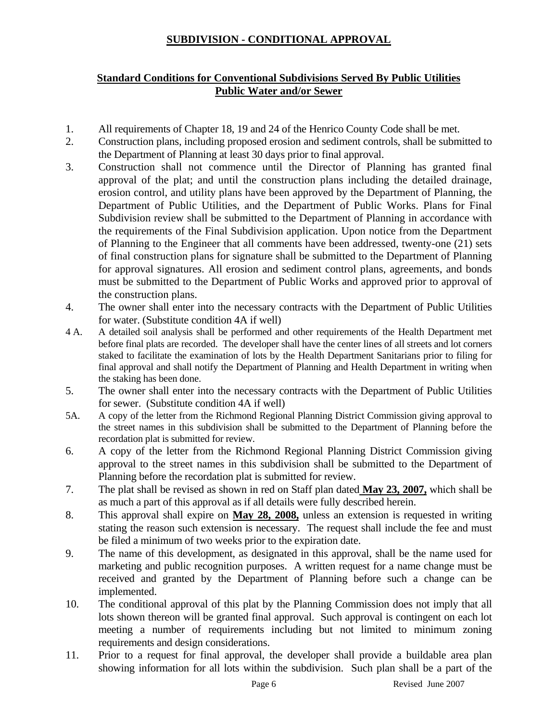# **SUBDIVISION - CONDITIONAL APPROVAL**

### **Standard Conditions for Conventional Subdivisions Served By Public Utilities Public Water and/or Sewer**

- 1. All requirements of Chapter 18, 19 and 24 of the Henrico County Code shall be met.
- 2. Construction plans, including proposed erosion and sediment controls, shall be submitted to the Department of Planning at least 30 days prior to final approval.
- 3. Construction shall not commence until the Director of Planning has granted final approval of the plat; and until the construction plans including the detailed drainage, erosion control, and utility plans have been approved by the Department of Planning, the Department of Public Utilities, and the Department of Public Works. Plans for Final Subdivision review shall be submitted to the Department of Planning in accordance with the requirements of the Final Subdivision application. Upon notice from the Department of Planning to the Engineer that all comments have been addressed, twenty-one (21) sets of final construction plans for signature shall be submitted to the Department of Planning for approval signatures. All erosion and sediment control plans, agreements, and bonds must be submitted to the Department of Public Works and approved prior to approval of the construction plans.
- 4. The owner shall enter into the necessary contracts with the Department of Public Utilities for water. (Substitute condition 4A if well)
- 4 A. A detailed soil analysis shall be performed and other requirements of the Health Department met before final plats are recorded. The developer shall have the center lines of all streets and lot corners staked to facilitate the examination of lots by the Health Department Sanitarians prior to filing for final approval and shall notify the Department of Planning and Health Department in writing when the staking has been done.
- 5. The owner shall enter into the necessary contracts with the Department of Public Utilities for sewer. (Substitute condition 4A if well)
- 5A. A copy of the letter from the Richmond Regional Planning District Commission giving approval to the street names in this subdivision shall be submitted to the Department of Planning before the recordation plat is submitted for review.
- 6. A copy of the letter from the Richmond Regional Planning District Commission giving approval to the street names in this subdivision shall be submitted to the Department of Planning before the recordation plat is submitted for review.
- 7. The plat shall be revised as shown in red on Staff plan dated **May 23, 2007,** which shall be as much a part of this approval as if all details were fully described herein.
- 8. This approval shall expire on **May 28, 2008,** unless an extension is requested in writing stating the reason such extension is necessary. The request shall include the fee and must be filed a minimum of two weeks prior to the expiration date.
- 9. The name of this development, as designated in this approval, shall be the name used for marketing and public recognition purposes. A written request for a name change must be received and granted by the Department of Planning before such a change can be implemented.
- 10. The conditional approval of this plat by the Planning Commission does not imply that all lots shown thereon will be granted final approval. Such approval is contingent on each lot meeting a number of requirements including but not limited to minimum zoning requirements and design considerations.
- 11. Prior to a request for final approval, the developer shall provide a buildable area plan showing information for all lots within the subdivision. Such plan shall be a part of the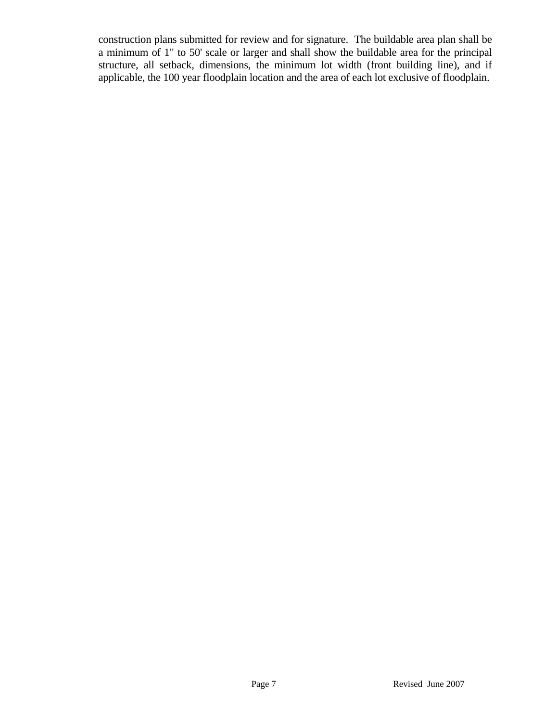construction plans submitted for review and for signature. The buildable area plan shall be a minimum of 1" to 50' scale or larger and shall show the buildable area for the principal structure, all setback, dimensions, the minimum lot width (front building line), and if applicable, the 100 year floodplain location and the area of each lot exclusive of floodplain.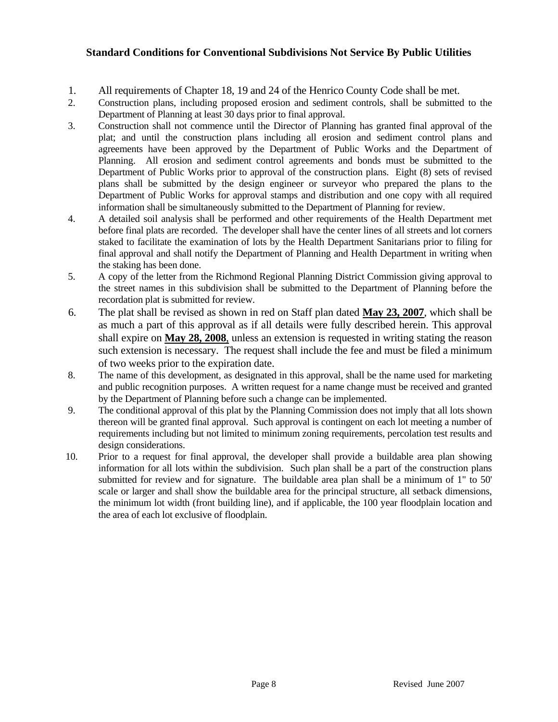#### **Standard Conditions for Conventional Subdivisions Not Service By Public Utilities**

- 1. All requirements of Chapter 18, 19 and 24 of the Henrico County Code shall be met.
- 2. Construction plans, including proposed erosion and sediment controls, shall be submitted to the Department of Planning at least 30 days prior to final approval.
- 3. Construction shall not commence until the Director of Planning has granted final approval of the plat; and until the construction plans including all erosion and sediment control plans and agreements have been approved by the Department of Public Works and the Department of Planning. All erosion and sediment control agreements and bonds must be submitted to the Department of Public Works prior to approval of the construction plans. Eight (8) sets of revised plans shall be submitted by the design engineer or surveyor who prepared the plans to the Department of Public Works for approval stamps and distribution and one copy with all required information shall be simultaneously submitted to the Department of Planning for review.
- 4. A detailed soil analysis shall be performed and other requirements of the Health Department met before final plats are recorded. The developer shall have the center lines of all streets and lot corners staked to facilitate the examination of lots by the Health Department Sanitarians prior to filing for final approval and shall notify the Department of Planning and Health Department in writing when the staking has been done.
- 5. A copy of the letter from the Richmond Regional Planning District Commission giving approval to the street names in this subdivision shall be submitted to the Department of Planning before the recordation plat is submitted for review.
- 6. The plat shall be revised as shown in red on Staff plan dated **May 23, 2007**, which shall be as much a part of this approval as if all details were fully described herein. This approval shall expire on **May 28, 2008**, unless an extension is requested in writing stating the reason such extension is necessary. The request shall include the fee and must be filed a minimum of two weeks prior to the expiration date.
- 8. The name of this development, as designated in this approval, shall be the name used for marketing and public recognition purposes. A written request for a name change must be received and granted by the Department of Planning before such a change can be implemented.
- 9. The conditional approval of this plat by the Planning Commission does not imply that all lots shown thereon will be granted final approval. Such approval is contingent on each lot meeting a number of requirements including but not limited to minimum zoning requirements, percolation test results and design considerations.
- 10. Prior to a request for final approval, the developer shall provide a buildable area plan showing information for all lots within the subdivision. Such plan shall be a part of the construction plans submitted for review and for signature. The buildable area plan shall be a minimum of 1" to 50' scale or larger and shall show the buildable area for the principal structure, all setback dimensions, the minimum lot width (front building line), and if applicable, the 100 year floodplain location and the area of each lot exclusive of floodplain.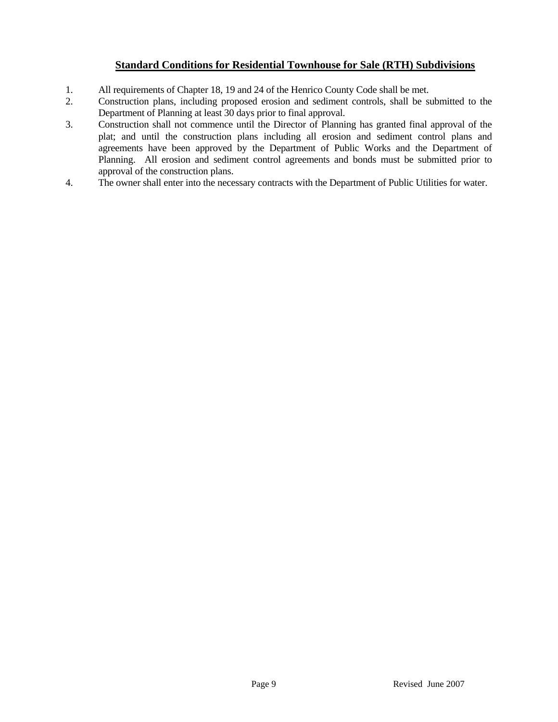#### **Standard Conditions for Residential Townhouse for Sale (RTH) Subdivisions**

- 1. All requirements of Chapter 18, 19 and 24 of the Henrico County Code shall be met.<br>2. Construction plans, including proposed erosion and sediment controls, shall be super
- 2. Construction plans, including proposed erosion and sediment controls, shall be submitted to the Department of Planning at least 30 days prior to final approval.
- 3. Construction shall not commence until the Director of Planning has granted final approval of the plat; and until the construction plans including all erosion and sediment control plans and agreements have been approved by the Department of Public Works and the Department of Planning. All erosion and sediment control agreements and bonds must be submitted prior to approval of the construction plans.
- 4. The owner shall enter into the necessary contracts with the Department of Public Utilities for water.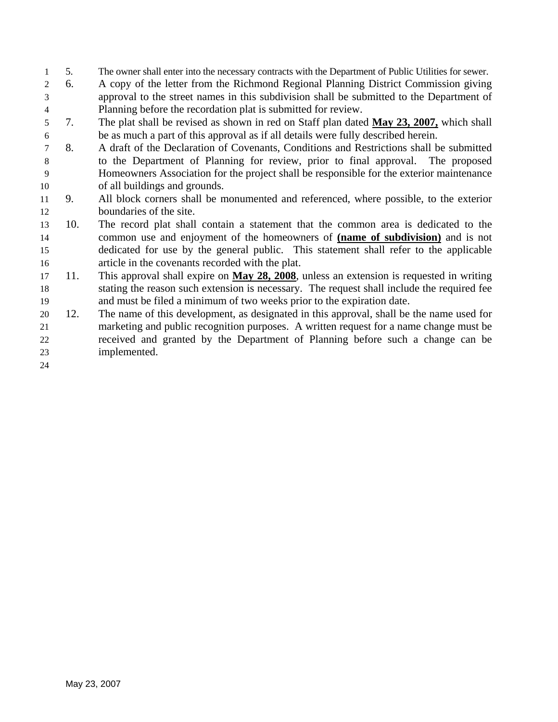- 1 5. The owner shall enter into the necessary contracts with the Department of Public Utilities for sewer.
- 3 4 2 6. A copy of the letter from the Richmond Regional Planning District Commission giving approval to the street names in this subdivision shall be submitted to the Department of Planning before the recordation plat is submitted for review.
- 5 7. The plat shall be revised as shown in red on Staff plan dated **May 23, 2007,** which shall 6 be as much a part of this approval as if all details were fully described herein.
- 8 9 10 7 8. A draft of the Declaration of Covenants, Conditions and Restrictions shall be submitted to the Department of Planning for review, prior to final approval. The proposed Homeowners Association for the project shall be responsible for the exterior maintenance of all buildings and grounds.
- 12 11 9. All block corners shall be monumented and referenced, where possible, to the exterior boundaries of the site.
- 13 10. The record plat shall contain a statement that the common area is dedicated to the common use and enjoyment of the homeowners of **(name of subdivision)** and is not dedicated for use by the general public. This statement shall refer to the applicable article in the covenants recorded with the plat. 14 15 16
- 17 11. This approval shall expire on **May 28, 2008**, unless an extension is requested in writing stating the reason such extension is necessary. The request shall include the required fee and must be filed a minimum of two weeks prior to the expiration date. 18 19
- 21 22 23 20 12. The name of this development, as designated in this approval, shall be the name used for marketing and public recognition purposes. A written request for a name change must be received and granted by the Department of Planning before such a change can be implemented.

24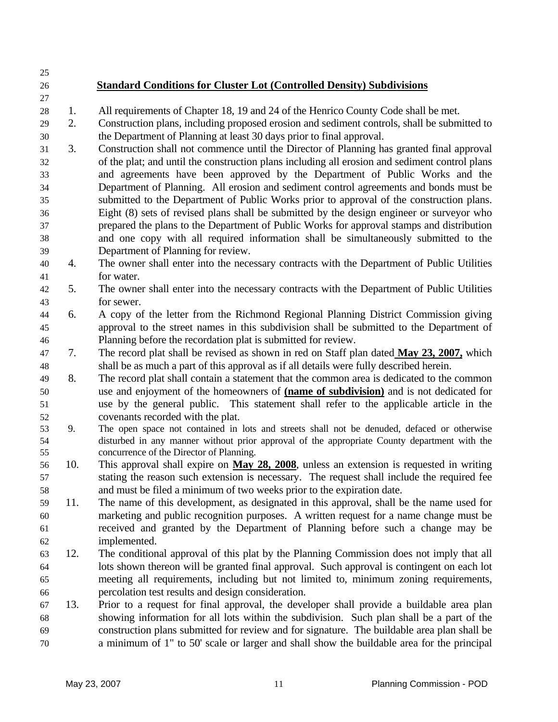25

27

## 26 **Standard Conditions for Cluster Lot (Controlled Density) Subdivisions**

- 28 1. All requirements of Chapter 18, 19 and 24 of the Henrico County Code shall be met.
- 29 30 2. Construction plans, including proposed erosion and sediment controls, shall be submitted to the Department of Planning at least 30 days prior to final approval.
- 31 32 33 34 35 36 37 38 39 3. Construction shall not commence until the Director of Planning has granted final approval of the plat; and until the construction plans including all erosion and sediment control plans and agreements have been approved by the Department of Public Works and the Department of Planning. All erosion and sediment control agreements and bonds must be submitted to the Department of Public Works prior to approval of the construction plans. Eight (8) sets of revised plans shall be submitted by the design engineer or surveyor who prepared the plans to the Department of Public Works for approval stamps and distribution and one copy with all required information shall be simultaneously submitted to the Department of Planning for review.
- 40 41 4. The owner shall enter into the necessary contracts with the Department of Public Utilities for water.
- 42 43 5. The owner shall enter into the necessary contracts with the Department of Public Utilities for sewer.
- 44 45 46 6. A copy of the letter from the Richmond Regional Planning District Commission giving approval to the street names in this subdivision shall be submitted to the Department of Planning before the recordation plat is submitted for review.
- 7. The record plat shall be revised as shown in red on Staff plan dated **May 23, 2007,** which shall be as much a part of this approval as if all details were fully described herein. 47 48
- 49 8. The record plat shall contain a statement that the common area is dedicated to the common use and enjoyment of the homeowners of **(name of subdivision)** and is not dedicated for use by the general public. This statement shall refer to the applicable article in the covenants recorded with the plat. 50 51 52
- 53 54 55 9. The open space not contained in lots and streets shall not be denuded, defaced or otherwise disturbed in any manner without prior approval of the appropriate County department with the concurrence of the Director of Planning.
- 10. This approval shall expire on **May 28, 2008**, unless an extension is requested in writing stating the reason such extension is necessary. The request shall include the required fee and must be filed a minimum of two weeks prior to the expiration date. 56 57 58
- 59 60 61 62 11. The name of this development, as designated in this approval, shall be the name used for marketing and public recognition purposes. A written request for a name change must be received and granted by the Department of Planning before such a change may be implemented.
- 63 64 65 66 12. The conditional approval of this plat by the Planning Commission does not imply that all lots shown thereon will be granted final approval. Such approval is contingent on each lot meeting all requirements, including but not limited to, minimum zoning requirements, percolation test results and design consideration.
- 67 68 69 70 13. Prior to a request for final approval, the developer shall provide a buildable area plan showing information for all lots within the subdivision. Such plan shall be a part of the construction plans submitted for review and for signature. The buildable area plan shall be a minimum of 1" to 50' scale or larger and shall show the buildable area for the principal